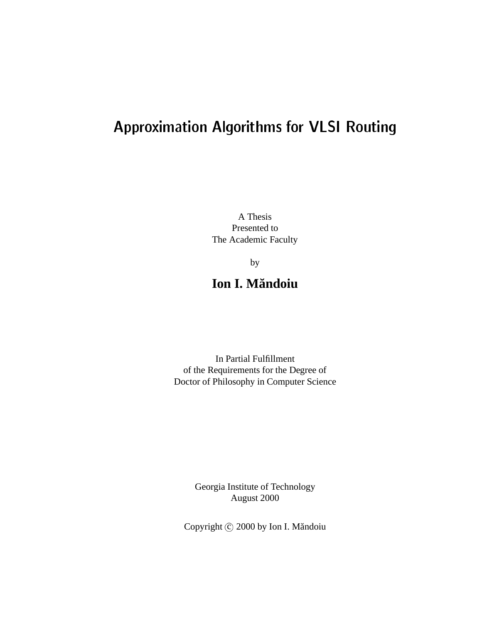# Approximation Algorithms for VLSI Routing

A Thesis Presented to The Academic Faculty

by

## **Ion I. Mandoiu ˘**

In Partial Fulfillment of the Requirements for the Degree of Doctor of Philosophy in Computer Science

> Georgia Institute of Technology August 2000

Copyright © 2000 by Ion I. Măndoiu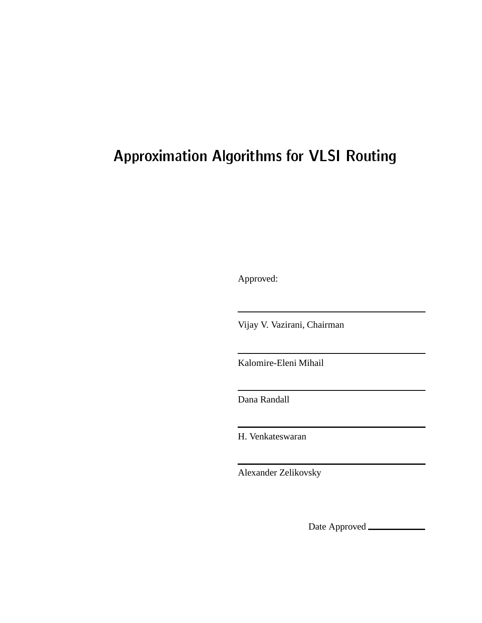# Approximation Algorithms for VLSI Routing

Approved:

Vijay V. Vazirani, Chairman

Kalomire-Eleni Mihail

Dana Randall

H. Venkateswaran

Alexander Zelikovsky

Date Approved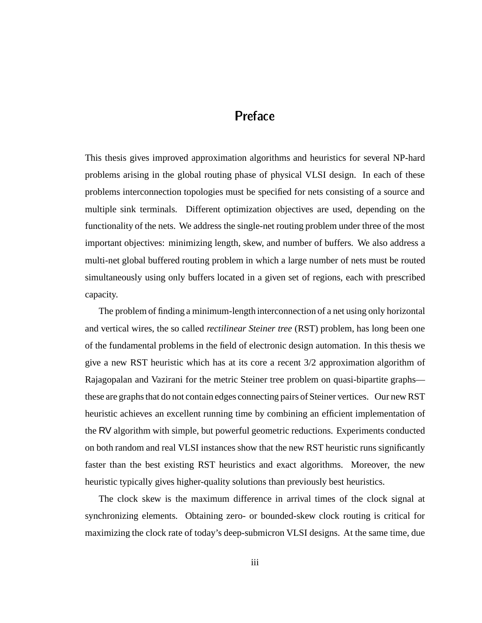## Preface

This thesis gives improved approximation algorithms and heuristics for several NP-hard problems arising in the global routing phase of physical VLSI design. In each of these problems interconnection topologies must be specified for nets consisting of a source and multiple sink terminals. Different optimization objectives are used, depending on the functionality of the nets. We address the single-net routing problem under three of the most important objectives: minimizing length, skew, and number of buffers. We also address a multi-net global buffered routing problem in which a large number of nets must be routed simultaneously using only buffers located in a given set of regions, each with prescribed capacity.

The problem of finding a minimum-length interconnection of a net using only horizontal and vertical wires, the so called *rectilinear Steiner tree* (RST) problem, has long been one of the fundamental problems in the field of electronic design automation. In this thesis we give a new RST heuristic which has at its core a recent 3/2 approximation algorithm of Rajagopalan and Vazirani for the metric Steiner tree problem on quasi-bipartite graphs these are graphs that do not contain edges connecting pairs of Steiner vertices. Our new RST heuristic achieves an excellent running time by combining an efficient implementation of the RV algorithm with simple, but powerful geometric reductions. Experiments conducted on both random and real VLSI instances show that the new RST heuristic runs significantly faster than the best existing RST heuristics and exact algorithms. Moreover, the new heuristic typically gives higher-quality solutions than previously best heuristics.

The clock skew is the maximum difference in arrival times of the clock signal at synchronizing elements. Obtaining zero- or bounded-skew clock routing is critical for maximizing the clock rate of today's deep-submicron VLSI designs. At the same time, due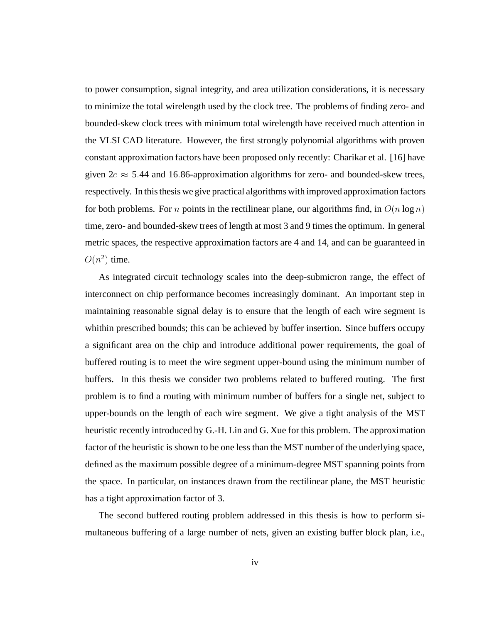to power consumption, signal integrity, and area utilization considerations, it is necessary to minimize the total wirelength used by the clock tree. The problems of finding zero- and bounded-skew clock trees with minimum total wirelength have received much attention in the VLSI CAD literature. However, the first strongly polynomial algorithms with proven constant approximation factors have been proposed only recently: Charikar et al. [16] have given  $2e \approx 5.44$  and 16.86-approximation algorithms for zero- and bounded-skew trees, respectively. In this thesis we give practical algorithms with improved approximation factors for both problems. For *n* points in the rectilinear plane, our algorithms find, in  $O(n \log n)$ time, zero- and bounded-skew trees of length at most 3 and 9 times the optimum. In general metric spaces, the respective approximation factors are 4 and 14, and can be guaranteed in  $O(n^2)$  time.

As integrated circuit technology scales into the deep-submicron range, the effect of interconnect on chip performance becomes increasingly dominant. An important step in maintaining reasonable signal delay is to ensure that the length of each wire segment is whithin prescribed bounds; this can be achieved by buffer insertion. Since buffers occupy a significant area on the chip and introduce additional power requirements, the goal of buffered routing is to meet the wire segment upper-bound using the minimum number of buffers. In this thesis we consider two problems related to buffered routing. The first problem is to find a routing with minimum number of buffers for a single net, subject to upper-bounds on the length of each wire segment. We give a tight analysis of the MST heuristic recently introduced by G.-H. Lin and G. Xue for this problem. The approximation factor of the heuristic is shown to be one less than the MST number of the underlying space, defined as the maximum possible degree of a minimum-degree MST spanning points from the space. In particular, on instances drawn from the rectilinear plane, the MST heuristic has a tight approximation factor of 3.

The second buffered routing problem addressed in this thesis is how to perform simultaneous buffering of a large number of nets, given an existing buffer block plan, i.e.,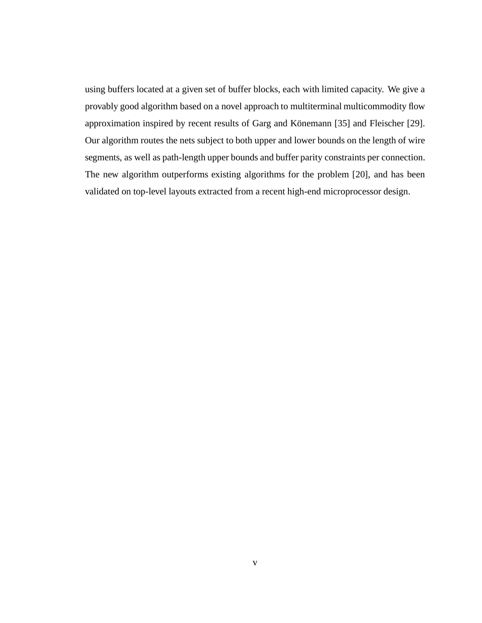using buffers located at a given set of buffer blocks, each with limited capacity. We give a provably good algorithm based on a novel approach to multiterminal multicommodity flow approximation inspired by recent results of Garg and Könemann [35] and Fleischer [29]. Our algorithm routes the nets subject to both upper and lower bounds on the length of wire segments, as well as path-length upper bounds and buffer parity constraints per connection. The new algorithm outperforms existing algorithms for the problem [20], and has been validated on top-level layouts extracted from a recent high-end microprocessor design.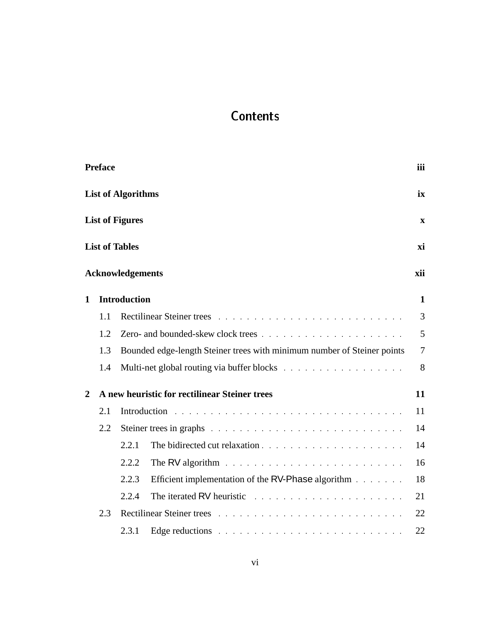## **Contents**

|                | Preface |                           |                                                                         | iii            |
|----------------|---------|---------------------------|-------------------------------------------------------------------------|----------------|
|                |         | <b>List of Algorithms</b> |                                                                         | ix             |
|                |         | <b>List of Figures</b>    |                                                                         | $\mathbf X$    |
|                |         | <b>List of Tables</b>     |                                                                         | xi             |
|                |         | <b>Acknowledgements</b>   |                                                                         | xii            |
| 1              |         | <b>Introduction</b>       |                                                                         | 1              |
|                | 1.1     |                           |                                                                         | 3              |
|                | 1.2     |                           | Zero- and bounded-skew clock trees                                      | 5              |
|                | 1.3     |                           | Bounded edge-length Steiner trees with minimum number of Steiner points | $\overline{7}$ |
|                | 1.4     |                           |                                                                         | 8              |
| $\overline{2}$ |         |                           | A new heuristic for rectilinear Steiner trees                           | 11             |
|                | 2.1     |                           |                                                                         | 11             |
|                | 2.2     |                           |                                                                         | 14             |
|                |         | 2.2.1                     |                                                                         | 14             |
|                |         | 2.2.2                     |                                                                         | 16             |
|                |         | 2.2.3                     | Efficient implementation of the RV-Phase algorithm                      | 18             |
|                |         | 2.2.4                     |                                                                         | 21             |
|                | 2.3     |                           |                                                                         | 22             |
|                |         | 2.3.1                     |                                                                         | 22             |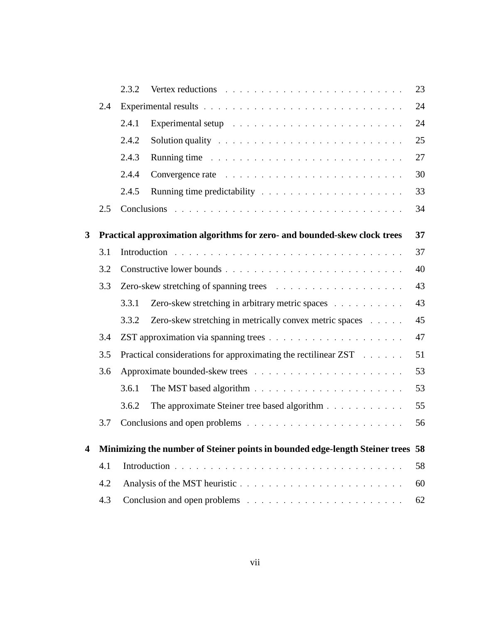|   |     | 2.3.2                                                                |                                                                                                                                                                                                                                | 23 |
|---|-----|----------------------------------------------------------------------|--------------------------------------------------------------------------------------------------------------------------------------------------------------------------------------------------------------------------------|----|
|   | 2.4 |                                                                      |                                                                                                                                                                                                                                | 24 |
|   |     | 2.4.1                                                                | Experimental setup enterpreteration of the setup of the setup of the setup of the setup of the setup of the setup of the setup of the setup of the setup of the setup of the setup of the setup of the setup of the setup of t | 24 |
|   |     | 2.4.2                                                                | Solution quality research research resources and response to the set of the set of the set of the set of the set of the set of the set of the set of the set of the set of the set of the set of the set of the set of the set | 25 |
|   |     | 2.4.3                                                                | Running time recovered to the contract the contract of the contract of the contract of the contract of the contract of the contract of the contract of the contract of the contract of the contract of the contract of the con | 27 |
|   |     | 2.4.4                                                                | Convergence rate residence in the convergence rate in the contract of the contract of the contract of the contract of the contract of the contract of the contract of the contract of the contract of the contract of the cont | 30 |
|   |     | 2.4.5                                                                |                                                                                                                                                                                                                                | 33 |
|   | 2.5 |                                                                      |                                                                                                                                                                                                                                | 34 |
| 3 |     |                                                                      | Practical approximation algorithms for zero- and bounded-skew clock trees                                                                                                                                                      | 37 |
|   | 3.1 |                                                                      |                                                                                                                                                                                                                                | 37 |
|   | 3.2 |                                                                      |                                                                                                                                                                                                                                | 40 |
|   | 3.3 |                                                                      |                                                                                                                                                                                                                                | 43 |
|   |     | 3.3.1                                                                | Zero-skew stretching in arbitrary metric spaces                                                                                                                                                                                | 43 |
|   |     | 3.3.2                                                                | Zero-skew stretching in metrically convex metric spaces                                                                                                                                                                        | 45 |
|   | 3.4 | 47                                                                   |                                                                                                                                                                                                                                |    |
|   | 3.5 | Practical considerations for approximating the rectilinear ZST<br>51 |                                                                                                                                                                                                                                |    |
|   | 3.6 |                                                                      |                                                                                                                                                                                                                                | 53 |
|   |     | 3.6.1                                                                |                                                                                                                                                                                                                                | 53 |
|   |     | 3.6.2                                                                | The approximate Steiner tree based algorithm                                                                                                                                                                                   | 55 |
|   | 3.7 |                                                                      |                                                                                                                                                                                                                                | 56 |
| 4 |     |                                                                      | Minimizing the number of Steiner points in bounded edge-length Steiner trees 58                                                                                                                                                |    |
|   | 4.1 |                                                                      |                                                                                                                                                                                                                                | 58 |
|   | 4.2 | 60                                                                   |                                                                                                                                                                                                                                |    |
|   | 4.3 |                                                                      |                                                                                                                                                                                                                                | 62 |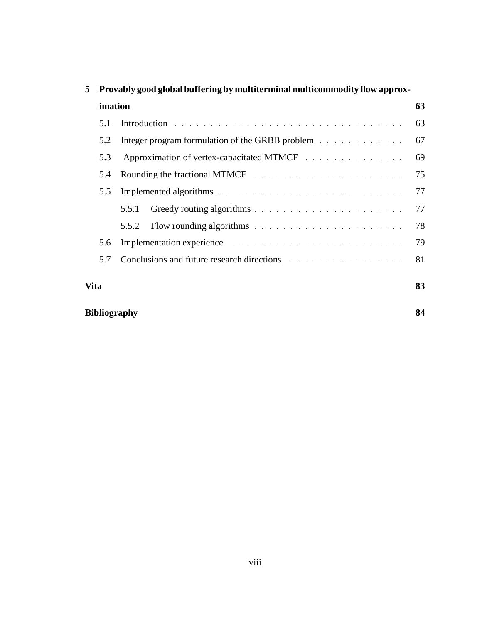| 5           |         | Provably good global buffering by multiterminal multicommodity flow approx- |    |  |  |
|-------------|---------|-----------------------------------------------------------------------------|----|--|--|
|             | imation |                                                                             |    |  |  |
|             | 5.1     |                                                                             | 63 |  |  |
|             | 5.2     | Integer program formulation of the GRBB problem                             | 67 |  |  |
|             | 5.3     |                                                                             | 69 |  |  |
|             | 5.4     |                                                                             | 75 |  |  |
|             | 5.5     |                                                                             | 77 |  |  |
|             |         | 5.5.1                                                                       | 77 |  |  |
|             |         | 5.5.2                                                                       | 78 |  |  |
|             | 5.6     |                                                                             | 79 |  |  |
|             | 5.7     |                                                                             | 81 |  |  |
| <b>Vita</b> |         |                                                                             | 83 |  |  |
|             |         | <b>Bibliography</b>                                                         | 84 |  |  |

## **5 Provably good global buffering by multiterminal multicommodity flow approx-**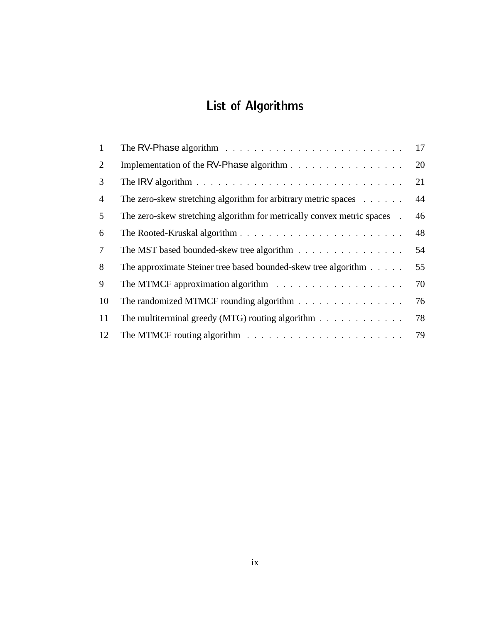# List of Algorithms

| 1              | The RV-Phase algorithm $\ldots \ldots \ldots \ldots \ldots \ldots \ldots \ldots \ldots$          | 17 |
|----------------|--------------------------------------------------------------------------------------------------|----|
| 2              |                                                                                                  | 20 |
| 3              | The IRV algorithm $\ldots \ldots \ldots \ldots \ldots \ldots \ldots \ldots \ldots \ldots \ldots$ | 21 |
| $\overline{4}$ | The zero-skew stretching algorithm for arbitrary metric spaces                                   | 44 |
| 5              | The zero-skew stretching algorithm for metrically convex metric spaces                           | 46 |
| 6              |                                                                                                  | 48 |
| $\tau$         | The MST based bounded-skew tree algorithm                                                        | 54 |
| 8              | The approximate Steiner tree based bounded-skew tree algorithm                                   | 55 |
| 9              |                                                                                                  | 70 |
| 10             | The randomized MTMCF rounding algorithm                                                          | 76 |
| 11             | The multiterminal greedy (MTG) routing algorithm $\ldots \ldots \ldots \ldots$                   | 78 |
| 12             |                                                                                                  | 79 |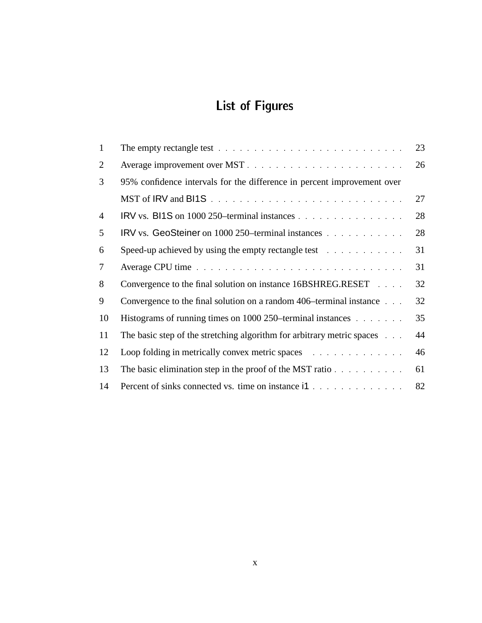# List of Figures

| $\mathbf{1}$   |                                                                                                                                                                                                                                | 23 |
|----------------|--------------------------------------------------------------------------------------------------------------------------------------------------------------------------------------------------------------------------------|----|
| $\overline{2}$ | Average improvement over MST.                                                                                                                                                                                                  | 26 |
| 3              | 95% confidence intervals for the difference in percent improvement over                                                                                                                                                        |    |
|                |                                                                                                                                                                                                                                | 27 |
| $\overline{4}$ |                                                                                                                                                                                                                                | 28 |
| 5              | IRV vs. GeoSteiner on 1000 250–terminal instances                                                                                                                                                                              | 28 |
| 6              | Speed-up achieved by using the empty rectangle test                                                                                                                                                                            | 31 |
| $\tau$         |                                                                                                                                                                                                                                | 31 |
| 8              | Convergence to the final solution on instance 16BSHREG.RESET                                                                                                                                                                   | 32 |
| 9              | Convergence to the final solution on a random 406–terminal instance                                                                                                                                                            | 32 |
| 10             | Histograms of running times on 1000 250–terminal instances                                                                                                                                                                     | 35 |
| 11             | The basic step of the stretching algorithm for arbitrary metric spaces                                                                                                                                                         | 44 |
| 12             | Loop folding in metrically convex metric spaces entertainment of the set of the space of the space of the set of the set of the set of the set of the set of the set of the set of the set of the set of the set of the set of | 46 |
| 13             | The basic elimination step in the proof of the MST ratio $\ldots$ ,                                                                                                                                                            | 61 |
| 14             | Percent of sinks connected vs. time on instance i1                                                                                                                                                                             | 82 |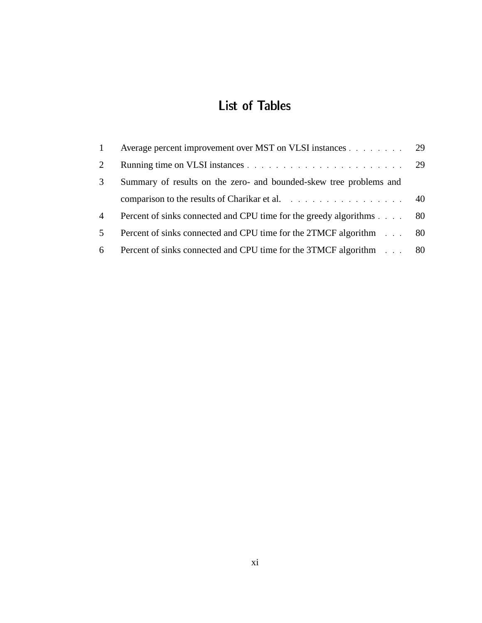## List of Tables

|                | Average percent improvement over MST on VLSI instances 29            |  |
|----------------|----------------------------------------------------------------------|--|
| $\overline{2}$ |                                                                      |  |
| 3              | Summary of results on the zero- and bounded-skew tree problems and   |  |
|                | comparison to the results of Charikar et al.                         |  |
| 4              | Percent of sinks connected and CPU time for the greedy algorithms 80 |  |
| $5^{\circ}$    | Percent of sinks connected and CPU time for the 2TMCF algorithm 80   |  |
| 6              | Percent of sinks connected and CPU time for the 3TMCF algorithm 80   |  |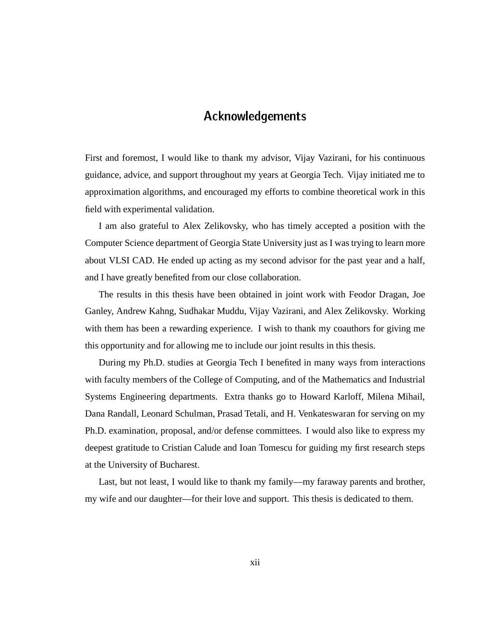## Acknowledgements

First and foremost, I would like to thank my advisor, Vijay Vazirani, for his continuous guidance, advice, and support throughout my years at Georgia Tech. Vijay initiated me to approximation algorithms, and encouraged my efforts to combine theoretical work in this field with experimental validation.

I am also grateful to Alex Zelikovsky, who has timely accepted a position with the Computer Science department of Georgia State University just as I was trying to learn more about VLSI CAD. He ended up acting as my second advisor for the past year and a half, and I have greatly benefited from our close collaboration.

The results in this thesis have been obtained in joint work with Feodor Dragan, Joe Ganley, Andrew Kahng, Sudhakar Muddu, Vijay Vazirani, and Alex Zelikovsky. Working with them has been a rewarding experience. I wish to thank my coauthors for giving me this opportunity and for allowing me to include our joint results in this thesis.

During my Ph.D. studies at Georgia Tech I benefited in many ways from interactions with faculty members of the College of Computing, and of the Mathematics and Industrial Systems Engineering departments. Extra thanks go to Howard Karloff, Milena Mihail, Dana Randall, Leonard Schulman, Prasad Tetali, and H. Venkateswaran for serving on my Ph.D. examination, proposal, and/or defense committees. I would also like to express my deepest gratitude to Cristian Calude and Ioan Tomescu for guiding my first research steps at the University of Bucharest.

Last, but not least, I would like to thank my family—my faraway parents and brother, my wife and our daughter—for their love and support. This thesis is dedicated to them.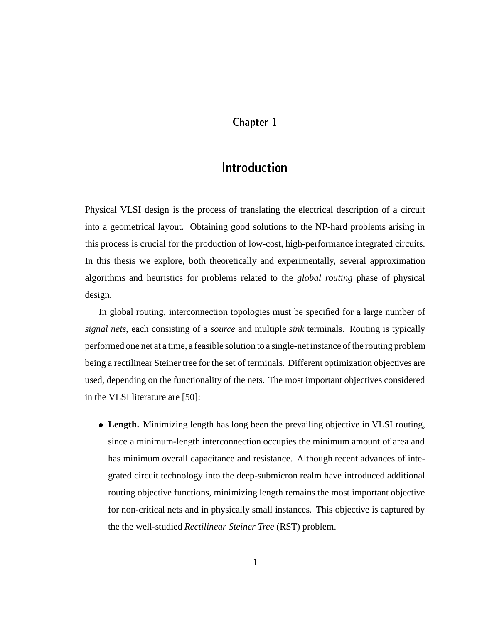## Chapter 1

Physical VLSI design is the process of translating the electrical description of a circuit into a geometrical layout. Obtaining good solutions to the NP-hard problems arising in this process is crucial for the production of low-cost, high-performance integrated circuits. In this thesis we explore, both theoretically and experimentally, several approximation algorithms and heuristics for problems related to the *global routing* phase of physical design.

In global routing, interconnection topologies must be specified for a large number of *signal nets*, each consisting of a *source* and multiple *sink* terminals. Routing is typically performed one net at a time, a feasible solution to a single-net instance of the routing problem being a rectilinear Steiner tree for the set of terminals. Different optimization objectives are used, depending on the functionality of the nets. The most important objectives considered in the VLSI literature are [50]:

 **Length.** Minimizing length has long been the prevailing objective in VLSI routing, since a minimum-length interconnection occupies the minimum amount of area and has minimum overall capacitance and resistance. Although recent advances of integrated circuit technology into the deep-submicron realm have introduced additional routing objective functions, minimizing length remains the most important objective for non-critical nets and in physically small instances. This objective is captured by the the well-studied *Rectilinear Steiner Tree* (RST) problem.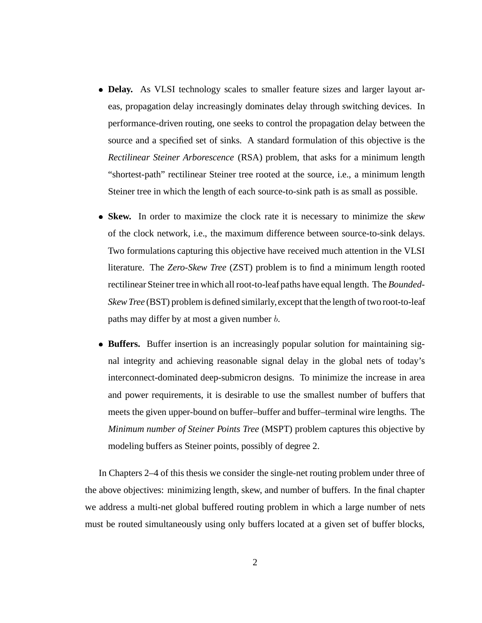- **Delay.** As VLSI technology scales to smaller feature sizes and larger layout areas, propagation delay increasingly dominates delay through switching devices. In performance-driven routing, one seeks to control the propagation delay between the source and a specified set of sinks. A standard formulation of this objective is the *Rectilinear Steiner Arborescence* (RSA) problem, that asks for a minimum length "shortest-path" rectilinear Steiner tree rooted at the source, i.e., a minimum length Steiner tree in which the length of each source-to-sink path is as small as possible.
- **Skew.** In order to maximize the clock rate it is necessary to minimize the *skew* of the clock network, i.e., the maximum difference between source-to-sink delays. Two formulations capturing this objective have received much attention in the VLSI literature. The *Zero-Skew Tree* (ZST) problem is to find a minimum length rooted rectilinear Steiner tree in which all root-to-leaf paths have equal length. The *Bounded-Skew Tree* (BST) problem is defined similarly, except that the length of two root-to-leaf paths may differ by at most a given number  $b$ .
- Buffers. Buffer insertion is an increasingly popular solution for maintaining signal integrity and achieving reasonable signal delay in the global nets of today's interconnect-dominated deep-submicron designs. To minimize the increase in area and power requirements, it is desirable to use the smallest number of buffers that meets the given upper-bound on buffer–buffer and buffer–terminal wire lengths. The *Minimum number of Steiner Points Tree* (MSPT) problem captures this objective by modeling buffers as Steiner points, possibly of degree 2.

In Chapters 2–4 of this thesis we consider the single-net routing problem under three of the above objectives: minimizing length, skew, and number of buffers. In the final chapter we address a multi-net global buffered routing problem in which a large number of nets must be routed simultaneously using only buffers located at a given set of buffer blocks,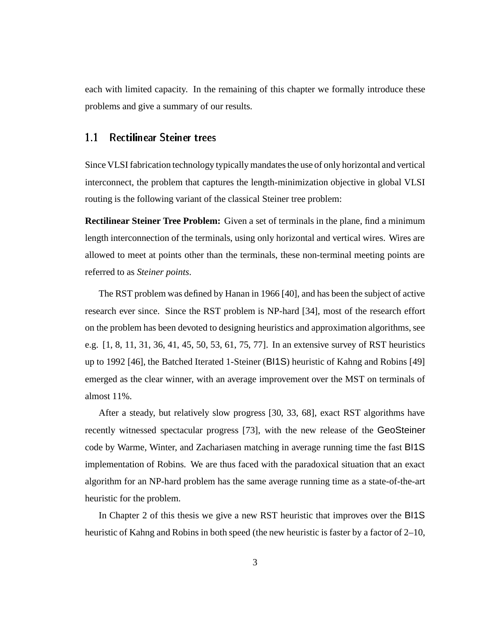each with limited capacity. In the remaining of this chapter we formally introduce these problems and give a summary of our results.

## 1.1 Rectilinear Steiner trees

Since VLSI fabrication technology typically mandates the use of only horizontal and vertical interconnect, the problem that captures the length-minimization objective in global VLSI routing is the following variant of the classical Steiner tree problem:

**Rectilinear Steiner Tree Problem:** Given a set of terminals in the plane, find a minimum length interconnection of the terminals, using only horizontal and vertical wires. Wires are allowed to meet at points other than the terminals, these non-terminal meeting points are referred to as *Steiner points*.

The RST problem was defined by Hanan in 1966 [40], and has been the subject of active research ever since. Since the RST problem is NP-hard [34], most of the research effort on the problem has been devoted to designing heuristics and approximation algorithms, see e.g. [1, 8, 11, 31, 36, 41, 45, 50, 53, 61, 75, 77]. In an extensive survey of RST heuristics up to 1992 [46], the Batched Iterated 1-Steiner (BI1S) heuristic of Kahng and Robins [49] emerged as the clear winner, with an average improvement over the MST on terminals of almost 11%.

After a steady, but relatively slow progress [30, 33, 68], exact RST algorithms have recently witnessed spectacular progress [73], with the new release of the GeoSteiner code by Warme, Winter, and Zachariasen matching in average running time the fast BI1S implementation of Robins. We are thus faced with the paradoxical situation that an exact algorithm for an NP-hard problem has the same average running time as a state-of-the-art heuristic for the problem.

In Chapter 2 of this thesis we give a new RST heuristic that improves over the BI1S heuristic of Kahng and Robins in both speed (the new heuristic is faster by a factor of 2–10,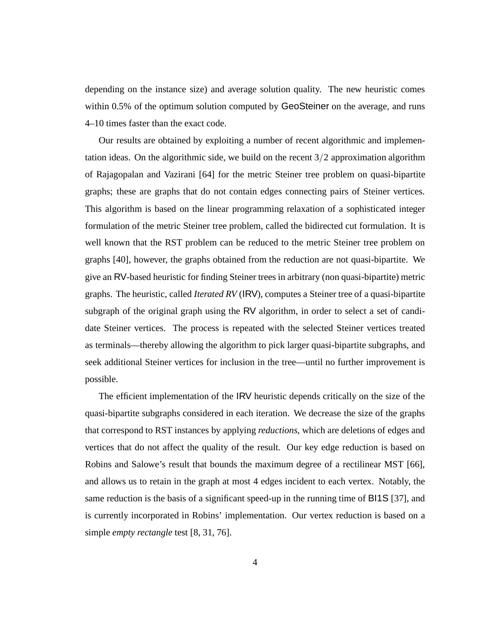depending on the instance size) and average solution quality. The new heuristic comes within 0.5% of the optimum solution computed by GeoSteiner on the average, and runs 4–10 times faster than the exact code.

Our results are obtained by exploiting a number of recent algorithmic and implementation ideas. On the algorithmic side, we build on the recent  $3/2$  approximation algorithm of Rajagopalan and Vazirani [64] for the metric Steiner tree problem on quasi-bipartite graphs; these are graphs that do not contain edges connecting pairs of Steiner vertices. This algorithm is based on the linear programming relaxation of a sophisticated integer formulation of the metric Steiner tree problem, called the bidirected cut formulation. It is well known that the RST problem can be reduced to the metric Steiner tree problem on graphs [40], however, the graphs obtained from the reduction are not quasi-bipartite. We give an RV-based heuristic for finding Steiner trees in arbitrary (non quasi-bipartite) metric graphs. The heuristic, called *Iterated RV* (IRV), computes a Steiner tree of a quasi-bipartite subgraph of the original graph using the RV algorithm, in order to select a set of candidate Steiner vertices. The process is repeated with the selected Steiner vertices treated as terminals—thereby allowing the algorithm to pick larger quasi-bipartite subgraphs, and seek additional Steiner vertices for inclusion in the tree—until no further improvement is possible.

The efficient implementation of the IRV heuristic depends critically on the size of the quasi-bipartite subgraphs considered in each iteration. We decrease the size of the graphs that correspond to RST instances by applying *reductions*, which are deletions of edges and vertices that do not affect the quality of the result. Our key edge reduction is based on Robins and Salowe's result that bounds the maximum degree of a rectilinear MST [66], and allows us to retain in the graph at most 4 edges incident to each vertex. Notably, the same reduction is the basis of a significant speed-up in the running time of BI1S [37], and is currently incorporated in Robins' implementation. Our vertex reduction is based on a simple *empty rectangle* test [8, 31, 76].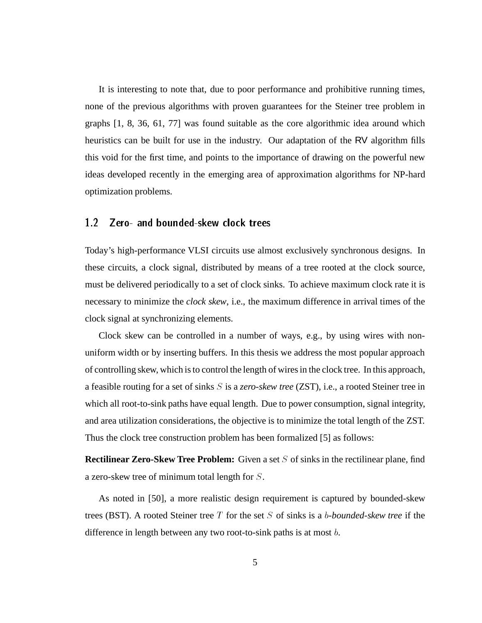It is interesting to note that, due to poor performance and prohibitive running times, none of the previous algorithms with proven guarantees for the Steiner tree problem in graphs [1, 8, 36, 61, 77] was found suitable as the core algorithmic idea around which heuristics can be built for use in the industry. Our adaptation of the RV algorithm fills this void for the first time, and points to the importance of drawing on the powerful new ideas developed recently in the emerging area of approximation algorithms for NP-hard optimization problems.

#### $12<sub>2</sub>$ Zero- and bounded-skew clock trees

Today's high-performance VLSI circuits use almost exclusively synchronous designs. In these circuits, a clock signal, distributed by means of a tree rooted at the clock source, must be delivered periodically to a set of clock sinks. To achieve maximum clock rate it is necessary to minimize the *clock skew*, i.e., the maximum difference in arrival times of the clock signal at synchronizing elements.

Clock skew can be controlled in a number of ways, e.g., by using wires with nonuniform width or by inserting buffers. In this thesis we address the most popular approach of controlling skew, which is to control the length of wires in the clock tree. In this approach, a feasible routing for a set of sinks S is a *zero-skew tree* (ZST), i.e., a rooted Steiner tree in which all root-to-sink paths have equal length. Due to power consumption, signal integrity, and area utilization considerations, the objective is to minimize the total length of the ZST. Thus the clock tree construction problem has been formalized [5] as follows:

**Rectilinear Zero-Skew Tree Problem:** Given a set S of sinks in the rectilinear plane, find a zero-skew tree of minimum total length for <sup>S</sup>.

As noted in [50], a more realistic design requirement is captured by bounded-skew trees (BST). A rooted Steiner tree T for the set S of sinks is a b*-bounded-skew tree* if the difference in length between any two root-to-sink paths is at most <sup>b</sup>.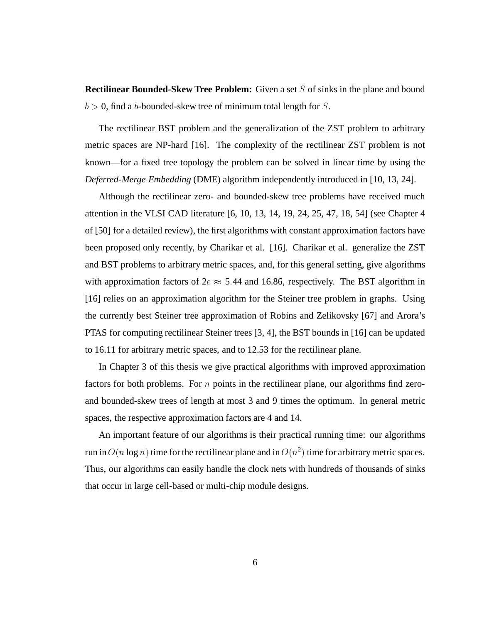**Rectilinear Bounded-Skew Tree Problem:** Given a set S of sinks in the plane and bound  $b > 0$ , find a b-bounded-skew tree of minimum total length for S.

The rectilinear BST problem and the generalization of the ZST problem to arbitrary metric spaces are NP-hard [16]. The complexity of the rectilinear ZST problem is not known—for a fixed tree topology the problem can be solved in linear time by using the *Deferred-Merge Embedding* (DME) algorithm independently introduced in [10, 13, 24].

Although the rectilinear zero- and bounded-skew tree problems have received much attention in the VLSI CAD literature [6, 10, 13, 14, 19, 24, 25, 47, 18, 54] (see Chapter 4 of [50] for a detailed review), the first algorithms with constant approximation factors have been proposed only recently, by Charikar et al. [16]. Charikar et al. generalize the ZST and BST problems to arbitrary metric spaces, and, for this general setting, give algorithms with approximation factors of  $2e \approx 5.44$  and 16.86, respectively. The BST algorithm in [16] relies on an approximation algorithm for the Steiner tree problem in graphs. Using the currently best Steiner tree approximation of Robins and Zelikovsky [67] and Arora's PTAS for computing rectilinear Steiner trees [3, 4], the BST bounds in [16] can be updated to 16.11 for arbitrary metric spaces, and to 12.53 for the rectilinear plane.

In Chapter 3 of this thesis we give practical algorithms with improved approximation factors for both problems. For  $n$  points in the rectilinear plane, our algorithms find zeroand bounded-skew trees of length at most 3 and 9 times the optimum. In general metric spaces, the respective approximation factors are 4 and 14.

An important feature of our algorithms is their practical running time: our algorithms run in  $O(n \log n)$  time for the rectilinear plane and in  $O(n^2)$  time for arbitrary metric spaces. Thus, our algorithms can easily handle the clock nets with hundreds of thousands of sinks that occur in large cell-based or multi-chip module designs.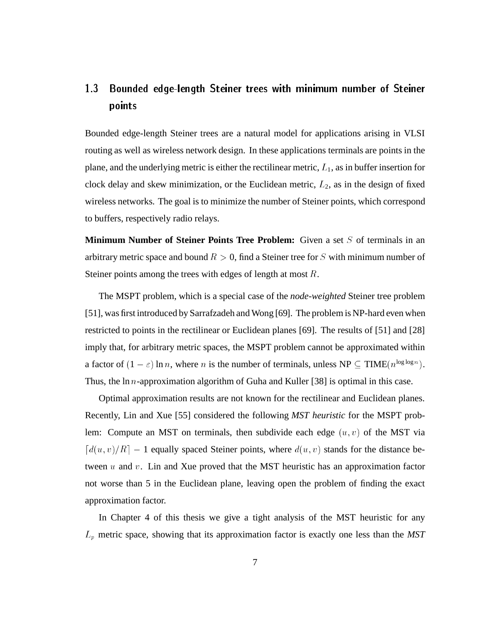### 13 1.3 Bounded edge-length Steiner trees with minimum number of Steiner points

Bounded edge-length Steiner trees are a natural model for applications arising in VLSI routing as well as wireless network design. In these applications terminals are points in the plane, and the underlying metric is either the rectilinear metric,  $L_1$ , as in buffer insertion for clock delay and skew minimization, or the Euclidean metric,  $L_2$ , as in the design of fixed wireless networks. The goal is to minimize the number of Steiner points, which correspond to buffers, respectively radio relays.

**Minimum Number of Steiner Points Tree Problem:** Given a set S of terminals in an arbitrary metric space and bound  $R > 0$ , find a Steiner tree for S with minimum number of Steiner points among the trees with edges of length at most  $R$ .

The MSPT problem, which is a special case of the *node-weighted* Steiner tree problem [51], was first introduced by Sarrafzadeh and Wong [69]. The problem is NP-hard even when restricted to points in the rectilinear or Euclidean planes [69]. The results of [51] and [28] imply that, for arbitrary metric spaces, the MSPT problem cannot be approximated within a factor of  $(1 - \varepsilon) \ln n$ , where *n* is the number of terminals, unless  $NP \subseteq TIME(n^{\log \log n})$ . Thus, the ln *n*-approximation algorithm of Guha and Kuller [38] is optimal in this case.

Optimal approximation results are not known for the rectilinear and Euclidean planes. Recently, Lin and Xue [55] considered the following *MST heuristic* for the MSPT problem: Compute an MST on terminals, then subdivide each edge  $(u, v)$  of the MST via  $\lceil d(u, v)/R \rceil - 1$  equally spaced Steiner points, where  $d(u, v)$  stands for the distance between  $u$  and  $v$ . Lin and Xue proved that the MST heuristic has an approximation factor not worse than 5 in the Euclidean plane, leaving open the problem of finding the exact approximation factor.

In Chapter 4 of this thesis we give a tight analysis of the MST heuristic for any Lp metric space, showing that its approximation factor is exactly one less than the *MST*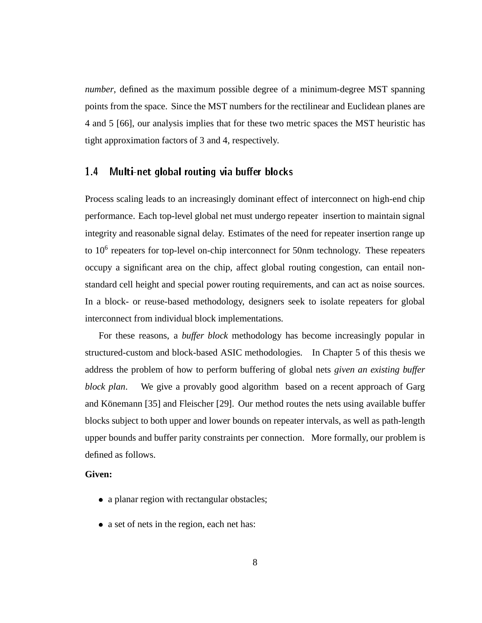*number*, defined as the maximum possible degree of a minimum-degree MST spanning points from the space. Since the MST numbers for the rectilinear and Euclidean planes are 4 and 5 [66], our analysis implies that for these two metric spaces the MST heuristic has tight approximation factors of 3 and 4, respectively.

#### $1.4$ Multi-net global routing via buffer blocks

Process scaling leads to an increasingly dominant effect of interconnect on high-end chip performance. Each top-level global net must undergo repeater insertion to maintain signal integrity and reasonable signal delay. Estimates of the need for repeater insertion range up to 10<sup>6</sup> repeaters for top-level on-chip interconnect for 50nm technology. These repeaters occupy a significant area on the chip, affect global routing congestion, can entail nonstandard cell height and special power routing requirements, and can act as noise sources. In a block- or reuse-based methodology, designers seek to isolate repeaters for global interconnect from individual block implementations.

For these reasons, a *buffer block* methodology has become increasingly popular in structured-custom and block-based ASIC methodologies. In Chapter 5 of this thesis we address the problem of how to perform buffering of global nets *given an existing buffer block plan*. We give a provably good algorithm based on a recent approach of Garg and Könemann [35] and Fleischer [29]. Our method routes the nets using available buffer blocks subject to both upper and lower bounds on repeater intervals, as well as path-length upper bounds and buffer parity constraints per connection. More formally, our problem is defined as follows.

### **Given:**

- a planar region with rectangular obstacles;
- a set of nets in the region, each net has: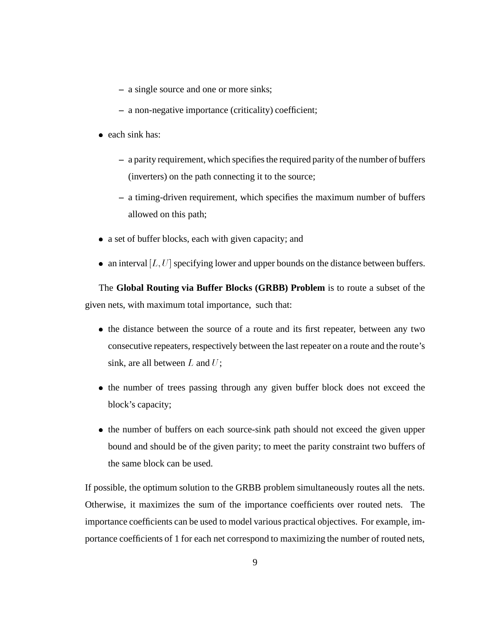- **–** a single source and one or more sinks;
- **–** a non-negative importance (criticality) coefficient;
- each sink has:
	- **–** a parity requirement, which specifies the required parity of the number of buffers (inverters) on the path connecting it to the source;
	- **–** a timing-driven requirement, which specifies the maximum number of buffers allowed on this path;
- a set of buffer blocks, each with given capacity; and
- an interval  $[L, U]$  specifying lower and upper bounds on the distance between buffers.

The **Global Routing via Buffer Blocks (GRBB) Problem** is to route a subset of the given nets, with maximum total importance, such that:

- the distance between the source of a route and its first repeater, between any two consecutive repeaters, respectively between the last repeater on a route and the route's sink, are all between  $L$  and  $U$ ;
- the number of trees passing through any given buffer block does not exceed the block's capacity;
- the number of buffers on each source-sink path should not exceed the given upper bound and should be of the given parity; to meet the parity constraint two buffers of the same block can be used.

If possible, the optimum solution to the GRBB problem simultaneously routes all the nets. Otherwise, it maximizes the sum of the importance coefficients over routed nets. The importance coefficients can be used to model various practical objectives. For example, importance coefficients of 1 for each net correspond to maximizing the number of routed nets,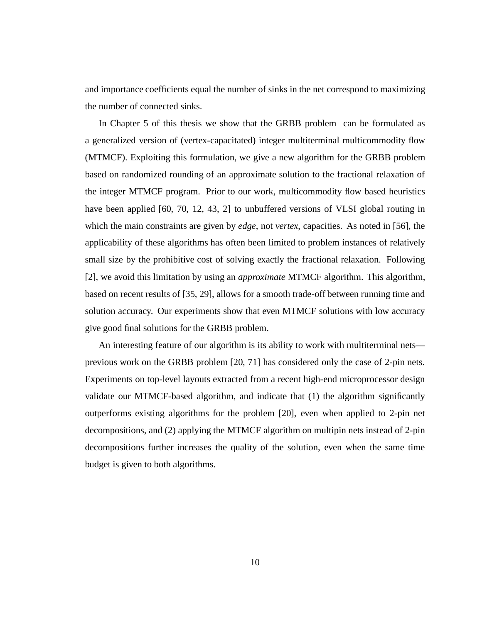and importance coefficients equal the number of sinks in the net correspond to maximizing the number of connected sinks.

In Chapter 5 of this thesis we show that the GRBB problem can be formulated as a generalized version of (vertex-capacitated) integer multiterminal multicommodity flow (MTMCF). Exploiting this formulation, we give a new algorithm for the GRBB problem based on randomized rounding of an approximate solution to the fractional relaxation of the integer MTMCF program. Prior to our work, multicommodity flow based heuristics have been applied [60, 70, 12, 43, 2] to unbuffered versions of VLSI global routing in which the main constraints are given by *edge*, not *vertex*, capacities. As noted in [56], the applicability of these algorithms has often been limited to problem instances of relatively small size by the prohibitive cost of solving exactly the fractional relaxation. Following [2], we avoid this limitation by using an *approximate* MTMCF algorithm. This algorithm, based on recent results of [35, 29], allows for a smooth trade-off between running time and solution accuracy. Our experiments show that even MTMCF solutions with low accuracy give good final solutions for the GRBB problem.

An interesting feature of our algorithm is its ability to work with multiterminal nets previous work on the GRBB problem [20, 71] has considered only the case of 2-pin nets. Experiments on top-level layouts extracted from a recent high-end microprocessor design validate our MTMCF-based algorithm, and indicate that (1) the algorithm significantly outperforms existing algorithms for the problem [20], even when applied to 2-pin net decompositions, and (2) applying the MTMCF algorithm on multipin nets instead of 2-pin decompositions further increases the quality of the solution, even when the same time budget is given to both algorithms.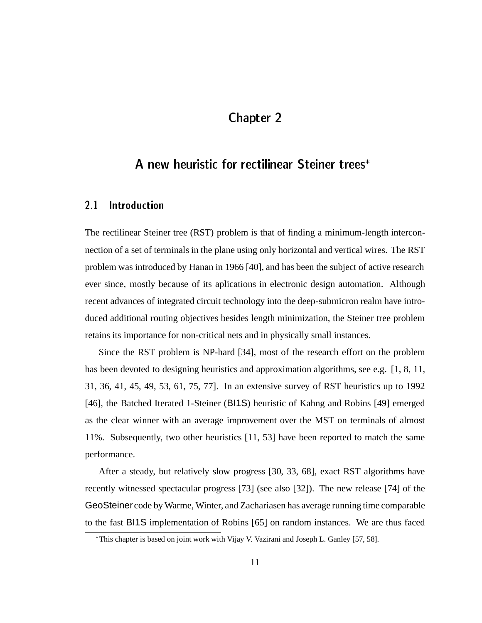## Chapter 2

## A new heuristic for rectilinear Steiner trees

### 2.1 **Introduction**

The rectilinear Steiner tree (RST) problem is that of finding a minimum-length interconnection of a set of terminals in the plane using only horizontal and vertical wires. The RST problem was introduced by Hanan in 1966 [40], and has been the subject of active research ever since, mostly because of its aplications in electronic design automation. Although recent advances of integrated circuit technology into the deep-submicron realm have introduced additional routing objectives besides length minimization, the Steiner tree problem retains its importance for non-critical nets and in physically small instances.

Since the RST problem is NP-hard [34], most of the research effort on the problem has been devoted to designing heuristics and approximation algorithms, see e.g. [1, 8, 11, 31, 36, 41, 45, 49, 53, 61, 75, 77]. In an extensive survey of RST heuristics up to 1992 [46], the Batched Iterated 1-Steiner (BI1S) heuristic of Kahng and Robins [49] emerged as the clear winner with an average improvement over the MST on terminals of almost 11%. Subsequently, two other heuristics [11, 53] have been reported to match the same performance.

After a steady, but relatively slow progress [30, 33, 68], exact RST algorithms have recently witnessed spectacular progress [73] (see also [32]). The new release [74] of the GeoSteiner code by Warme, Winter, and Zachariasen has average running time comparable to the fast BI1S implementation of Robins [65] on random instances. We are thus faced

This chapter is based on joint work with Vijay V. Vazirani and Joseph L. Ganley [57, 58].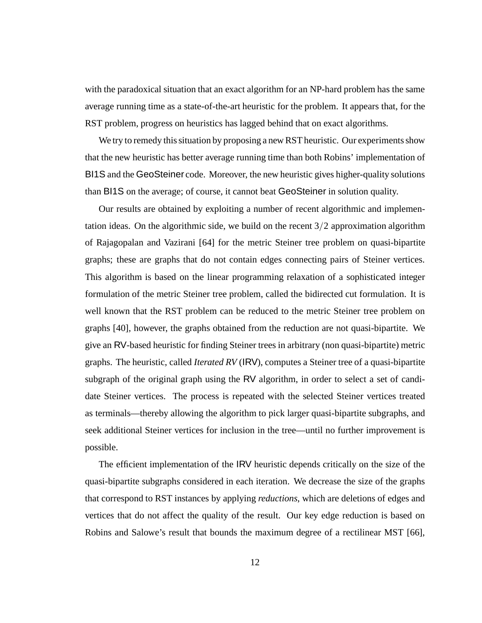with the paradoxical situation that an exact algorithm for an NP-hard problem has the same average running time as a state-of-the-art heuristic for the problem. It appears that, for the RST problem, progress on heuristics has lagged behind that on exact algorithms.

We try to remedy this situation by proposing a new RST heuristic. Our experiments show that the new heuristic has better average running time than both Robins' implementation of BI1S and the GeoSteiner code. Moreover, the new heuristic gives higher-quality solutions than BI1S on the average; of course, it cannot beat GeoSteiner in solution quality.

Our results are obtained by exploiting a number of recent algorithmic and implementation ideas. On the algorithmic side, we build on the recent  $3/2$  approximation algorithm of Rajagopalan and Vazirani [64] for the metric Steiner tree problem on quasi-bipartite graphs; these are graphs that do not contain edges connecting pairs of Steiner vertices. This algorithm is based on the linear programming relaxation of a sophisticated integer formulation of the metric Steiner tree problem, called the bidirected cut formulation. It is well known that the RST problem can be reduced to the metric Steiner tree problem on graphs [40], however, the graphs obtained from the reduction are not quasi-bipartite. We give an RV-based heuristic for finding Steiner trees in arbitrary (non quasi-bipartite) metric graphs. The heuristic, called *Iterated RV* (IRV), computes a Steiner tree of a quasi-bipartite subgraph of the original graph using the RV algorithm, in order to select a set of candidate Steiner vertices. The process is repeated with the selected Steiner vertices treated as terminals—thereby allowing the algorithm to pick larger quasi-bipartite subgraphs, and seek additional Steiner vertices for inclusion in the tree—until no further improvement is possible.

The efficient implementation of the IRV heuristic depends critically on the size of the quasi-bipartite subgraphs considered in each iteration. We decrease the size of the graphs that correspond to RST instances by applying *reductions*, which are deletions of edges and vertices that do not affect the quality of the result. Our key edge reduction is based on Robins and Salowe's result that bounds the maximum degree of a rectilinear MST [66],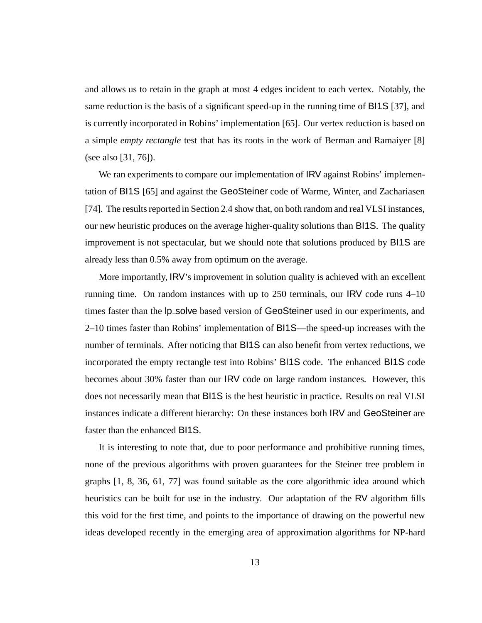and allows us to retain in the graph at most 4 edges incident to each vertex. Notably, the same reduction is the basis of a significant speed-up in the running time of BI1S [37], and is currently incorporated in Robins' implementation [65]. Our vertex reduction is based on a simple *empty rectangle* test that has its roots in the work of Berman and Ramaiyer [8] (see also [31, 76]).

We ran experiments to compare our implementation of IRV against Robins' implementation of BI1S [65] and against the GeoSteiner code of Warme, Winter, and Zachariasen [74]. The results reported in Section 2.4 show that, on both random and real VLSI instances, our new heuristic produces on the average higher-quality solutions than BI1S. The quality improvement is not spectacular, but we should note that solutions produced by BI1S are already less than 0.5% away from optimum on the average.

More importantly, IRV's improvement in solution quality is achieved with an excellent running time. On random instances with up to 250 terminals, our IRV code runs 4–10 times faster than the  $lp$  solve based version of GeoSteiner used in our experiments, and 2–10 times faster than Robins' implementation of BI1S—the speed-up increases with the number of terminals. After noticing that BI1S can also benefit from vertex reductions, we incorporated the empty rectangle test into Robins' BI1S code. The enhanced BI1S code becomes about 30% faster than our IRV code on large random instances. However, this does not necessarily mean that BI1S is the best heuristic in practice. Results on real VLSI instances indicate a different hierarchy: On these instances both IRV and GeoSteiner are faster than the enhanced BI1S.

It is interesting to note that, due to poor performance and prohibitive running times, none of the previous algorithms with proven guarantees for the Steiner tree problem in graphs [1, 8, 36, 61, 77] was found suitable as the core algorithmic idea around which heuristics can be built for use in the industry. Our adaptation of the RV algorithm fills this void for the first time, and points to the importance of drawing on the powerful new ideas developed recently in the emerging area of approximation algorithms for NP-hard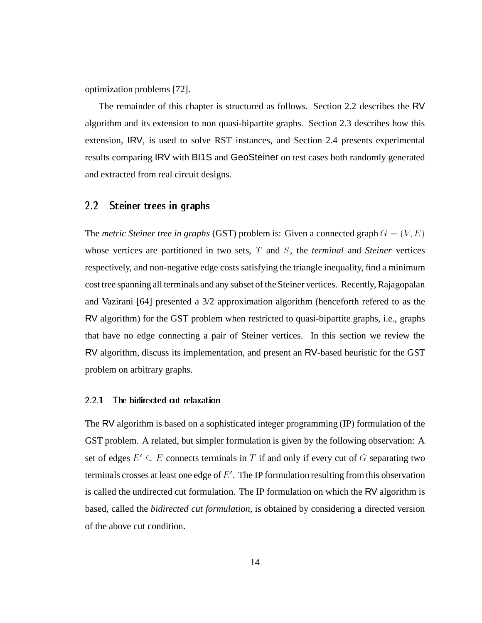optimization problems [72].

The remainder of this chapter is structured as follows. Section 2.2 describes the RV algorithm and its extension to non quasi-bipartite graphs. Section 2.3 describes how this extension, IRV, is used to solve RST instances, and Section 2.4 presents experimental results comparing IRV with BI1S and GeoSteiner on test cases both randomly generated and extracted from real circuit designs.

#### $2.2$ Steiner trees in graphs

The *metric Steiner tree in graphs* (GST) problem is: Given a connected graph  $G = (V, E)$ whose vertices are partitioned in two sets, T and S, the *terminal* and *Steiner* vertices respectively, and non-negative edge costs satisfying the triangle inequality, find a minimum cost tree spanning all terminals and any subset of the Steiner vertices. Recently, Rajagopalan and Vazirani [64] presented a 3/2 approximation algorithm (henceforth refered to as the RV algorithm) for the GST problem when restricted to quasi-bipartite graphs, i.e., graphs that have no edge connecting a pair of Steiner vertices. In this section we review the RV algorithm, discuss its implementation, and present an RV-based heuristic for the GST problem on arbitrary graphs.

#### ----The bidirected cut relaxation

The RV algorithm is based on a sophisticated integer programming (IP) formulation of the GST problem. A related, but simpler formulation is given by the following observation: A set of edges  $E' \subseteq E$  connects terminals in T if and only if every cut of G separating two terminals crosses at least one edge of  $E'$ . The IP formulation resulting from this observation is called the undirected cut formulation. The IP formulation on which the RV algorithm is based, called the *bidirected cut formulation*, is obtained by considering a directed version of the above cut condition.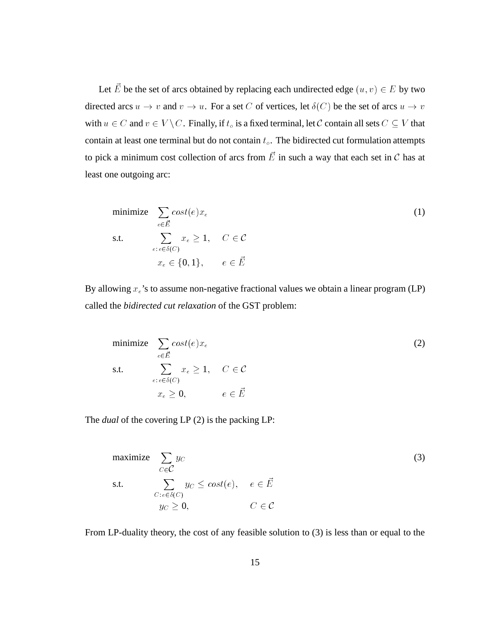Let E be the set of arcs obtained by replacing each undirected edge  $(u, v) \in E$  by two directed arcs  $u \to v$  and  $v \to u$ . For a set C of vertices, let  $\delta(C)$  be the set of arcs  $u \to v$ with  $u \in C$  and  $v \in V \setminus C$ . Finally, if  $t_o$  is a fixed terminal, let  $C$  contain all sets  $C \subseteq V$  that contain at least one terminal but do not contain  $t<sub>o</sub>$ . The bidirected cut formulation attempts to pick a minimum cost collection of arcs from  $E$  in such a way that each set in  $\mathcal C$  has at least one outgoing arc:

minimize 
$$
\sum_{e \in \vec{E}} cost(e)x_e
$$
  
\ns.t.  $\sum_{e:e \in \delta(C)} x_e \ge 1$ ,  $C \in \mathcal{C}$   
\n $x_e \in \{0, 1\}$ ,  $e \in \vec{E}$   
\nBy allowing  $x_e$ 's to assume non-negative fractional values we obtain a linear program (LP)

called the *bidirected cut relaxation* of the GST problem:

minimize 
$$
\sum_{e \in \vec{E}} cost(e)x_e
$$
  
s.t.  $\sum_{e:e \in \delta(C)} x_e \ge 1$ ,  $C \in \mathcal{C}$   
 $x_e \ge 0$ ,  $e \in \vec{E}$  (2)

The *dual* of the covering LP (2) is the packing LP:

maximize 
$$
\sum_{C \in C} y_C
$$
 (3)  
s.t.  $\sum_{C: e \in \delta(C)} y_C \le cost(e), e \in \vec{E}$   
 $y_C \ge 0, C \in \mathcal{C}$   
From LP-duality theory, the cost of any feasible solution to (3) is less than or equal to the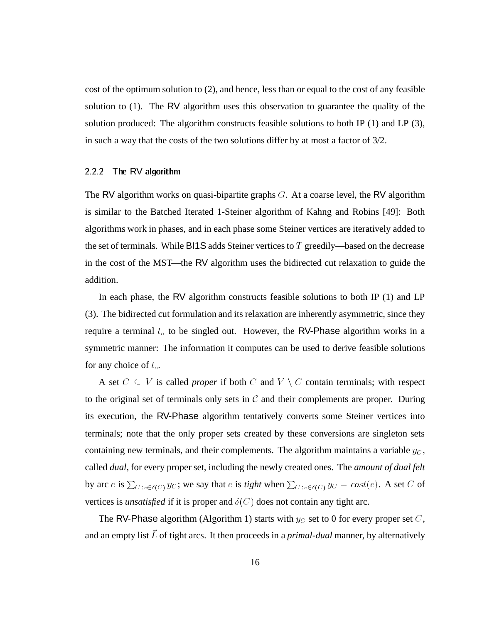cost of the optimum solution to (2), and hence, less than or equal to the cost of any feasible solution to (1). The RV algorithm uses this observation to guarantee the quality of the solution produced: The algorithm constructs feasible solutions to both IP (1) and LP (3), in such a way that the costs of the two solutions differ by at most a factor of 3/2.

### 2.2.2 The RV algorithm

The RV algorithm works on quasi-bipartite graphs  $G$ . At a coarse level, the RV algorithm is similar to the Batched Iterated 1-Steiner algorithm of Kahng and Robins [49]: Both algorithms work in phases, and in each phase some Steiner vertices are iteratively added to the set of terminals. While BI1S adds Steiner vertices to  $T$  greedily—based on the decrease in the cost of the MST—the RV algorithm uses the bidirected cut relaxation to guide the addition.

In each phase, the RV algorithm constructs feasible solutions to both IP (1) and LP (3). The bidirected cut formulation and its relaxation are inherently asymmetric, since they require a terminal  $t_o$  to be singled out. However, the RV-Phase algorithm works in a symmetric manner: The information it computes can be used to derive feasible solutions for any choice of  $t_o$ .

A set  $C \subseteq V$  is called *proper* if both C and  $V \setminus C$  contain terminals; with respect to the original set of terminals only sets in  $C$  and their complements are proper. During its execution, the RV-Phase algorithm tentatively converts some Steiner vertices into terminals; note that the only proper sets created by these conversions are singleton sets containing new terminals, and their complements. The algorithm maintains a variable  $y_C$ , called *dual*, for every proper set, including the newly created ones. The *amount of dual felt* by arc e is  $\sum_{C : e \in \delta(C)} y_C$ ; we say that e is *tight* when  $\sum_{C : e \in \delta(C)} y_C = cost(e)$ . A set C of vertices is *unsatisfied* if it is proper and  $\delta(C)$  does not contain any tight arc.

The RV-Phase algorithm (Algorithm 1) starts with  $y_C$  set to 0 for every proper set C, and an empty list  $\vec{L}$  of tight arcs. It then proceeds in a *primal-dual* manner, by alternatively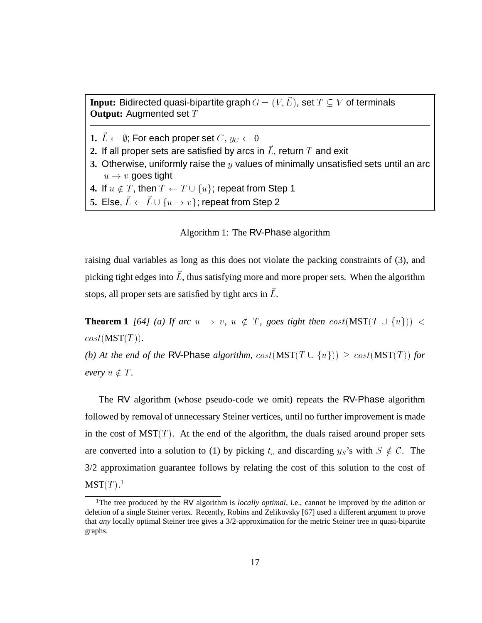**Input:** Bidirected quasi-bipartite graph  $G = (V, E)$ , set  $T \subseteq V$  of terminals **Output:** Augmented set T

- **1.**  $\vec{L} \leftarrow \emptyset$ ; For each proper set  $C, y_C \leftarrow 0$
- **2.** If all proper sets are satisfied by arcs in  $L$ , return  $T$  and exit
- **3.** Otherwise, uniformly raise the y values of minimally unsatisfied sets until an arc  $u \rightarrow v$  goes tight
- **4.** If  $u \notin T$ , then  $T \leftarrow T \cup \{u\}$ ; repeat from Step 1<br>**5.** Else,  $\vec{L} \leftarrow \vec{L} \cup \{u \rightarrow v\}$ ; repeat from Step 2
- **5.** Else,  $\vec{L} \leftarrow \vec{L} \cup \{u \rightarrow v\}$ ; repeat from Step 2<br>Algorithm 1: The RV-Pha

### Algorithm 1: The RV-Phase algorithm

raising dual variables as long as this does not violate the packing constraints of (3), and picking tight edges into  $L$ , thus satisfying more and more proper sets. When the algorithm stops, all proper sets are satisfied by tight arcs in  $L$ .

**Theorem 1** *[64] (a) If arc* u ! <sup>v</sup>*,* u =2 <sup>T</sup> *, goes tight then* cost(MST(T [ fug)) <sup>&</sup>lt;  $cost(MST(T))$ *.* 

*(b)* At the end of the RV-Phase *algorithm,*  $cost(MST(T \cup \{u\})) > cost(MST(T))$  *for every*  $u \notin T$ *.* 

The RV algorithm (whose pseudo-code we omit) repeats the RV-Phase algorithm followed by removal of unnecessary Steiner vertices, until no further improvement is made in the cost of  $MST(T)$ . At the end of the algorithm, the duals raised around proper sets are converted into a solution to (1) by picking  $t_o$  and discarding  $y_s$ 's with  $S \notin \mathcal{C}$ . The 3/2 approximation guarantee follows by relating the cost of this solution to the cost of  $\mathrm{MST}(T).^1$ 

<sup>&</sup>lt;sup>1</sup>The tree produced by the RV algorithm is *locally optimal*, i.e., cannot be improved by the adition or deletion of a single Steiner vertex. Recently, Robins and Zelikovsky [67] used a different argument to prove that *any* locally optimal Steiner tree gives a 3/2-approximation for the metric Steiner tree in quasi-bipartite graphs.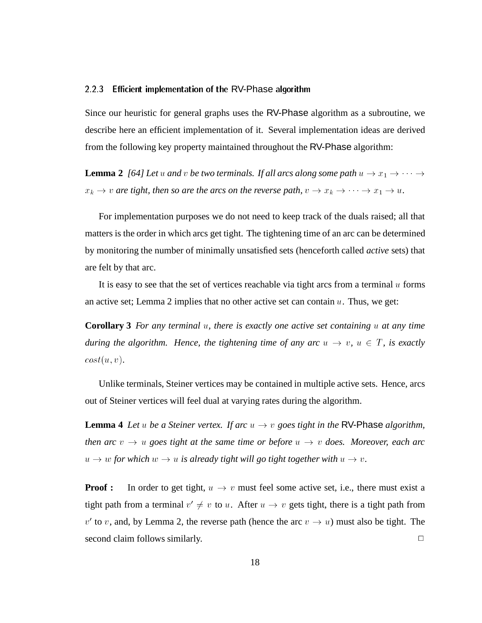#### 2.2.3Efficient implementation of the RV-Phase algorithm

Since our heuristic for general graphs uses the RV-Phase algorithm as a subroutine, we describe here an efficient implementation of it. Several implementation ideas are derived from the following key property maintained throughout the RV-Phase algorithm:

**Lemma 2** [64] Let u and v be two terminals. If all arcs along some path  $u \to x_1 \to \cdots \to$  $\rightarrow x_1 \rightarrow \cdots \rightarrow$ <br> $\rightarrow x_1 \rightarrow u.$  $\cdots$   $\sim$ 

 $\rightarrow$  *v are tight, then so are the arcs on the reverse path,*  $v \rightarrow x_k \rightarrow \cdots \rightarrow x_1 \rightarrow u$ .<br>For implementation purposes we do not need to keep track of the duals raised; all that For implementation purposes we do not need to keep track of the duals raised; all that matters is the order in which arcs get tight. The tightening time of an arc can be determined by monitoring the number of minimally unsatisfied sets (henceforth called *active* sets) that are felt by that arc.

It is easy to see that the set of vertices reachable via tight arcs from a terminal  $u$  forms an active set; Lemma 2 implies that no other active set can contain  $u$ . Thus, we get:

**Corollary 3** *For any terminal* <sup>u</sup>*, there is exactly one active set containing* <sup>u</sup> *at any time during the algorithm. Hence, the tightening time of any arc*  $u \rightarrow v$ ,  $u \in T$ , is exactly  $cost(u, v)$ .

Unlike terminals, Steiner vertices may be contained in multiple active sets. Hence, arcs out of Steiner vertices will feel dual at varying rates during the algorithm.

**Lemma 4** *Let u be a Steiner vertex. If arc*  $u \rightarrow v$  *goes tight in the* RV-Phase *algorithm*, *then arc*  $v \rightarrow u$  goes tight at the same time or before  $u \rightarrow v$  does. Moreover, each arc  $u \rightarrow w$  for which  $w \rightarrow u$  is already tight will go tight together with  $u \rightarrow v$ .

**Proof :** In order to get tight,  $u \rightarrow v$  must feel some active set, i.e., there must exist a tight path from a terminal  $v' \neq v$  to u. After  $u \rightarrow v$  gets tight, there is a tight path from  $v'$  to v, and, by Lemma 2, the reverse path (hence the arc  $v \rightarrow u$ ) must also be tight. The second claim follows similarly.  $\Box$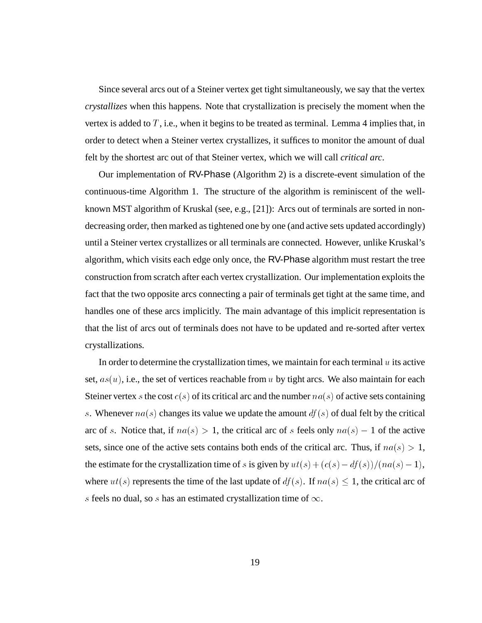Since several arcs out of a Steiner vertex get tight simultaneously, we say that the vertex *crystallizes* when this happens. Note that crystallization is precisely the moment when the vertex is added to  $T$ , i.e., when it begins to be treated as terminal. Lemma 4 implies that, in order to detect when a Steiner vertex crystallizes, it suffices to monitor the amount of dual felt by the shortest arc out of that Steiner vertex, which we will call *critical arc*.

Our implementation of RV-Phase (Algorithm 2) is a discrete-event simulation of the continuous-time Algorithm 1. The structure of the algorithm is reminiscent of the wellknown MST algorithm of Kruskal (see, e.g., [21]): Arcs out of terminals are sorted in nondecreasing order, then marked as tightened one by one (and active sets updated accordingly) until a Steiner vertex crystallizes or all terminals are connected. However, unlike Kruskal's algorithm, which visits each edge only once, the RV-Phase algorithm must restart the tree construction from scratch after each vertex crystallization. Our implementation exploits the fact that the two opposite arcs connecting a pair of terminals get tight at the same time, and handles one of these arcs implicitly. The main advantage of this implicit representation is that the list of arcs out of terminals does not have to be updated and re-sorted after vertex crystallizations.

In order to determine the crystallization times, we maintain for each terminal  $u$  its active set,  $as(u)$ , i.e., the set of vertices reachable from u by tight arcs. We also maintain for each Steiner vertex s the cost  $c(s)$  of its critical arc and the number  $na(s)$  of active sets containing s. Whenever  $na(s)$  changes its value we update the amount  $df(s)$  of dual felt by the critical arc of s. Notice that, if  $na(s) > 1$ , the critical arc of s feels only  $na(s) - 1$  of the active sets, since one of the active sets contains both ends of the critical arc. Thus, if  $na(s) > 1$ , the estimate for the crystallization time of s is given by  $ut(s)+(c(s) - df(s))/(na(s) - 1),$ where  $ut(s)$  represents the time of the last update of  $df(s)$ . If  $na(s) \leq 1$ , the critical arc of s feels no dual, so s has an estimated crystallization time of  $\infty$ .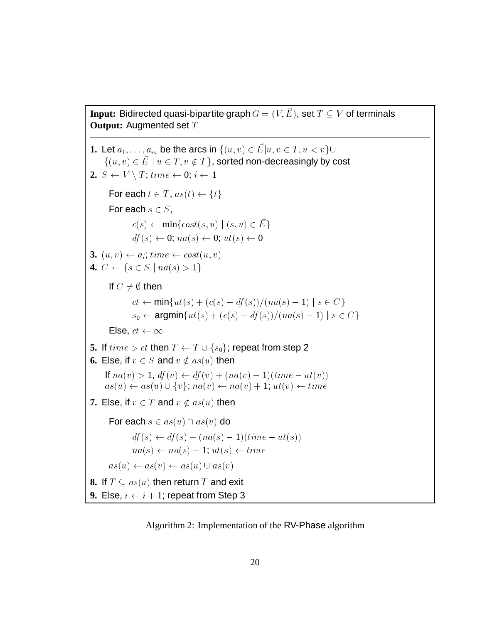**Input:** Bidirected quasi-bipartite graph  $G = (V, E)$ , set  $T \subseteq V$  of terminals **Output: Augmented set T** 

```
1. Let a_1,\ldots,a_m be the arcs in \{(u,v)\in \vec{E}|u,v\in T, u < v\}ju; v 2 T;u \sim \sim \sim \sim \sim \sim\{(u, v) \in E \mid u \in T, v \notin T\}, sorted non-decreasingly by cost
2. S \leftarrow V \setminus T; time \leftarrow 0; i \leftarrow 1For each t \in T, as(t) \leftarrow \{t\}For each s \in S,
                c(s) \leftarrow \min\{cost(s, u) \mid (s, u) \in \vec{E}\}\df(s) \leftarrow 0; na(s) \leftarrow 0; ut(s) \leftarrow 03. (u, v) \leftarrow a_i; time \leftarrow cost(u, v)4. C \leftarrow \{s \in S \mid na(s) > 1\}If C \neq \emptyset then
                ct \leftarrow min\{ut(s) + (c(s) - df(s))/(na(s) - 1) \mid s \in C\}s_0 \leftarrow \text{argmin}\{ut(s) + (c(s) - df(s))/(na(s) - 1) \mid s \in C\}Else, ct \leftarrow \infty5. If time > ct then T \leftarrow T \cup \{s_0\}; repeat from step 2<br>
6. Else, if v \in S and v \notin as(u) then<br>
If na(v) > 1, df(v) \leftarrow df(v) + (na(v) - 1)(time - ut(v))6. Else, if v \in S and v \notin as(u) then
      as(u) \leftarrow as(u) \cup \{v\}; na(v) \leftarrow na(v) + 1; ut(v) \leftarrow time7. Else, if v \in T and v \notin as(u) then
        For each s \in as(u) \cap as(v) do
                df(s) \leftarrow df(s) + (na(s) - 1)(time - ut(s))na(s) \leftarrow na(s) - 1; ut(s) \leftarrow time<br>
as(u) \leftarrow as(v) \leftarrow as(u) \cup as(v)as (u) as (u<sub>1</sub>) as (u<sub>2</sub>) as (u<sub>3</sub>) as (u<sub>1</sub>)8. If T \subseteq as(u) then return T and exit
9. Else, i \leftarrow i + 1; repeat from Step 3
```
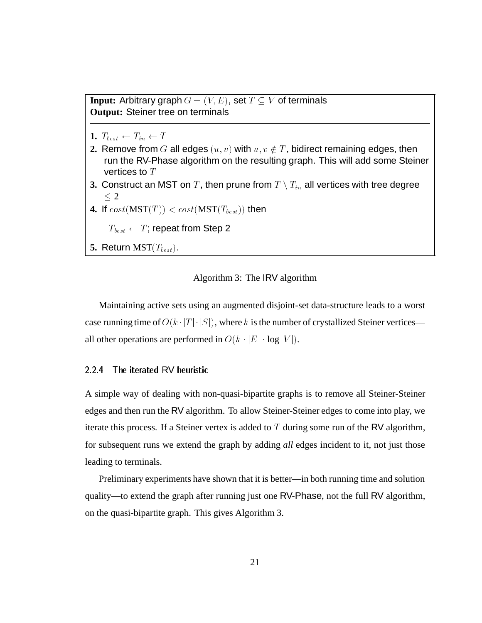**Input:** Arbitrary graph  $G = (V, E)$ , set  $T \subseteq V$  of terminals **Output:** Steiner tree on terminals

- 1.  $T_{best} \leftarrow T_{in} \leftarrow T$
- **2.** Remove from G all edges  $(u, v)$  with  $u, v \notin T$ , bidirect remaining edges, then run the RV-Phase algorithm on the resulting graph. This will add some Steiner vertices to  $T$
- **3.** Construct an MST on  $T$  , then prune from  $T \setminus T_{in}$  all vertices with tree degree  $\leq 2$
- **4.** If  $cost(MST(T)) < cost(MST(T_{best}))$  then

 $T_{best} \leftarrow T$ ; repeat from Step 2

**5.** Return MST( $T_{best}$ ).

### Algorithm 3: The IRV algorithm

Maintaining active sets using an augmented disjoint-set data-structure leads to a worst case running time of  $O(k \cdot |T| \cdot |S|)$ , where k is the number of crystallized Steiner vertices all other operations are performed in  $O(k \cdot |E| \cdot \log |V|)$ .

#### 2.2.4The iterated RV heuristic

A simple way of dealing with non-quasi-bipartite graphs is to remove all Steiner-Steiner edges and then run the RV algorithm. To allow Steiner-Steiner edges to come into play, we iterate this process. If a Steiner vertex is added to  $T$  during some run of the RV algorithm, for subsequent runs we extend the graph by adding *all* edges incident to it, not just those leading to terminals.

Preliminary experiments have shown that it is better—in both running time and solution quality—to extend the graph after running just one RV-Phase, not the full RV algorithm, on the quasi-bipartite graph. This gives Algorithm 3.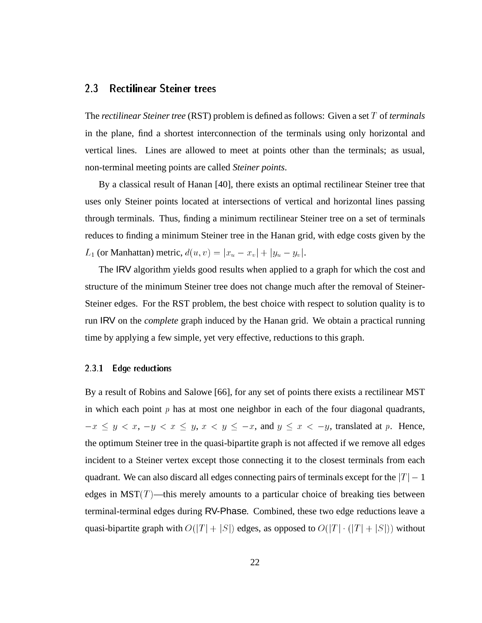## 2.3

The *rectilinear Steiner tree* (RST) problem is defined as follows: Given a set T of *terminals* in the plane, find a shortest interconnection of the terminals using only horizontal and vertical lines. Lines are allowed to meet at points other than the terminals; as usual, non-terminal meeting points are called *Steiner points*.

By a classical result of Hanan [40], there exists an optimal rectilinear Steiner tree that uses only Steiner points located at intersections of vertical and horizontal lines passing through terminals. Thus, finding a minimum rectilinear Steiner tree on a set of terminals reduces to finding a minimum Steiner tree in the Hanan grid, with edge costs given by the L<sub>1</sub> (or Manhattan) metric,  $d(u, v) = |x_u - x_v| + |y_u - y_v|$ .

The IRV algorithm yields good results when applied to a graph for which the cost and structure of the minimum Steiner tree does not change much after the removal of Steiner-Steiner edges. For the RST problem, the best choice with respect to solution quality is to run IRV on the *complete* graph induced by the Hanan grid. We obtain a practical running time by applying a few simple, yet very effective, reductions to this graph.

### 2.3.1 Edge reductions

By a result of Robins and Salowe [66], for any set of points there exists a rectilinear MST in which each point  $p$  has at most one neighbor in each of the four diagonal quadrants,  $-x \leq y < x, -y < x \leq y, x < y \leq -x$ , and  $y \leq x < -y$ , translated at p. Hence, the optimum Steiner tree in the quasi-bipartite graph is not affected if we remove all edges incident to a Steiner vertex except those connecting it to the closest terminals from each quadrant. We can also discard all edges connecting pairs of terminals except for the  $|T| - 1$ edges in MST $(T)$ —this merely amounts to a particular choice of breaking ties between terminal-terminal edges during RV-Phase. Combined, these two edge reductions leave a quasi-bipartite graph with  $O(|T| + |S|)$  edges, as opposed to  $O(|T| \cdot (|T| + |S|))$  without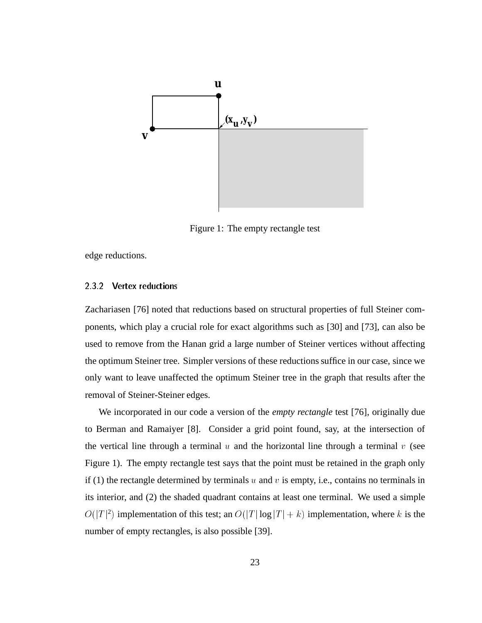

Figure 1: The empty rectangle test

edge reductions.

### 2.3.2 Vertex reductions

Zachariasen [76] noted that reductions based on structural properties of full Steiner components, which play a crucial role for exact algorithms such as [30] and [73], can also be used to remove from the Hanan grid a large number of Steiner vertices without affecting the optimum Steiner tree. Simpler versions of these reductions suffice in our case, since we only want to leave unaffected the optimum Steiner tree in the graph that results after the removal of Steiner-Steiner edges.

We incorporated in our code a version of the *empty rectangle* test [76], originally due to Berman and Ramaiyer [8]. Consider a grid point found, say, at the intersection of the vertical line through a terminal  $u$  and the horizontal line through a terminal  $v$  (see Figure 1). The empty rectangle test says that the point must be retained in the graph only if (1) the rectangle determined by terminals  $u$  and  $v$  is empty, i.e., contains no terminals in its interior, and (2) the shaded quadrant contains at least one terminal. We used a simple  $\sim$  (j- j  $\prime$   $\sim$ <sup>2</sup>) implementation of this test; an  $O(|T| \log |T| + k)$  implementation, where k is the number of empty rectangles, is also possible [39].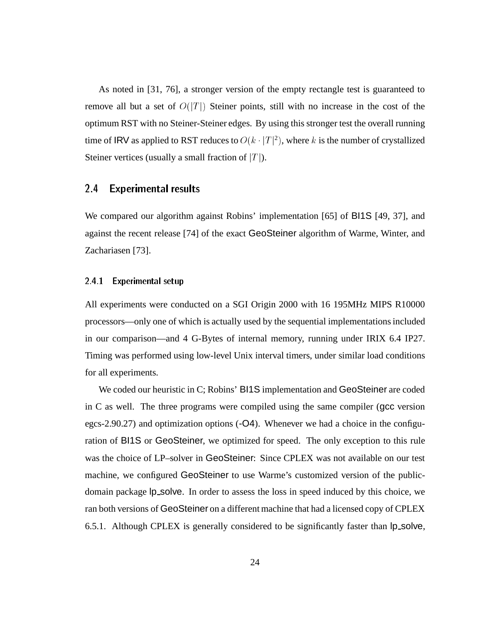As noted in [31, 76], a stronger version of the empty rectangle test is guaranteed to remove all but a set of  $O(|T|)$  Steiner points, still with no increase in the cost of the optimum RST with no Steiner-Steiner edges. By using this stronger test the overall running time of IRV as applied to RST reduces to  $O(k \cdot |T|^2)$ , where k is the number of crystallized Steiner vertices (usually a small fraction of  $|T|$ ). Steiner vertices (usually a small fraction of  $|T|$ ).

#### $2.4$ **Experimental results**

We compared our algorithm against Robins' implementation [65] of BI1S [49, 37], and against the recent release [74] of the exact GeoSteiner algorithm of Warme, Winter, and Zachariasen [73].

### 2.4.1 Experimental setup

All experiments were conducted on a SGI Origin 2000 with 16 195MHz MIPS R10000 processors—only one of which is actually used by the sequential implementations included in our comparison—and 4 G-Bytes of internal memory, running under IRIX 6.4 IP27. Timing was performed using low-level Unix interval timers, under similar load conditions for all experiments.

We coded our heuristic in C; Robins' BI1S implementation and GeoSteiner are coded in C as well. The three programs were compiled using the same compiler (gcc version egcs-2.90.27) and optimization options (-O4). Whenever we had a choice in the configuration of BI1S or GeoSteiner, we optimized for speed. The only exception to this rule was the choice of LP–solver in GeoSteiner: Since CPLEX was not available on our test machine, we configured GeoSteiner to use Warme's customized version of the publicdomain package lp solve. In order to assess the loss in speed induced by this choice, we ran both versions of GeoSteiner on a different machine that had a licensed copy of CPLEX 6.5.1. Although CPLEX is generally considered to be significantly faster than  $|p_{s}$  solve,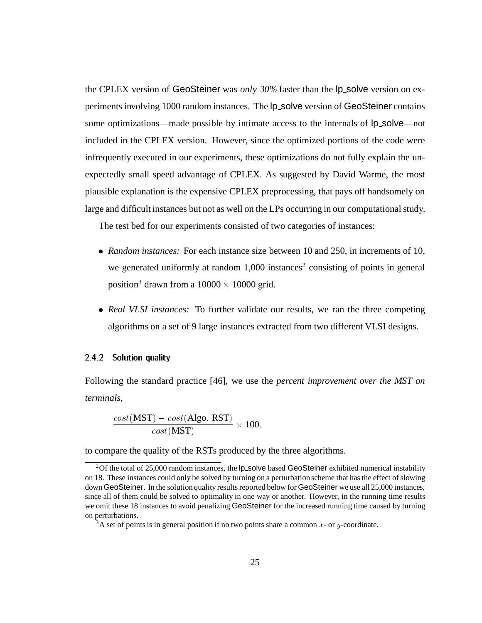the CPLEX version of GeoSteiner was only 30% faster than the lp\_solve version on experiments involving 1000 random instances. The  $lp$  solve version of GeoSteiner contains some optimizations—made possible by intimate access to the internals of  $lp$ -solve—not included in the CPLEX version. However, since the optimized portions of the code were infrequently executed in our experiments, these optimizations do not fully explain the unexpectedly small speed advantage of CPLEX. As suggested by David Warme, the most plausible explanation is the expensive CPLEX preprocessing, that pays off handsomely on large and difficult instances but not as well on the LPs occurring in our computational study.

The test bed for our experiments consisted of two categories of instances:

- *Random instances:* For each instance size between 10 and 250, in increments of 10, we generated uniformly at random  $1,000$  instances<sup>2</sup> consisting of points in general position<sup>3</sup> drawn from a  $10000 \times 10000$  grid.
- *Real VLSI instances:* To further validate our results, we ran the three competing algorithms on a set of 9 large instances extracted from two different VLSI designs.

### 2.4.2 Solution quality

Following the standard practice [46], we use the *percent improvement over the MST on terminals*,

$$
\frac{cost(\text{MST}) - cost(\text{Algo. RST})}{cost(\text{MST})} \times 100,
$$

to compare the quality of the RSTs produced by the three algorithms.

<sup>&</sup>lt;sup>2</sup>Of the total of 25,000 random instances, the  $lp$ -solve based GeoSteiner exhibited numerical instability on 18. These instances could only be solved by turning on a perturbation scheme that has the effect of slowing down GeoSteiner. In the solution quality results reported below for GeoSteiner we use all 25,000 instances, since all of them could be solved to optimality in one way or another. However, in the running time results we omit these 18 instances to avoid penalizing GeoSteiner for the increased running time caused by turning on perturbations.

 $3A$  set of points is in general position if no two points share a common x- or y-coordinate.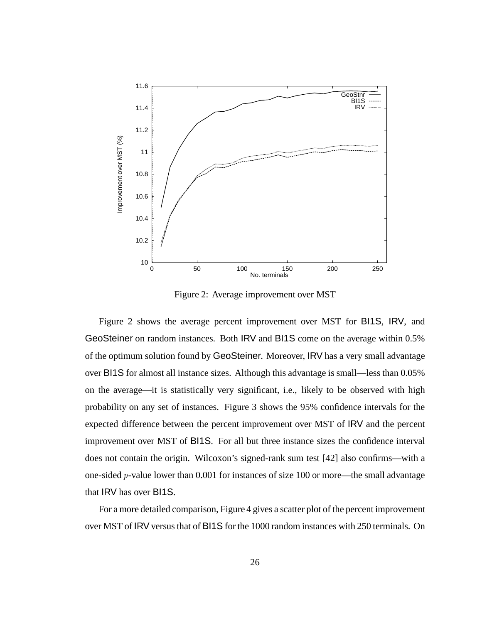

Figure 2: Average improvement over MST

Figure 2 shows the average percent improvement over MST for BI1S, IRV, and GeoSteiner on random instances. Both IRV and BI1S come on the average within 0.5% of the optimum solution found by GeoSteiner. Moreover, IRV has a very small advantage over BI1S for almost all instance sizes. Although this advantage is small—less than 0.05% on the average—it is statistically very significant, i.e., likely to be observed with high probability on any set of instances. Figure 3 shows the 95% confidence intervals for the expected difference between the percent improvement over MST of IRV and the percent improvement over MST of BI1S. For all but three instance sizes the confidence interval does not contain the origin. Wilcoxon's signed-rank sum test [42] also confirms—with a one-sided p-value lower than 0.001 for instances of size 100 or more—the small advantage that IRV has over BI1S.

For a more detailed comparison, Figure 4 gives a scatter plot of the percent improvement over MST of IRV versus that of BI1S for the 1000 random instances with 250 terminals. On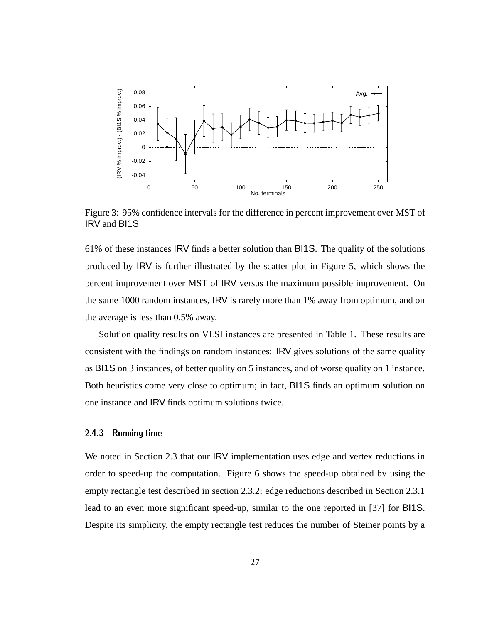

Figure 3: 95% confidence intervals for the difference in percent improvement over MST of IRV and BI1S

61% of these instances IRV finds a better solution than BI1S. The quality of the solutions produced by IRV is further illustrated by the scatter plot in Figure 5, which shows the percent improvement over MST of IRV versus the maximum possible improvement. On the same 1000 random instances, IRV is rarely more than 1% away from optimum, and on the average is less than 0.5% away.

Solution quality results on VLSI instances are presented in Table 1. These results are consistent with the findings on random instances: IRV gives solutions of the same quality as BI1S on 3 instances, of better quality on 5 instances, and of worse quality on 1 instance. Both heuristics come very close to optimum; in fact, BI1S finds an optimum solution on one instance and IRV finds optimum solutions twice.

#### 2.4.3Running time

We noted in Section 2.3 that our IRV implementation uses edge and vertex reductions in order to speed-up the computation. Figure 6 shows the speed-up obtained by using the empty rectangle test described in section 2.3.2; edge reductions described in Section 2.3.1 lead to an even more significant speed-up, similar to the one reported in [37] for BI1S. Despite its simplicity, the empty rectangle test reduces the number of Steiner points by a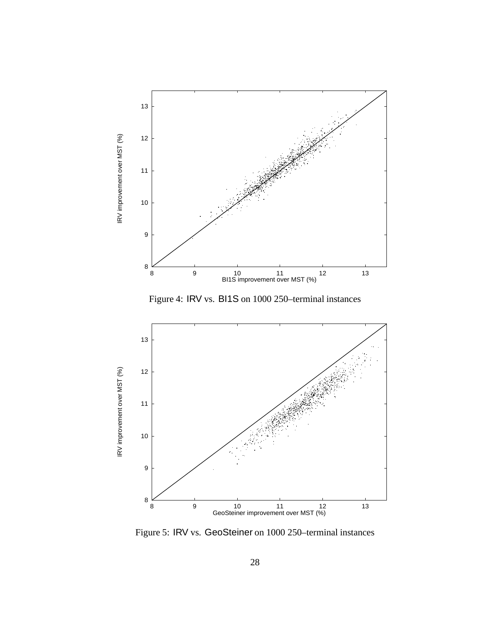

Figure 4: IRV vs. BI1S on 1000 250–terminal instances



Figure 5: IRV vs. GeoSteiner on 1000 250–terminal instances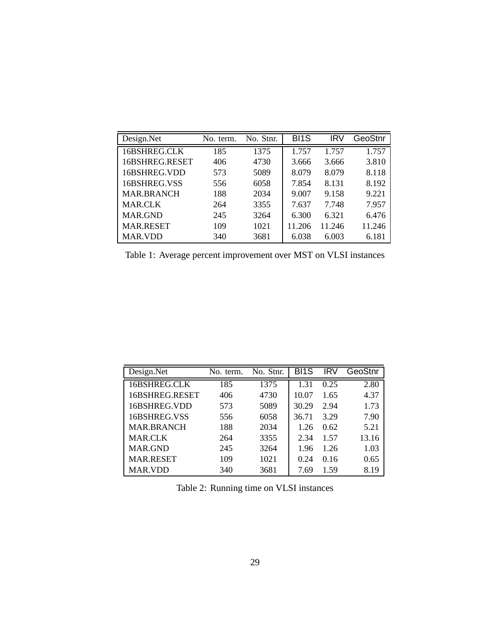| Design.Net        | No. term. | No. Stnr. | BI <sub>1</sub> S | IRV    | GeoStnr |
|-------------------|-----------|-----------|-------------------|--------|---------|
| 16BSHREG.CLK      | 185       | 1375      | 1.757             | 1.757  | 1.757   |
| 16BSHREG.RESET    | 406       | 4730      | 3.666             | 3.666  | 3.810   |
| 16BSHREG.VDD      | 573       | 5089      | 8.079             | 8.079  | 8.118   |
| 16BSHREG.VSS      | 556       | 6058      | 7.854             | 8.131  | 8.192   |
| <b>MAR.BRANCH</b> | 188       | 2034      | 9.007             | 9.158  | 9.221   |
| <b>MAR.CLK</b>    | 264       | 3355      | 7.637             | 7.748  | 7.957   |
| <b>MAR.GND</b>    | 245       | 3264      | 6.300             | 6.321  | 6.476   |
| <b>MAR.RESET</b>  | 109       | 1021      | 11.206            | 11.246 | 11.246  |
| <b>MAR.VDD</b>    | 340       | 3681      | 6.038             | 6.003  | 6.181   |

Table 1: Average percent improvement over MST on VLSI instances

| Design.Net        | No. term. | No. Stnr. | BI <sub>1</sub> S | <b>IRV</b> | GeoStnr |
|-------------------|-----------|-----------|-------------------|------------|---------|
| 16BSHREG.CLK      | 185       | 1375      | 1.31              | 0.25       | 2.80    |
| 16BSHREG.RESET    | 406       | 4730      | 10.07             | 1.65       | 4.37    |
| 16BSHREG.VDD      | 573       | 5089      | 30.29             | 2.94       | 1.73    |
| 16BSHREG.VSS      | 556       | 6058      | 36.71             | 3.29       | 7.90    |
| <b>MAR.BRANCH</b> | 188       | 2034      | 1.26              | 0.62       | 5.21    |
| <b>MAR.CLK</b>    | 264       | 3355      | 2.34              | 1.57       | 13.16   |
| MAR.GND           | 245       | 3264      | 1.96              | 1.26       | 1.03    |
| <b>MAR.RESET</b>  | 109       | 1021      | 0.24              | 0.16       | 0.65    |
| MAR.VDD           | 340       | 3681      | 7.69              | 1.59       | 8.19    |

Table 2: Running time on VLSI instances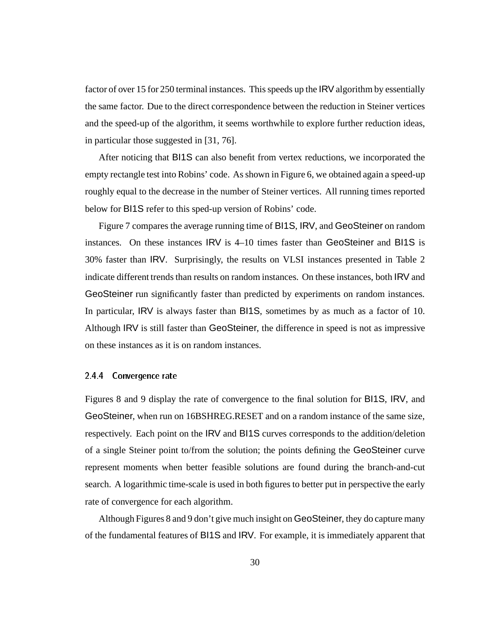factor of over 15 for 250 terminal instances. This speeds up the IRV algorithm by essentially the same factor. Due to the direct correspondence between the reduction in Steiner vertices and the speed-up of the algorithm, it seems worthwhile to explore further reduction ideas, in particular those suggested in [31, 76].

After noticing that BI1S can also benefit from vertex reductions, we incorporated the empty rectangle test into Robins' code. As shown in Figure 6, we obtained again a speed-up roughly equal to the decrease in the number of Steiner vertices. All running times reported below for BI1S refer to this sped-up version of Robins' code.

Figure 7 compares the average running time of BI1S, IRV, and GeoSteiner on random instances. On these instances IRV is 4–10 times faster than GeoSteiner and BI1S is 30% faster than IRV. Surprisingly, the results on VLSI instances presented in Table 2 indicate different trends than results on random instances. On these instances, both IRV and GeoSteiner run significantly faster than predicted by experiments on random instances. In particular, IRV is always faster than BI1S, sometimes by as much as a factor of 10. Although IRV is still faster than GeoSteiner, the difference in speed is not as impressive on these instances as it is on random instances.

#### 2.4.4Convergence rate

Figures 8 and 9 display the rate of convergence to the final solution for BI1S, IRV, and GeoSteiner, when run on 16BSHREG.RESET and on a random instance of the same size, respectively. Each point on the IRV and BI1S curves corresponds to the addition/deletion of a single Steiner point to/from the solution; the points defining the GeoSteiner curve represent moments when better feasible solutions are found during the branch-and-cut search. A logarithmic time-scale is used in both figures to better put in perspective the early rate of convergence for each algorithm.

Although Figures 8 and 9 don't give much insight on GeoSteiner, they do capture many of the fundamental features of BI1S and IRV. For example, it is immediately apparent that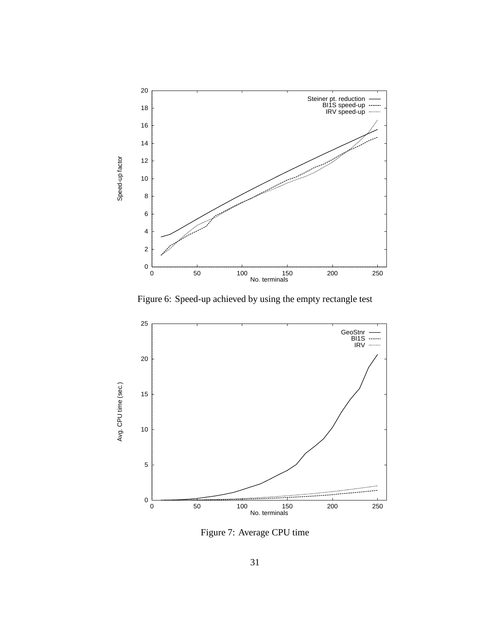

Figure 6: Speed-up achieved by using the empty rectangle test



Figure 7: Average CPU time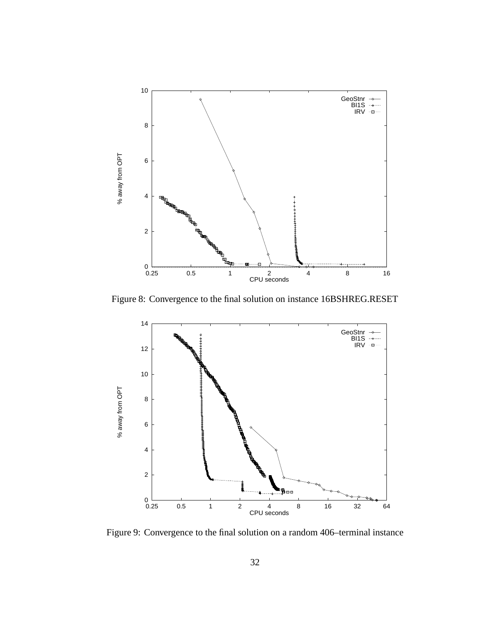

Figure 8: Convergence to the final solution on instance 16BSHREG.RESET



Figure 9: Convergence to the final solution on a random 406–terminal instance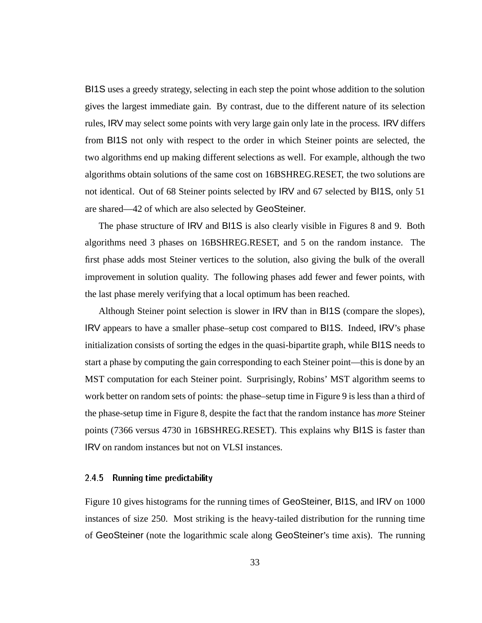BI1S uses a greedy strategy, selecting in each step the point whose addition to the solution gives the largest immediate gain. By contrast, due to the different nature of its selection rules, IRV may select some points with very large gain only late in the process. IRV differs from BI1S not only with respect to the order in which Steiner points are selected, the two algorithms end up making different selections as well. For example, although the two algorithms obtain solutions of the same cost on 16BSHREG.RESET, the two solutions are not identical. Out of 68 Steiner points selected by IRV and 67 selected by BI1S, only 51 are shared—42 of which are also selected by GeoSteiner.

The phase structure of IRV and BI1S is also clearly visible in Figures 8 and 9. Both algorithms need 3 phases on 16BSHREG.RESET, and 5 on the random instance. The first phase adds most Steiner vertices to the solution, also giving the bulk of the overall improvement in solution quality. The following phases add fewer and fewer points, with the last phase merely verifying that a local optimum has been reached.

Although Steiner point selection is slower in IRV than in BI1S (compare the slopes), IRV appears to have a smaller phase–setup cost compared to BI1S. Indeed, IRV's phase initialization consists of sorting the edges in the quasi-bipartite graph, while BI1S needs to start a phase by computing the gain corresponding to each Steiner point—this is done by an MST computation for each Steiner point. Surprisingly, Robins' MST algorithm seems to work better on random sets of points: the phase–setup time in Figure 9 is less than a third of the phase-setup time in Figure 8, despite the fact that the random instance has *more* Steiner points (7366 versus 4730 in 16BSHREG.RESET). This explains why BI1S is faster than IRV on random instances but not on VLSI instances.

### 2.4.5 Running time predictability

Figure 10 gives histograms for the running times of GeoSteiner, BI1S, and IRV on 1000 instances of size 250. Most striking is the heavy-tailed distribution for the running time of GeoSteiner (note the logarithmic scale along GeoSteiner's time axis). The running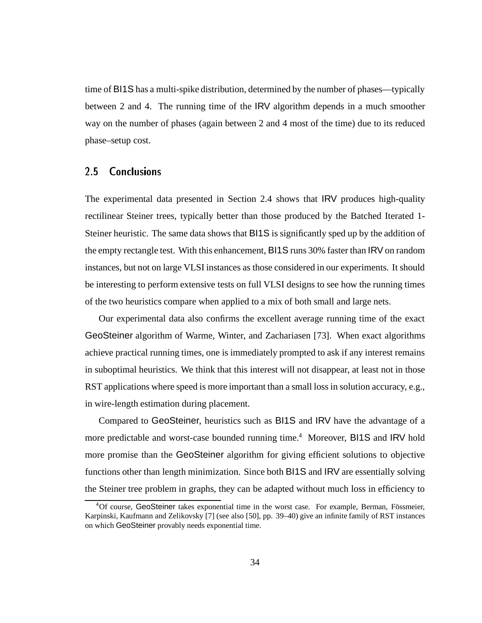time of BI1S has a multi-spike distribution, determined by the number of phases—typically between 2 and 4. The running time of the IRV algorithm depends in a much smoother way on the number of phases (again between 2 and 4 most of the time) due to its reduced phase–setup cost.

#### $2.5$ **Conclusions**

The experimental data presented in Section 2.4 shows that IRV produces high-quality rectilinear Steiner trees, typically better than those produced by the Batched Iterated 1- Steiner heuristic. The same data shows that BI1S is significantly sped up by the addition of the empty rectangle test. With this enhancement, BI1S runs 30% faster than IRV on random instances, but not on large VLSI instances as those considered in our experiments. It should be interesting to perform extensive tests on full VLSI designs to see how the running times of the two heuristics compare when applied to a mix of both small and large nets.

Our experimental data also confirms the excellent average running time of the exact GeoSteiner algorithm of Warme, Winter, and Zachariasen [73]. When exact algorithms achieve practical running times, one is immediately prompted to ask if any interest remains in suboptimal heuristics. We think that this interest will not disappear, at least not in those RST applications where speed is more important than a small loss in solution accuracy, e.g., in wire-length estimation during placement.

Compared to GeoSteiner, heuristics such as BI1S and IRV have the advantage of a more predictable and worst-case bounded running time.<sup>4</sup> Moreover, BI1S and IRV hold more promise than the GeoSteiner algorithm for giving efficient solutions to objective functions other than length minimization. Since both BI1S and IRV are essentially solving the Steiner tree problem in graphs, they can be adapted without much loss in efficiency to

<sup>&</sup>lt;sup>4</sup>Of course, GeoSteiner takes exponential time in the worst case. For example, Berman, Fössmeier, Karpinski, Kaufmann and Zelikovsky [7] (see also [50], pp. 39–40) give an infinite family of RST instances on which GeoSteiner provably needs exponential time.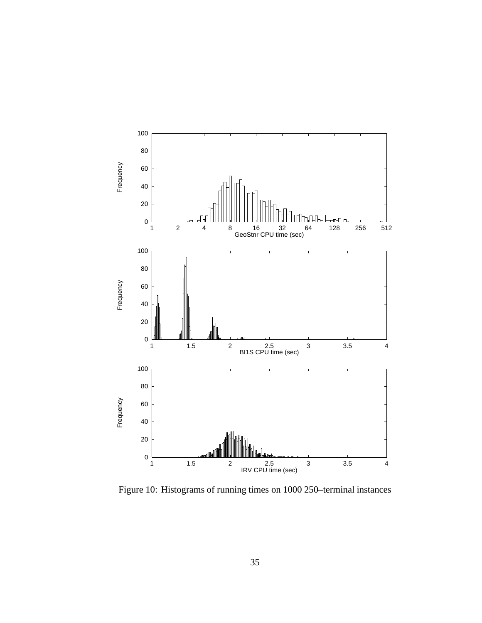

Figure 10: Histograms of running times on 1000 250–terminal instances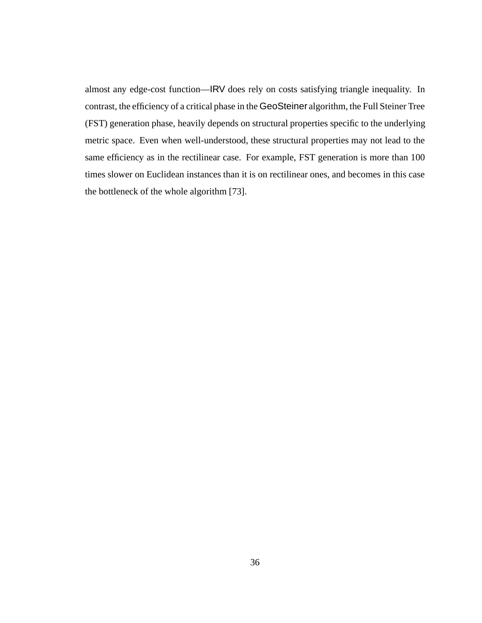almost any edge-cost function—IRV does rely on costs satisfying triangle inequality. In contrast, the efficiency of a critical phase in the GeoSteiner algorithm, the Full Steiner Tree (FST) generation phase, heavily depends on structural properties specific to the underlying metric space. Even when well-understood, these structural properties may not lead to the same efficiency as in the rectilinear case. For example, FST generation is more than 100 times slower on Euclidean instances than it is on rectilinear ones, and becomes in this case the bottleneck of the whole algorithm [73].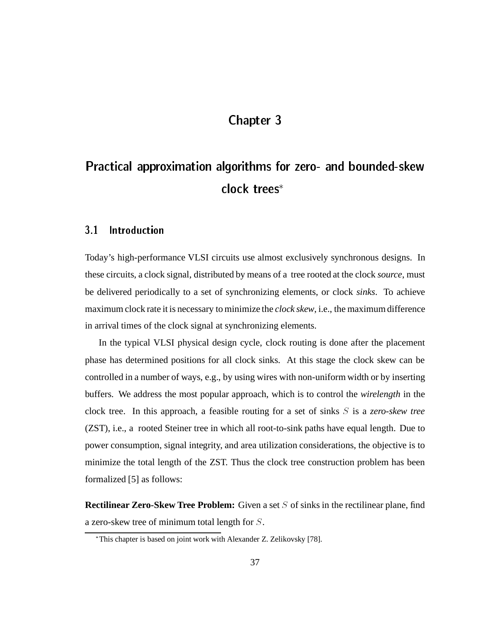## Chapter 3

# Practical approximation algorithms for zero- and bounded-skew clock trees

#### 3.1 **Introduction**

Today's high-performance VLSI circuits use almost exclusively synchronous designs. In these circuits, a clock signal, distributed by means of a tree rooted at the clock *source*, must be delivered periodically to a set of synchronizing elements, or clock *sinks*. To achieve maximum clock rate it is necessary to minimize the *clock skew*, i.e., the maximum difference in arrival times of the clock signal at synchronizing elements.

In the typical VLSI physical design cycle, clock routing is done after the placement phase has determined positions for all clock sinks. At this stage the clock skew can be controlled in a number of ways, e.g., by using wires with non-uniform width or by inserting buffers. We address the most popular approach, which is to control the *wirelength* in the clock tree. In this approach, a feasible routing for a set of sinks S is a *zero-skew tree* (ZST), i.e., a rooted Steiner tree in which all root-to-sink paths have equal length. Due to power consumption, signal integrity, and area utilization considerations, the objective is to minimize the total length of the ZST. Thus the clock tree construction problem has been formalized [5] as follows:

**Rectilinear Zero-Skew Tree Problem:** Given a set S of sinks in the rectilinear plane, find a zero-skew tree of minimum total length for S.

This chapter is based on joint work with Alexander Z. Zelikovsky [78].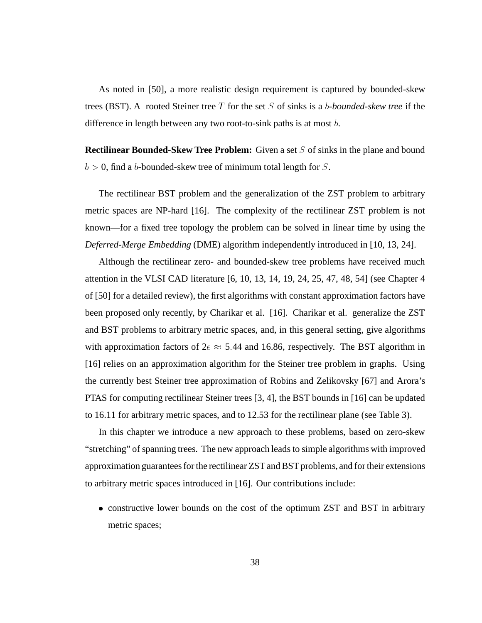As noted in [50], a more realistic design requirement is captured by bounded-skew trees (BST). A rooted Steiner tree T for the set S of sinks is a b*-bounded-skew tree* if the difference in length between any two root-to-sink paths is at most b.

**Rectilinear Bounded-Skew Tree Problem:** Given a set S of sinks in the plane and bound  $b > 0$ , find a b-bounded-skew tree of minimum total length for S.

The rectilinear BST problem and the generalization of the ZST problem to arbitrary metric spaces are NP-hard [16]. The complexity of the rectilinear ZST problem is not known—for a fixed tree topology the problem can be solved in linear time by using the *Deferred-Merge Embedding* (DME) algorithm independently introduced in [10, 13, 24].

Although the rectilinear zero- and bounded-skew tree problems have received much attention in the VLSI CAD literature [6, 10, 13, 14, 19, 24, 25, 47, 48, 54] (see Chapter 4 of [50] for a detailed review), the first algorithms with constant approximation factors have been proposed only recently, by Charikar et al. [16]. Charikar et al. generalize the ZST and BST problems to arbitrary metric spaces, and, in this general setting, give algorithms with approximation factors of  $2e \approx 5.44$  and 16.86, respectively. The BST algorithm in [16] relies on an approximation algorithm for the Steiner tree problem in graphs. Using the currently best Steiner tree approximation of Robins and Zelikovsky [67] and Arora's PTAS for computing rectilinear Steiner trees [3, 4], the BST bounds in [16] can be updated to 16.11 for arbitrary metric spaces, and to 12.53 for the rectilinear plane (see Table 3).

In this chapter we introduce a new approach to these problems, based on zero-skew "stretching" of spanning trees. The new approach leads to simple algorithms with improved approximation guarantees for the rectilinear ZST and BST problems, and for their extensions to arbitrary metric spaces introduced in [16]. Our contributions include:

 constructive lower bounds on the cost of the optimum ZST and BST in arbitrary metric spaces;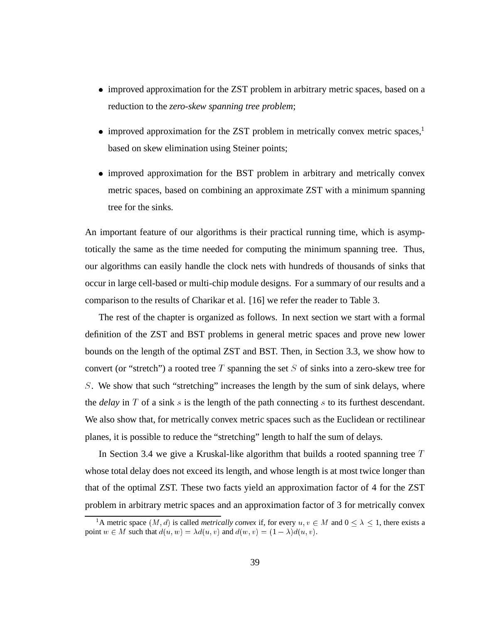- improved approximation for the ZST problem in arbitrary metric spaces, based on a reduction to the *zero-skew spanning tree problem*;
- $\bullet$  improved approximation for the ZST problem in metrically convex metric spaces,<sup>1</sup> based on skew elimination using Steiner points;
- improved approximation for the BST problem in arbitrary and metrically convex metric spaces, based on combining an approximate ZST with a minimum spanning tree for the sinks.

An important feature of our algorithms is their practical running time, which is asymptotically the same as the time needed for computing the minimum spanning tree. Thus, our algorithms can easily handle the clock nets with hundreds of thousands of sinks that occur in large cell-based or multi-chip module designs. For a summary of our results and a comparison to the results of Charikar et al. [16] we refer the reader to Table 3.

The rest of the chapter is organized as follows. In next section we start with a formal definition of the ZST and BST problems in general metric spaces and prove new lower bounds on the length of the optimal ZST and BST. Then, in Section 3.3, we show how to convert (or "stretch") a rooted tree  $T$  spanning the set  $S$  of sinks into a zero-skew tree for S. We show that such "stretching" increases the length by the sum of sink delays, where the *delay* in  $T$  of a sink  $s$  is the length of the path connecting  $s$  to its furthest descendant. We also show that, for metrically convex metric spaces such as the Euclidean or rectilinear planes, it is possible to reduce the "stretching" length to half the sum of delays.

In Section 3.4 we give a Kruskal-like algorithm that builds a rooted spanning tree  $T$ whose total delay does not exceed its length, and whose length is at most twice longer than that of the optimal ZST. These two facts yield an approximation factor of 4 for the ZST problem in arbitrary metric spaces and an approximation factor of 3 for metrically convex

<sup>&</sup>lt;sup>1</sup>A metric space  $(M, d)$  is called *metrically convex* if, for every  $u, v \in M$  and  $0 \le \lambda \le 1$ , there exists a point  $w \in M$  such that  $d(u, w) = \lambda d(u, v)$  and  $d(w, v) = (1 - \lambda) d(u, v)$ .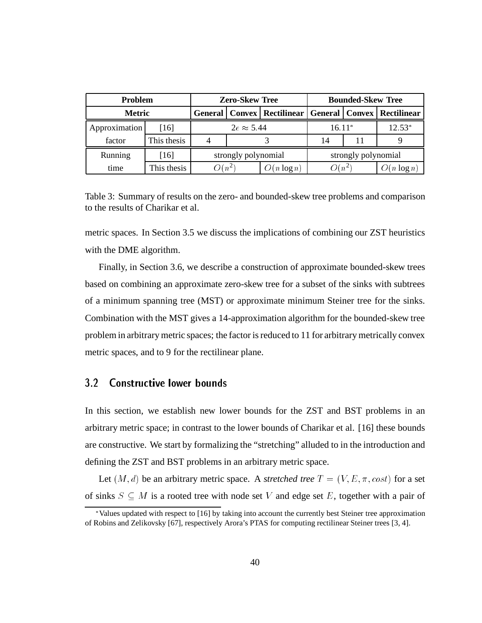| <b>Problem</b> |                    | <b>Zero-Skew Tree</b>                             |  | <b>Bounded-Skew Tree</b> |          |             |               |
|----------------|--------------------|---------------------------------------------------|--|--------------------------|----------|-------------|---------------|
| <b>Metric</b>  |                    | General   Convex   Rectilinear   General   Convex |  |                          |          | Rectilinear |               |
| Approximation  | $\lceil 16 \rceil$ | $2e \approx 5.44$                                 |  |                          | $16.11*$ |             | $12.53*$      |
| factor         | This thesis        |                                                   |  |                          | 14       |             |               |
| Running        | [16]               | strongly polynomial                               |  | strongly polynomial      |          |             |               |
| time           | This thesis        | $O(n^2)$                                          |  | $O(n \log n)$            | $O(n^2)$ |             | $O(n \log n)$ |

Table 3: Summary of results on the zero- and bounded-skew tree problems and comparison to the results of Charikar et al.

metric spaces. In Section 3.5 we discuss the implications of combining our ZST heuristics with the DME algorithm.

Finally, in Section 3.6, we describe a construction of approximate bounded-skew trees based on combining an approximate zero-skew tree for a subset of the sinks with subtrees of a minimum spanning tree (MST) or approximate minimum Steiner tree for the sinks. Combination with the MST gives a 14-approximation algorithm for the bounded-skew tree problem in arbitrary metric spaces; the factor is reduced to 11 for arbitrary metrically convex metric spaces, and to 9 for the rectilinear plane.

#### $3.2$ **Constructive lower bounds**

In this section, we establish new lower bounds for the ZST and BST problems in an arbitrary metric space; in contrast to the lower bounds of Charikar et al. [16] these bounds are constructive. We start by formalizing the "stretching" alluded to in the introduction and defining the ZST and BST problems in an arbitrary metric space.

Let  $(M, d)$  be an arbitrary metric space. A *stretched tree*  $T = (V, E, \pi, cost)$  for a set of sinks  $S \subseteq M$  is a rooted tree with node set V and edge set E, together with a pair of

Values updated with respect to [16] by taking into account the currently best Steiner tree approximation of Robins and Zelikovsky [67], respectively Arora's PTAS for computing rectilinear Steiner trees [3, 4].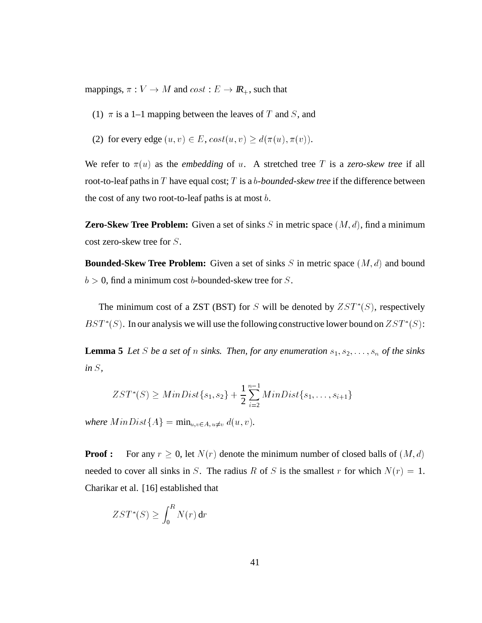mappings,  $\pi : V \to M$  and  $cost : E \to I\!\!R_+$ , such that

- (1)  $\pi$  is a 1–1 mapping between the leaves of T and S, and
- (2) for every edge  $(u, v) \in E$ ,  $cost(u, v) \geq d(\pi(u), \pi(v)).$

We refer to  $\pi(u)$  as the *embedding* of u. A stretched tree T is a *zero-skew tree* if all root-to-leaf paths in T have equal cost; T is a b*-bounded-skew tree* if the difference between the cost of any two root-to-leaf paths is at most  $b$ .

**Zero-Skew Tree Problem:** Given a set of sinks  $S$  in metric space  $(M, d)$ , find a minimum cost zero-skew tree for S.

**Bounded-Skew Tree Problem:** Given a set of sinks  $S$  in metric space  $(M, d)$  and bound  $b > 0$ , find a minimum cost b-bounded-skew tree for S.

The minimum cost of a ZST (BST) for S will be denoted by  $ZST^*(S)$ , respectively  $BST^*(S)$ . In our analysis we will use the following constructive lower bound on  $ZST^*(S)$ :

**Lemma 5** *Let* S *be a set of n sinks. Then, for any enumeration*  $s_1, s_2, \ldots, s_n$  *of the sinks in* S*,*

$$
ZST^*(S) \geq MinDist\{s_1, s_2\} + \frac{1}{2} \sum_{i=2}^{n-1} MinDist\{s_1, \ldots, s_{i+1}\}\
$$

*where*  $MinDist\{A\} = min_{u,v \in A, u \neq v} d(u, v)$ *.* 

**Proof :** For any  $r \ge 0$ , let  $N(r)$  denote the minimum number of closed balls of  $(M, d)$ needed to cover all sinks in S. The radius R of S is the smallest r for which  $N(r) = 1$ . Charikar et al. [16] established that

$$
ZST^*(S) \ge \int_0^R N(r) \, \mathrm{d}r
$$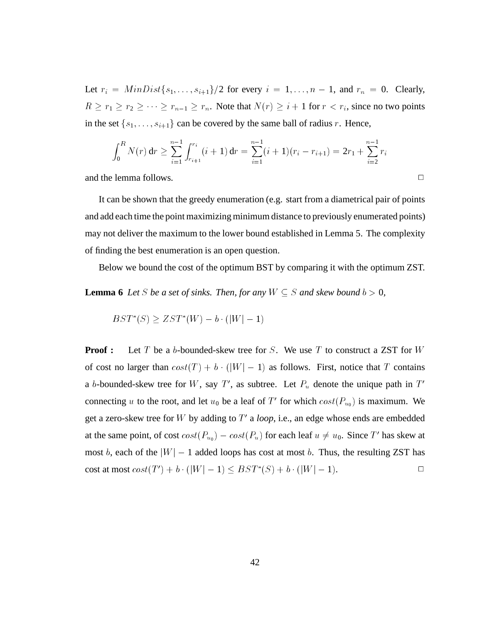Let  $r_i = MinDist\{s_1,\ldots,s_{i+1}\}/2$  for every  $i = 1,\ldots,n-1$ , and  $r_n = 0$ . Clearly, R  $\ge r_1 \ge r_2 \ge \cdots \ge r_{n-1} \ge r_n$ . Note that  $N(r) \ge i + 1$  for  $r < r_i$ , since no two points the set  $\{s_1, \ldots, s_{i+1}\}$  can be covered by the same ball of radius r. Hence, in the set  $\{s_1, \ldots, s_{i+1}\}$  can be covered by the same ball of radius r. Hence,

$$
\int_0^R N(r) dr \geq \sum_{i=1}^{n-1} \int_{r_{i+1}}^{r_i} (i+1) dr = \sum_{i=1}^{n-1} (i+1)(r_i - r_{i+1}) = 2r_1 + \sum_{i=2}^{n-1} r_i
$$

and the lemma follows.  $\Box$ 

It can be shown that the greedy enumeration (e.g. start from a diametrical pair of points and add each time the point maximizing minimum distance to previously enumerated points) may not deliver the maximum to the lower bound established in Lemma 5. The complexity of finding the best enumeration is an open question.

Below we bound the cost of the optimum BST by comparing it with the optimum ZST.

**Lemma 6** Let *S* be a set of sinks. Then, for any  $W \subseteq S$  and skew bound  $b > 0$ ,

$$
BST^*(S) \ge ZST^*(W) - b \cdot (|W| - 1)
$$

 $BST^*(S) \ge ZST^*(W) - b \cdot (|W| - 1)$ <br>**Proof :** Let T be a b-bounded-skew tree for S. We use T to construct a ZST for W of cost no larger than  $cost(T) + b \cdot (|W| - 1)$  as follows. First, notice that T contains  $(|W| - 1)$  as follows. First, notice that T contains T', as subtree. Let  $P_u$  denote the unique path in T' a b-bounded-skew tree for W, say T', as subtree. Let  $P_u$  denote the unique path in T' connecting u to the root, and let  $u_0$  be a leaf of T' for which  $cost(P_{u_0})$  is maximum. We get a zero-skew tree for W by adding to  $T'$  a *loop*, i.e., an edge whose ends are embedded at the same point, of cost  $cost(P_{u_0}) - cost(P_u)$  for each leaf  $u \neq u_0$ . Since T' has skew at most b, each of the  $|W| - 1$  added loops has cost at most b. Thus, the resulting ZST has cost at most  $cost(T') + b \cdot (|W| - 1) \leq BST^*(S) + b \cdot (|W| - 1)$ . cost at most  $cost(T') + b \cdot (|W| - 1) \leq BST^*(S) + b \cdot (|W| - 1).$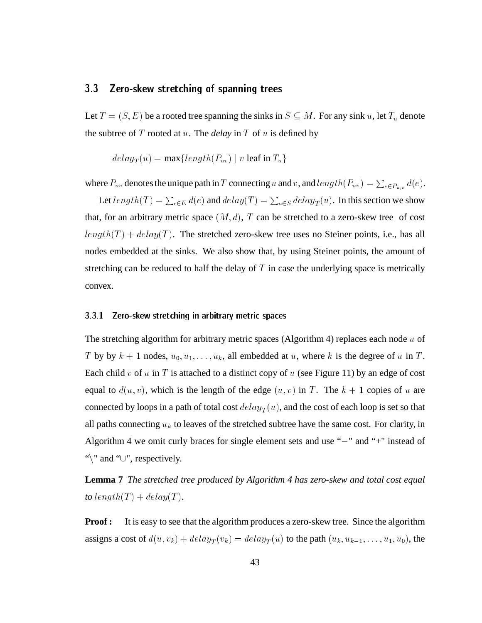## 3.3 Zero-skew stretching of spanning trees

Let  $T = (S, E)$  be a rooted tree spanning the sinks in  $S \subseteq M$ . For any sink u, let  $T_u$  denote the subtree of  $T$  rooted at  $u$ . The *delay* in  $T$  of  $u$  is defined by

$$
delay_T(u) = \max\{length(P_{uv}) \mid v \text{ leaf in } T_u\}
$$

where  $P_{uv}$  denotes the unique path in T connecting u and v, and  $length(P_{uv}) = \sum_{e \in P_{uv}} d(e)$ .

Let  $length(T) = \sum_{e \in E} d(e)$  and  $delay(T) = \sum_{u \in S} delay_T(u)$ . In this section we show that, for an arbitrary metric space  $(M, d)$ , T can be stretched to a zero-skew tree of cost  $length(T) + delay(T)$ . The stretched zero-skew tree uses no Steiner points, i.e., has all nodes embedded at the sinks. We also show that, by using Steiner points, the amount of stretching can be reduced to half the delay of  $T$  in case the underlying space is metrically convex.

#### 3.3.1Zero-skew stretching in arbitrary metric spaces

The stretching algorithm for arbitrary metric spaces (Algorithm 4) replaces each node  $u$  of T by by  $k + 1$  nodes,  $u_0, u_1, \ldots, u_k$ , all embedded at u, where k is the degree of u in T. Each child v of u in T is attached to a distinct copy of u (see Figure 11) by an edge of cost equal to  $d(u, v)$ , which is the length of the edge  $(u, v)$  in T. The  $k + 1$  copies of u are connected by loops in a path of total cost  $delay_T(u)$ , and the cost of each loop is set so that all paths connecting  $u_k$  to leaves of the stretched subtree have the same cost. For clarity, in Algorithm 4 we omit curly braces for single element sets and use " $-$ " and " $+$ " instead of "\" and " $\cup$ ", respectively.

**Lemma 7** *The stretched tree produced by Algorithm 4 has zero-skew and total cost equal to*  $length(T) + delay(T)$ .

**Proof :** It is easy to see that the algorithm produces a zero-skew tree. Since the algorithm assigns a cost of  $d(u, v_k) + delay_T (v_k) = delay_T (u)$  to the path  $(u_k, u_{k-1}, \ldots, u_1, u_0)$ , the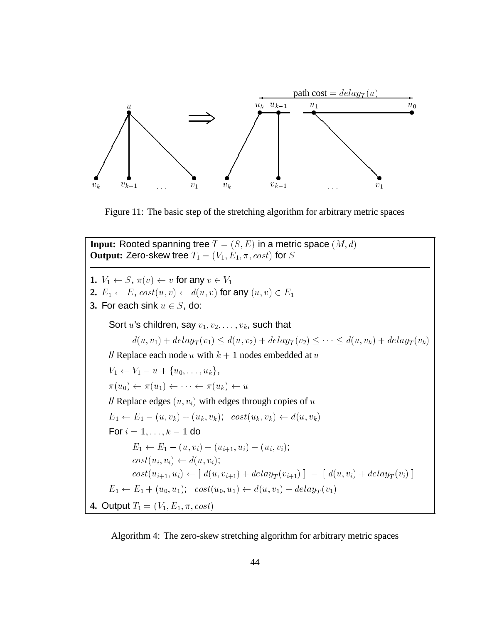

Figure 11: The basic step of the stretching algorithm for arbitrary metric spaces

**Input:** Rooted spanning tree  $T = (S, E)$  in a metric space  $(M, d)$ **Output:** Zero-skew tree  $T_1 = (V_1, E_1, \pi, cost)$  for S **1.**  $V_1 \leftarrow S$ ,  $\pi(v) \leftarrow v$  for any  $v \in V_1$ **2.**  $E_1 \leftarrow E$ ,  $cost(u, v) \leftarrow d(u, v)$  for any  $(u, v) \in E_1$ **3.** For each sink  $u \in S$ , do: Sort u's children, say  $v_1, v_2, \ldots, v_k$ , such that  $a(u, v_1) + a \epsilon u y_T(v_1) \le a(u, v_2) + a \epsilon u y_T(v_2) \le \cdots \le a(u, v_k) + a \epsilon u y_T(v_k)$ <br>
lace each node u with  $k + 1$  nodes embedded at u<br>  $V_1 = u + \{u_2, \ldots, u_k\}$ // Replace each node u with  $k + 1$  nodes embedded at u  $V_1 \leftarrow V_1 - u + \{u_0, \ldots, u_k\},\$  $\pi(u_0) \leftarrow \pi(u_1) \leftarrow \cdots \leftarrow \pi(u_k) \leftarrow u$ // Replace edges  $(u, v_i)$  with edges through copies of u  $E_1 \leftarrow E_1 - (u, v_k) + (u_k, v_k); \ \ \cos t(u_k, v_k) \leftarrow d(u, v_k)$ For  $i = 1, \ldots, k - 1$  do  $E_1 \leftarrow E_1 - (u, v_i) + (u_{i+1}, u_i) + (u_i, v_i);$  $cost(u_i, v_i) \leftarrow d(u, v_i);$  $cost(u_{i+1}, u_i) \leftarrow [ d(u, v_{i+1}) + delay_T(v_{i+1}) ] - [ d(u, v_i) + delay_T(v_i) ]$  $E_1 \leftarrow E_1 + (u_0, u_1); \ \ \cos t(u_0, u_1) \leftarrow d(u, v_1) + delay_T (v_1)$ **4.** Output  $T_1 = (V_1, E_1, \pi, cost)$ 

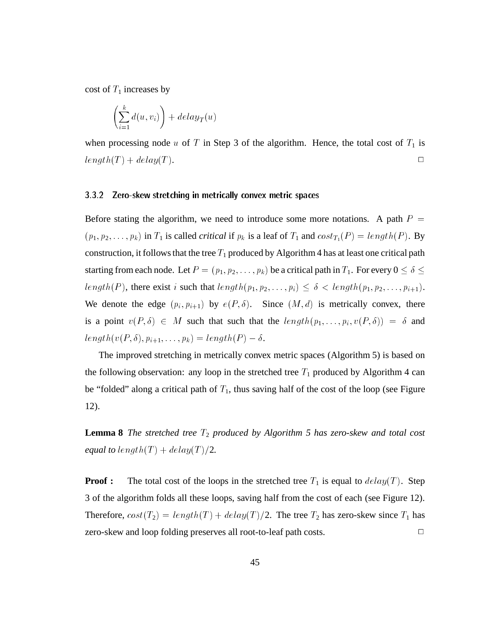cost of  $T_1$  increases by

$$
\left(\sum_{i=1}^k d(u,v_i)\right) + delay_T(u)
$$

when processing node u of T in Step 3 of the algorithm. Hence, the total cost of  $T_1$  is  $length(T) + delay(T).$ 

## 3.3.2 Zero-skew stretching in metrically convex metric spaces

Before stating the algorithm, we need to introduce some more notations. A path  $P =$  $(p_1, p_2, \ldots, p_k)$  in  $T_1$  is called *critical* if  $p_k$  is a leaf of  $T_1$  and  $cost_{T_1}(P) = length(P)$ . By construction, it follows that the tree  $T_1$  produced by Algorithm 4 has at least one critical path starting from each node. Let  $P = (p_1, p_2, \ldots, p_k)$  be a critical path in  $T_1$ . For every  $0 \le \delta \le$ length(P), there exist i such that  $length(p_1, p_2, \ldots, p_i) \leq \delta$  <  $length(p_1, p_2, \ldots, p_{i+1})$ . We denote the edge  $(p_i, p_{i+1})$  by  $e(P, \delta)$ . Since  $(M, d)$  is metrically convex, there is a point  $v(P, \delta) \in M$  such that such that the  $length(p_1, \ldots, p_i, v(P, \delta)) = \delta$  and  $length(v(P, \delta), p_{i+1}, \ldots, p_k) = length(P) - \delta.$ 

The improved stretching in metrically convex metric spaces (Algorithm 5) is based on the following observation: any loop in the stretched tree  $T_1$  produced by Algorithm 4 can be "folded" along a critical path of  $T_1$ , thus saving half of the cost of the loop (see Figure 12).

**Lemma 8** *The stretched tree*  $T_2$  *produced by Algorithm 5 has zero-skew and total cost equal to length* $(T) + delay(T)/2$ .

**Proof :** The total cost of the loops in the stretched tree  $T_1$  is equal to  $delay(T)$ . Step 3 of the algorithm folds all these loops, saving half from the cost of each (see Figure 12). Therefore,  $cost(T_2) = length(T) + delay(T)/2$ . The tree  $T_2$  has zero-skew since  $T_1$  has zero-skew and loop folding preserves all root-to-leaf path costs. <sup>2</sup>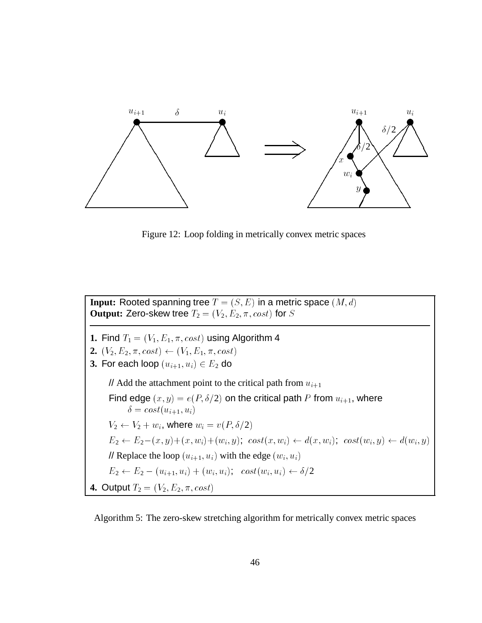

Figure 12: Loop folding in metrically convex metric spaces

**Input:** Rooted spanning tree  $T = (S, E)$  in a metric space  $(M, d)$ **Output:** Zero-skew tree  $T_2 = (V_2, E_2, \pi, cost)$  for S **1.** Find  $T_1 = (V_1, E_1, \pi, cost)$  using Algorithm 4 **2.**  $(V_2, E_2, \pi, cost) \leftarrow (V_1, E_1, \pi, cost)$ **3.** For each loop  $(u_{i+1}, u_i) \in E_2$  do // Add the attachment point to the critical path from  $u_{i+1}$ Find edge  $(x, y) = e(P, \delta/2)$  on the critical path P from  $u_{i+1}$ , where  $\delta = cost(u_{i+1}, u_i)$  $V_2 \leftarrow V_2 + w_i$ , where  $w_i = v(P, \delta/2)$  $E_2 \leftarrow E_2-(x, y)+(x, w_i)+(w_i, y); \ \ cost(x, w_i) \leftarrow d(x, w_i); \ \ cost(w_i, y) \leftarrow d(w_i, y)$ // Replace the loop  $(u_{i+1}, u_i)$  with the edge  $(w_i, u_i)$  $E_2 \leftarrow E_2 - (u_{i+1}, u_i) + (w_i, u_i); \ \ \cos t(w_i, u_i) \leftarrow \delta/2$ **4.** Output  $T_2 = (V_2, E_2, \pi, cost)$ 

Algorithm 5: The zero-skew stretching algorithm for metrically convex metric spaces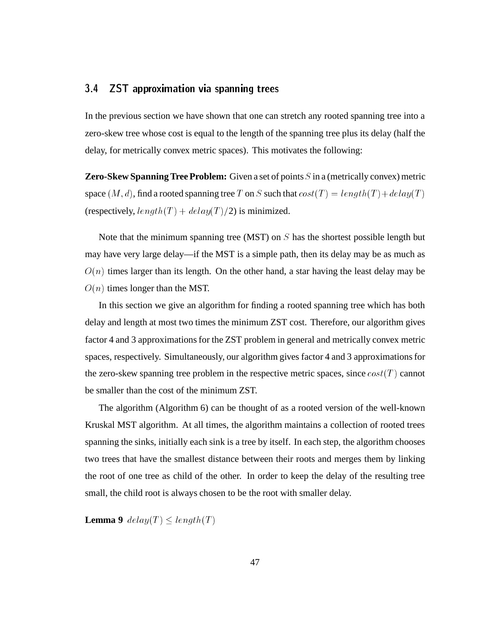#### $3.4$ 3.4 ZST approximation via spanning trees

In the previous section we have shown that one can stretch any rooted spanning tree into a zero-skew tree whose cost is equal to the length of the spanning tree plus its delay (half the delay, for metrically convex metric spaces). This motivates the following:

**Zero-Skew Spanning Tree Problem:** Given a set of points S in a (metrically convex) metric space  $(M, d)$ , find a rooted spanning tree T on S such that  $cost(T) = length(T) + delay(T)$ (respectively,  $length(T) + delay(T)/2$ ) is minimized.

Note that the minimum spanning tree (MST) on  $S$  has the shortest possible length but may have very large delay—if the MST is a simple path, then its delay may be as much as  $O(n)$  times larger than its length. On the other hand, a star having the least delay may be  $O(n)$  times longer than the MST.

In this section we give an algorithm for finding a rooted spanning tree which has both delay and length at most two times the minimum ZST cost. Therefore, our algorithm gives factor 4 and 3 approximations for the ZST problem in general and metrically convex metric spaces, respectively. Simultaneously, our algorithm gives factor 4 and 3 approximations for the zero-skew spanning tree problem in the respective metric spaces, since  $cost(T)$  cannot be smaller than the cost of the minimum ZST.

The algorithm (Algorithm 6) can be thought of as a rooted version of the well-known Kruskal MST algorithm. At all times, the algorithm maintains a collection of rooted trees spanning the sinks, initially each sink is a tree by itself. In each step, the algorithm chooses two trees that have the smallest distance between their roots and merges them by linking the root of one tree as child of the other. In order to keep the delay of the resulting tree small, the child root is always chosen to be the root with smaller delay.

**Lemma 9**  $delay(T) \le length(T)$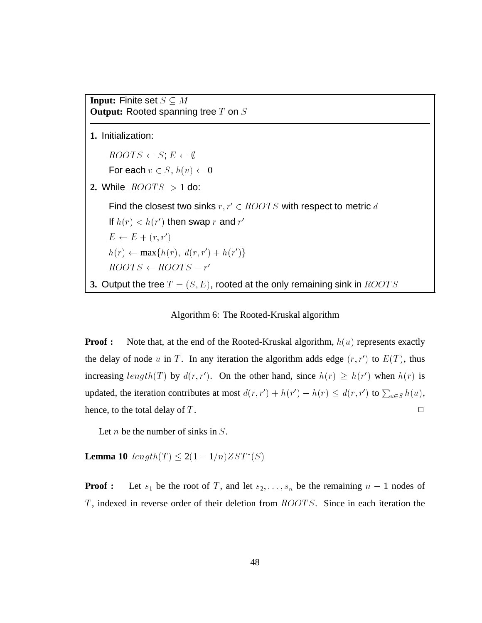**Input:** Finite set  $S \subseteq M$  $\frac{1}{\sqrt{2}}$  and  $\frac{1}{\sqrt{2}}$  are  $\frac{1}{\sqrt{2}}$  on  $\frac{1}{\sqrt{2}}$  on  $\frac{1}{\sqrt{2}}$ 

**1.** Initialization:

 $ROOTS \leftarrow S$ ;  $E \leftarrow \emptyset$ 

For each  $v \in S$ ,  $h(v) \leftarrow 0$ 

2. While  $|ROOTS| > 1$  do:

Find the closest two sinks  $r, r' \in \mathit{ROOTS}$  with respect to metric  $d$ 

```
If h(r) < h(r') then swap r and r'
```

$$
E \leftarrow E + (r, r')
$$

 $h(r) \leftarrow \max\{h(r), d(r, r') + h(r')\}$ 

 $ROUI S \leftarrow ROUI S - r$ 

**3.** Output the tree  $T = (S, E)$ , rooted at the only remaining sink in  $ROOTS$ 

## Algorithm 6: The Rooted-Kruskal algorithm

**Proof :** Note that, at the end of the Rooted-Kruskal algorithm,  $h(u)$  represents exactly the delay of node u in T. In any iteration the algorithm adds edge  $(r, r')$  to  $E(T)$ , thus increasing  $length(T)$  by  $d(r, r')$ . On the other hand, since  $h(r) \ge h(r')$  when  $h(r)$  is updated, the iteration contributes at most  $d(r, r') + h(r') - h(r) \leq d(r, r')$  to  $\sum_{u \in S} h(u)$ , hence, to the total delay of  $T$ .

Let *n* be the number of sinks in  $S$ .

**Lemma 10**  $length(T) \leq 2(1-1/n)ZST^*(S)$ 

**Proof :** Let  $s_1$  be the root of T, and let  $s_2, \ldots, s_n$  be the remaining  $n-1$  nodes of  $T$ , indexed in reverse order of their deletion from  $ROOTS$ . Since in each iteration the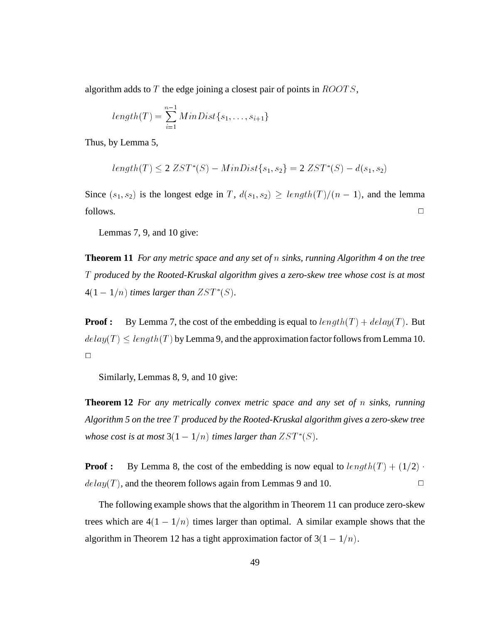algorithm adds to T the edge joining a closest pair of points in  $\it ROOTS$ ,

$$
length(T) = \sum_{i=1}^{n-1} MinDist\{s_1, \ldots, s_{i+1}\}\
$$

Thus, by Lemma 5,

$$
length(T) \le 2 ZST^*(S) - MinDist\{s_1, s_2\} = 2 ZST^*(S) - d(s_1, s_2)
$$

Since  $(s_1, s_2)$  is the longest edge in T,  $d(s_1, s_2) \geq length(T)/(n - 1)$ , and the lemma follows.  $\Box$ 

Lemmas 7, 9, and 10 give:

**Theorem 11** *For any metric space and any set of* n *sinks, running Algorithm 4 on the tree* T *produced by the Rooted-Kruskal algorithm gives a zero-skew tree whose cost is at most*  $4(1-1/n)$  *times larger than*  $ZST^*(S)$ *.* 

**Proof :** By Lemma 7, the cost of the embedding is equal to  $length(T) + delay(T)$ . But  $\leq length(T)$  by Lemma 9, and the approximation factor follows from Lemma 10. delay (Tallington) and the second control of the second control of the second control of the second control of the second control of the second control of the second control of the second control of the second control of t  $\Box$ 

Similarly, Lemmas 8, 9, and 10 give:

**Theorem 12** *For any metrically convex metric space and any set of* n *sinks, running Algorithm 5 on the tree* <sup>T</sup> *produced by the Rooted-Kruskal algorithm gives a zero-skew tree whose cost is at most*  $3(1-1/n)$  *times larger than*  $ZST^*(S)$ *.* 

**Proof :** By Lemma 8, the cost of the embedding is now equal to  $length(T) + (1/2)$ .  $delay(T)$ , and the theorem follows again from Lemmas 9 and 10.

The following example shows that the algorithm in Theorem 11 can produce zero-skew trees which are  $4(1-1/n)$  times larger than optimal. A similar example shows that the algorithm in Theorem 12 has a tight approximation factor of  $3(1-1/n)$ .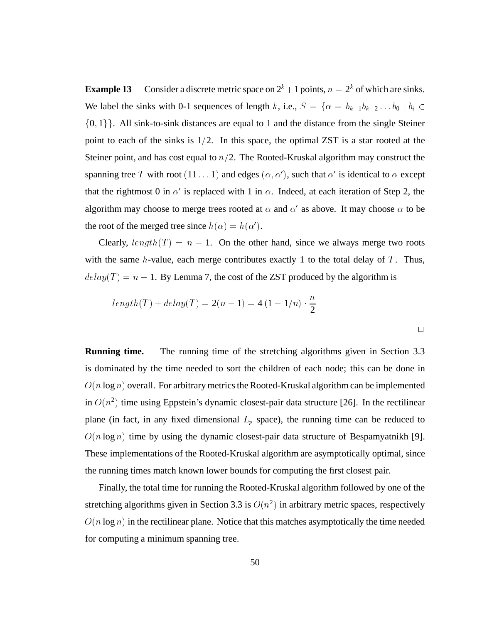**Example 13** Consider a discrete metric space on  $2^k + 1$  points,  $n = 2^k$  of which are sinks. We label the sinks with 0-1 sequences of length k, i.e.,  $S = \{ \alpha = b_{k-1}b_{k-2} \dots b_0 \mid b_i \in I \}$  $\{0, 1\}$ . All sink-to-sink distances are equal to 1 and the distance from the single Steiner point to each of the sinks is  $1/2$ . In this space, the optimal ZST is a star rooted at the Steiner point, and has cost equal to  $n/2$ . The Rooted-Kruskal algorithm may construct the spanning tree T with root  $(11 \dots 1)$  and edges  $(\alpha, \alpha')$ , such that  $\alpha'$  is identical to  $\alpha$  except that the rightmost 0 in  $\alpha'$  is replaced with 1 in  $\alpha$ . Indeed, at each iteration of Step 2, the algorithm may choose to merge trees rooted at  $\alpha$  and  $\alpha'$  as above. It may choose  $\alpha$  to be the root of the merged tree since  $h(\alpha) = h(\alpha')$ .

Clearly,  $length(T) = n - 1$ . On the other hand, since we always merge two roots with the same  $h$ -value, each merge contributes exactly 1 to the total delay of  $T$ . Thus, delay(T ) = n 1. By Lemma 7, the cost of the ZST produced by the algorithm is

$$
length(T) + delay(T) = 2(n-1) = 4(1 - 1/n) \cdot \frac{n}{2}
$$

**Running time.** The running time of the stretching algorithms given in Section 3.3 is dominated by the time needed to sort the children of each node; this can be done in  $O(n \log n)$  overall. For arbitrary metrics the Rooted-Kruskal algorithm can be implemented in  $O(n^2)$  time using Eppstein's dynamic closest-pair data structure [26]. In the rectilinear plane (in fact, in any fixed dimensional  $L_p$  space), the running time can be reduced to  $O(n \log n)$  time by using the dynamic closest-pair data structure of Bespamyatnikh [9]. These implementations of the Rooted-Kruskal algorithm are asymptotically optimal, since the running times match known lower bounds for computing the first closest pair.

Finally, the total time for running the Rooted-Kruskal algorithm followed by one of the stretching algorithms given in Section 3.3 is  $O(n^2)$  in arbitrary metric spaces, respectively  $O(n \log n)$  in the rectilinear plane. Notice that this matches asymptotically the time needed for computing a minimum spanning tree.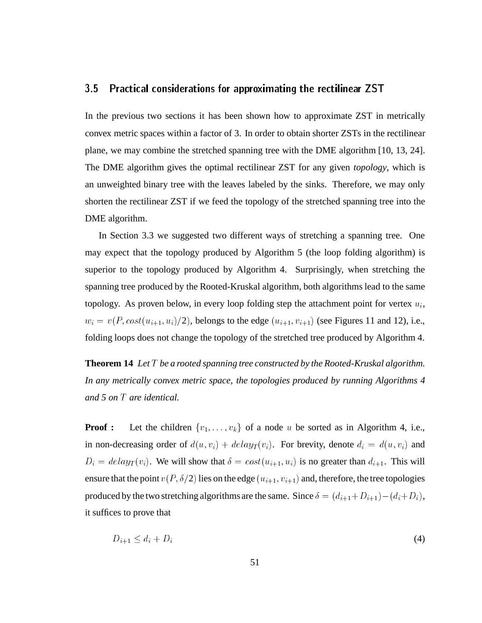#### $3.5$ 3.5 Practical considerations for approximating the rectilinear ZST

In the previous two sections it has been shown how to approximate ZST in metrically convex metric spaces within a factor of 3. In order to obtain shorter ZSTs in the rectilinear plane, we may combine the stretched spanning tree with the DME algorithm [10, 13, 24]. The DME algorithm gives the optimal rectilinear ZST for any given *topology*, which is an unweighted binary tree with the leaves labeled by the sinks. Therefore, we may only shorten the rectilinear ZST if we feed the topology of the stretched spanning tree into the DME algorithm.

In Section 3.3 we suggested two different ways of stretching a spanning tree. One may expect that the topology produced by Algorithm 5 (the loop folding algorithm) is superior to the topology produced by Algorithm 4. Surprisingly, when stretching the spanning tree produced by the Rooted-Kruskal algorithm, both algorithms lead to the same topology. As proven below, in every loop folding step the attachment point for vertex  $u_i$ ,  $w_i = v(P, cost(u_{i+1}, u_i)/2)$ , belongs to the edge  $(u_{i+1}, v_{i+1})$  (see Figures 11 and 12), i.e., folding loops does not change the topology of the stretched tree produced by Algorithm 4.

**Theorem 14** *Let* T *be a rooted spanning tree constructed by the Rooted-Kruskal algorithm. In any metrically convex metric space, the topologies produced by running Algorithms 4 and 5 on* T *are identical.*

**Proof :** Let the children  $\{v_1, \ldots, v_k\}$  of a node u be sorted as in Algorithm 4, i.e., in non-decreasing order of  $d(u, v_i) + \text{delay}_T(v_i)$ . For brevity, denote  $d_i = d(u, v_i)$  and  $D_i = delay_T(v_i)$ . We will show that  $\delta = cost(u_{i+1}, u_i)$  is no greater than  $d_{i+1}$ . This will ensure that the point  $v(P, \delta/2)$  lies on the edge  $(u_{i+1}, v_{i+1})$  and, therefore, the tree topologies produced by the two stretching algorithms are the same. Since  $\delta = (d_{i+1}+D_{i+1})-(d_i+D_i)$ , it suffices to prove that

$$
D_{i+1} \le d_i + D_i \tag{4}
$$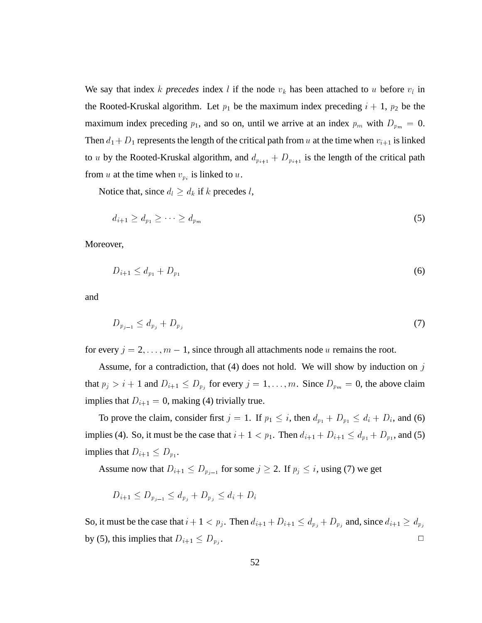We say that index k *precedes* index l if the node  $v_k$  has been attached to u before  $v_l$  in the Rooted-Kruskal algorithm. Let  $p_1$  be the maximum index preceding  $i + 1$ ,  $p_2$  be the maximum index preceding  $p_1$ , and so on, until we arrive at an index  $p_m$  with  $D_{p_m} = 0$ . Then  $d_1 + D_1$  represents the length of the critical path from u at the time when  $v_{i+1}$  is linked to u by the Rooted-Kruskal algorithm, and  $d_{p_{i+1}} + D_{p_{i+1}}$  is the length of the critical path from u at the time when  $v_{p_i}$  is linked to u.

Notice that, since  $d_l \geq d_k$  if k precedes l,

$$
d_{i+1} \ge d_{p_1} \ge \cdots \ge d_{p_m}
$$
\n(5)

\nver,

Moreover,

$$
D_{i+1} \le d_{p_1} + D_{p_1} \tag{6}
$$

and

$$
D_{p_{j-1}} \le d_{p_j} + D_{p_j} \tag{7}
$$

for every  $j = 2, \ldots, m - 1$ , since through all attachments node u remains the root.

Assume, for a contradiction, that  $(4)$  does not hold. We will show by induction on j that  $p_j > i + 1$  and  $D_{i+1} \leq D_{p_j}$  for every  $j = 1, \ldots, m$ . Since  $D_{p_m} = 0$ , the above claim implies that  $D_{i+1} = 0$ , making (4) trivially true.

To prove the claim, consider first  $j = 1$ . If  $p_1 \leq i$ , then  $d_{p_1} + D_{p_1} \leq d_i + D_i$ , and (6) implies (4). So, it must be the case that  $i + 1 < p_1$ . Then  $d_{i+1} + D_{i+1} \leq d_{p_1} + D_{p_1}$ , and (5) implies that  $D_{i+1} \leq D_{p_1}$ .

Assume now that  $D_{i+1} \leq D_{p_{j-1}}$  for some  $j \geq 2$ . If  $p_j \leq i$ , using (7) we get

$$
D_{i+1} \le D_{p_{j-1}} \le d_{p_j} + D_{p_j} \le d_i + D_i
$$

So, it must be the case that  $i + 1 < p_j$ . Then  $d_{i+1} + D_{i+1} \leq d_{p_j} + D_{p_j}$  and, since  $d_{i+1} \geq d_{p_j}$ by (5), this implies that  $D_{i+1} \leq D_{p_j}$ . . The contract of the contract of the contract of  $\Box$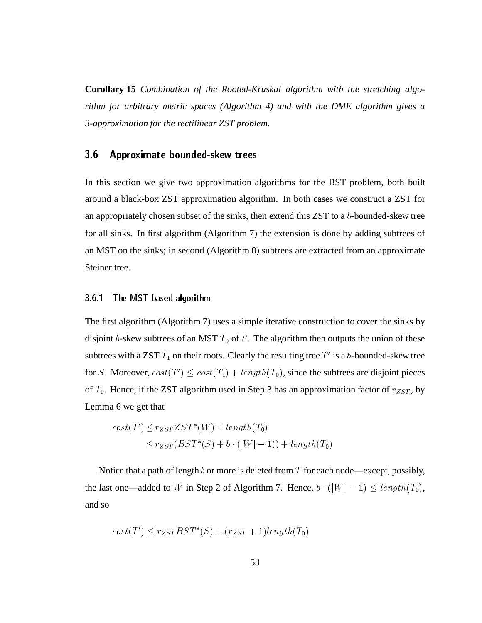**Corollary 15** *Combination of the Rooted-Kruskal algorithm with the stretching algorithm for arbitrary metric spaces (Algorithm 4) and with the DME algorithm gives a 3-approximation for the rectilinear ZST problem.*

## 3.6 Approximate bounded-skew trees

In this section we give two approximation algorithms for the BST problem, both built around a black-box ZST approximation algorithm. In both cases we construct a ZST for an appropriately chosen subset of the sinks, then extend this  $ZST$  to a b-bounded-skew tree for all sinks. In first algorithm (Algorithm 7) the extension is done by adding subtrees of an MST on the sinks; in second (Algorithm 8) subtrees are extracted from an approximate Steiner tree.

#### 3.6.1The MST based algorithm

The first algorithm (Algorithm 7) uses a simple iterative construction to cover the sinks by disjoint b-skew subtrees of an MST  $T_0$  of S. The algorithm then outputs the union of these subtrees with a ZST  $T_1$  on their roots. Clearly the resulting tree  $T'$  is a  $b$ -bounded-skew tree for S. Moreover,  $cost(T') \leq cost(T_1) + length(T_0)$ , since the subtrees are disjoint pieces of  $T_0$ . Hence, if the ZST algorithm used in Step 3 has an approximation factor of  $r_{ZST}$ , by Lemma 6 we get that

$$
cost(T') \leq r_{ZST} ZST^*(W) + length(T_0)
$$
  

$$
\leq r_{ZST}(BST^*(S) + b \cdot (|W| - 1)) + length(T_0)
$$

 $\leq r_{ZST}(BST^*(S) + b \cdot (|W|-1)) + length(T_0)$ <br>Notice that a path of length b or more is deleted from T for each node—except, possibly, the last one—added to W in Step 2 of Algorithm 7. Hence,  $b \cdot (|W| - 1) \le length(T_0)$ , and so and so

$$
cost(T') \leq r_{ZST}BST^*(S) + (r_{ZST} + 1)length(T_0)
$$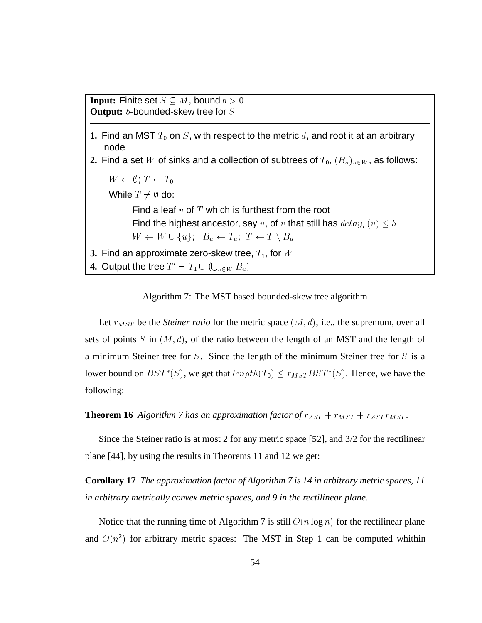```
Input: Finite set S \subseteq M, bound b > 0Output: b-bounded-skew tree for S
```
- **1.** Find an MST  $T_0$  on S, with respect to the metric d, and root it at an arbitrary node
- **2.** Find a set W of sinks and a collection of subtrees of  $T_0$ ,  $(B_u)_{u\in W}$ , as follows:

```
W \leftarrow \emptyset; T \leftarrow T_0While T \neq \emptyset do:
                 Find a leaf v of T which is furthest from the root
                  Find the highest ancestor, say u, of v that still has delay_T(u) \leq bW \leftarrow W \cup \{u\}; B_u \leftarrow T_u; T \leftarrow T \setminus B_u3. Find an approximate zero-skew tree, T_1, for W4. Output the tree T' = T_1 \cup (\bigcup_{u \in \mathbb{R}^n} T_u)state and state and state and state and state and state and state and state and state and state and state and
```
Algorithm 7: The MST based bounded-skew tree algorithm

 $u \in W$   $\omega$ 

Let  $r_{MST}$  be the *Steiner ratio* for the metric space  $(M, d)$ , i.e., the supremum, over all sets of points S in  $(M, d)$ , of the ratio between the length of an MST and the length of a minimum Steiner tree for S. Since the length of the minimum Steiner tree for S is a lower bound on  $BST^*(S)$ , we get that  $length(T_0) \leq r_{MST}BST^*(S)$ . Hence, we have the following:

**Theorem 16** *Algorithm 7 has an approximation factor of*  $r_{ZST} + r_{MST} + r_{ZST}r_{MST}$ *.* 

Since the Steiner ratio is at most 2 for any metric space [52], and 3/2 for the rectilinear plane [44], by using the results in Theorems 11 and 12 we get:

**Corollary 17** *The approximation factor of Algorithm 7 is 14 in arbitrary metric spaces, 11 in arbitrary metrically convex metric spaces, and 9 in the rectilinear plane.*

Notice that the running time of Algorithm 7 is still  $O(n \log n)$  for the rectilinear plane and  $O(n^2)$  for arbitrary metric spaces: The MST in Step 1 can be computed whithin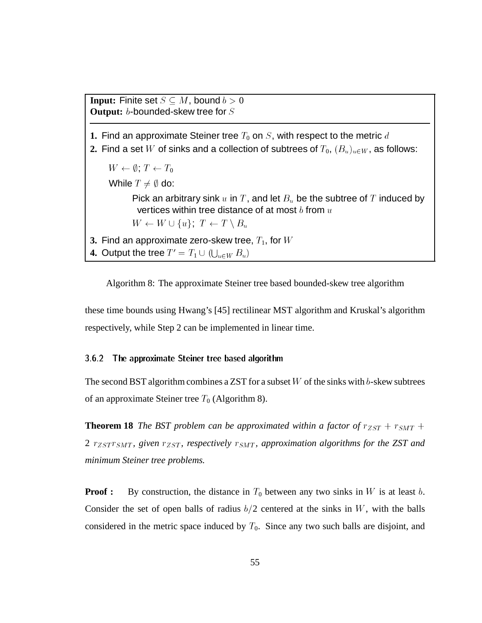**Input:** Finite set  $S \subseteq M$ , bound  $b > 0$ **Output:** b-bounded-skew tree for S **1.** Find an approximate Steiner tree  $T_0$  on  $S$ , with respect to the metric  $d$ **2.** Find a set W of sinks and a collection of subtrees of  $T_0$ ,  $(B_u)_{u\in W}$ , as follows:  $W \leftarrow \emptyset$ ;  $T \leftarrow T_0$ While  $T \neq \emptyset$  do: Pick an arbitrary sink u in T, and let  $B_u$  be the subtree of T induced by vertices within tree distance of at most  $b$  from  $u$  $W \leftarrow W \cup \{u\}; \ T \leftarrow T \setminus B_u$ <br>approximate zero-skew tree, The tree  $T' = T_1 \cup (1 - w \, B_u)$ **3.** Find an approximate zero-skew tree,  $T_1$ , for  $W$ **4.** Output the tree  $T' = T_1 \cup (\bigcup_{u \in \mathbb{R}^n} T_u)$ state of the contract of the contract of the contract of the contract of the contract of the contract of the contract of the contract of the contract of the contract of the contract of the contract of the contract of the c  $u-vv = u/$ **Service Contract Contract Contract** 

Algorithm 8: The approximate Steiner tree based bounded-skew tree algorithm

these time bounds using Hwang's [45] rectilinear MST algorithm and Kruskal's algorithm respectively, while Step 2 can be implemented in linear time.

## 3.6.2 The approximate Steiner tree based algorithm

The second BST algorithm combines a ZST for a subset  $W$  of the sinks with b-skew subtrees of an approximate Steiner tree  $T_0$  (Algorithm 8).

**Theorem 18** *The BST problem can be approximated within a factor of*  $r_{ZST} + r_{SMT} +$ 2  $r_{ZST}r_{SMT}$ , given  $r_{ZST}$ , respectively  $r_{SMT}$ , approximation algorithms for the ZST and *minimum Steiner tree problems.*

**Proof :** By construction, the distance in  $T_0$  between any two sinks in W is at least b. Consider the set of open balls of radius  $b/2$  centered at the sinks in W, with the balls considered in the metric space induced by  $T_0$ . Since any two such balls are disjoint, and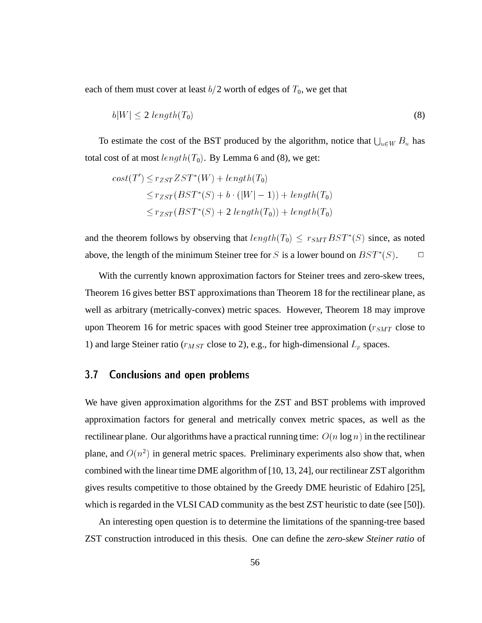each of them must cover at least  $b/2$  worth of edges of  $T_0$ , we get that

$$
b|W| \le 2\ length(T_0) \tag{8}
$$

 $b|W| \le 2$  length(T<sub>0</sub>) (8) (8)<br>To estimate the cost of the BST produced by the algorithm, notice that  $\bigcup_{u \in W} B_u$  has total cost of at most  $length(T_0)$ . By Lemma 6 and (8), we get:

$$
cost(T') \leq r_{ZST} ZST^*(W) + length(T_0)
$$
  
\n
$$
\leq r_{ZST}(BST^*(S) + b \cdot (|W| - 1)) + length(T_0)
$$
  
\n
$$
\leq r_{ZST}(BST^*(S) + 2\ length(T_0)) + length(T_0)
$$

and the theorem follows by observing that  $length(T_0) \leq r_{SMTBST^*}(S)$  since, as noted above, the length of the minimum Steiner tree for S is a lower bound on  $BST^*(S)$ .  $\Box$ 

With the currently known approximation factors for Steiner trees and zero-skew trees, Theorem 16 gives better BST approximations than Theorem 18 for the rectilinear plane, as well as arbitrary (metrically-convex) metric spaces. However, Theorem 18 may improve upon Theorem 16 for metric spaces with good Steiner tree approximation ( $r_{SMT}$  close to 1) and large Steiner ratio ( $r_{MST}$  close to 2), e.g., for high-dimensional  $L_p$  spaces.

#### $3.7$ Conclusions and open problems

We have given approximation algorithms for the ZST and BST problems with improved approximation factors for general and metrically convex metric spaces, as well as the rectilinear plane. Our algorithms have a practical running time:  $O(n \log n)$  in the rectilinear plane, and  $O(n^2)$  in general metric spaces. Preliminary experiments also show that, when combined with the linear time DME algorithm of [10, 13, 24], our rectilinear ZST algorithm gives results competitive to those obtained by the Greedy DME heuristic of Edahiro [25], which is regarded in the VLSI CAD community as the best ZST heuristic to date (see [50]).

An interesting open question is to determine the limitations of the spanning-tree based ZST construction introduced in this thesis. One can define the *zero-skew Steiner ratio* of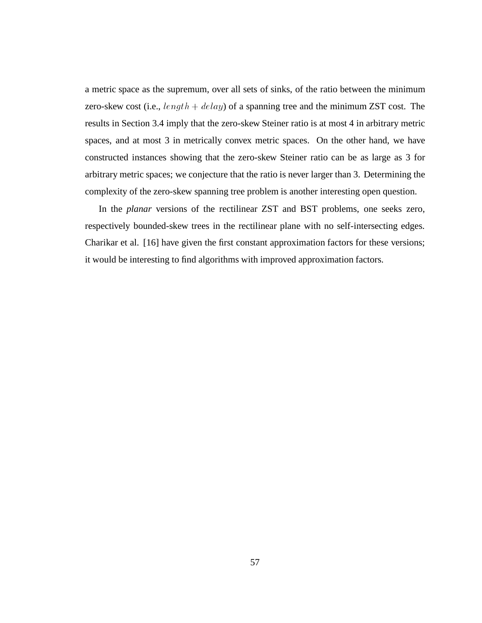a metric space as the supremum, over all sets of sinks, of the ratio between the minimum zero-skew cost (i.e.,  $length + delay$ ) of a spanning tree and the minimum ZST cost. The results in Section 3.4 imply that the zero-skew Steiner ratio is at most 4 in arbitrary metric spaces, and at most 3 in metrically convex metric spaces. On the other hand, we have constructed instances showing that the zero-skew Steiner ratio can be as large as 3 for arbitrary metric spaces; we conjecture that the ratio is never larger than 3. Determining the complexity of the zero-skew spanning tree problem is another interesting open question.

In the *planar* versions of the rectilinear ZST and BST problems, one seeks zero, respectively bounded-skew trees in the rectilinear plane with no self-intersecting edges. Charikar et al. [16] have given the first constant approximation factors for these versions; it would be interesting to find algorithms with improved approximation factors.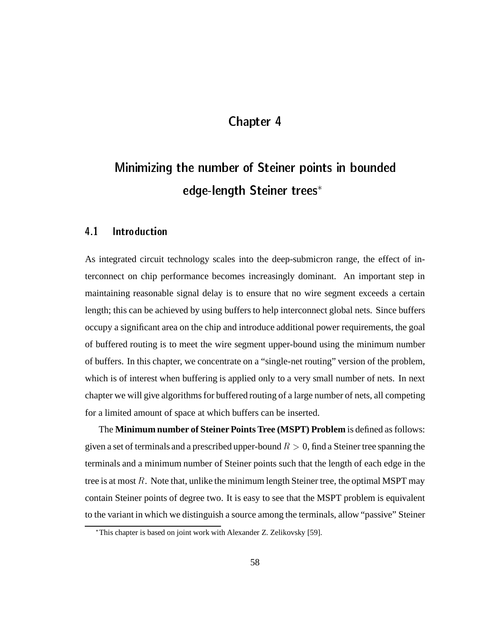## Chapter 4

# Minimizing the number of Steiner points in bounded edge-length Steiner trees

#### $4.1$ Introduction

As integrated circuit technology scales into the deep-submicron range, the effect of interconnect on chip performance becomes increasingly dominant. An important step in maintaining reasonable signal delay is to ensure that no wire segment exceeds a certain length; this can be achieved by using buffers to help interconnect global nets. Since buffers occupy a significant area on the chip and introduce additional power requirements, the goal of buffered routing is to meet the wire segment upper-bound using the minimum number of buffers. In this chapter, we concentrate on a "single-net routing" version of the problem, which is of interest when buffering is applied only to a very small number of nets. In next chapter we will give algorithms for buffered routing of a large number of nets, all competing for a limited amount of space at which buffers can be inserted.

The **Minimum number of Steiner Points Tree (MSPT) Problem** is defined as follows: given a set of terminals and a prescribed upper-bound  $R > 0$ , find a Steiner tree spanning the terminals and a minimum number of Steiner points such that the length of each edge in the tree is at most  $R$ . Note that, unlike the minimum length Steiner tree, the optimal MSPT may contain Steiner points of degree two. It is easy to see that the MSPT problem is equivalent to the variant in which we distinguish a source among the terminals, allow "passive" Steiner

This chapter is based on joint work with Alexander Z. Zelikovsky [59].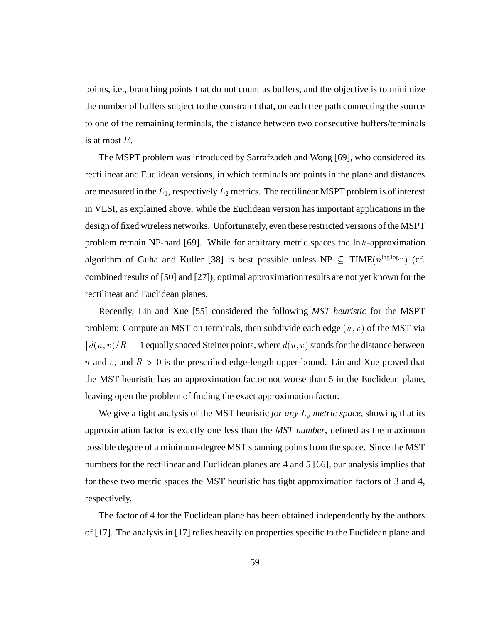points, i.e., branching points that do not count as buffers, and the objective is to minimize the number of buffers subject to the constraint that, on each tree path connecting the source to one of the remaining terminals, the distance between two consecutive buffers/terminals is at most R.

The MSPT problem was introduced by Sarrafzadeh and Wong [69], who considered its rectilinear and Euclidean versions, in which terminals are points in the plane and distances are measured in the  $L_1$ , respectively  $L_2$  metrics. The rectilinear MSPT problem is of interest in VLSI, as explained above, while the Euclidean version has important applications in the design of fixed wireless networks. Unfortunately, even these restricted versions of the MSPT problem remain NP-hard [69]. While for arbitrary metric spaces the  $\ln k$ -approximation algorithm of Guha and Kuller [38] is best possible unless  $NP \subseteq TIME(n^{\log \log n})$  (cf. combined results of [50] and [27]), optimal approximation results are not yet known for the rectilinear and Euclidean planes.

Recently, Lin and Xue [55] considered the following *MST heuristic* for the MSPT problem: Compute an MST on terminals, then subdivide each edge  $(u, v)$  of the MST via  $\lceil d(u, v)/R\rceil - 1$  equally spaced Steiner points, where  $d(u, v)$  stands for the distance between u and v, and  $R > 0$  is the prescribed edge-length upper-bound. Lin and Xue proved that the MST heuristic has an approximation factor not worse than 5 in the Euclidean plane, leaving open the problem of finding the exact approximation factor.

We give a tight analysis of the MST heuristic *for any*  $L_p$  *metric space*, showing that its approximation factor is exactly one less than the *MST number*, defined as the maximum possible degree of a minimum-degree MST spanning points from the space. Since the MST numbers for the rectilinear and Euclidean planes are 4 and 5 [66], our analysis implies that for these two metric spaces the MST heuristic has tight approximation factors of 3 and 4, respectively.

The factor of 4 for the Euclidean plane has been obtained independently by the authors of [17]. The analysis in [17] relies heavily on properties specific to the Euclidean plane and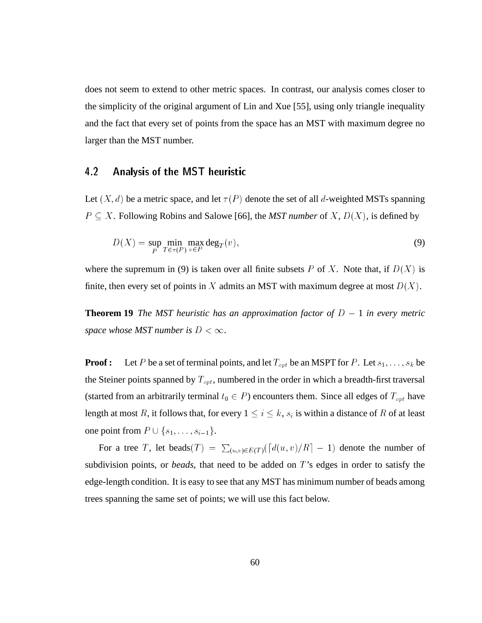does not seem to extend to other metric spaces. In contrast, our analysis comes closer to the simplicity of the original argument of Lin and Xue [55], using only triangle inequality and the fact that every set of points from the space has an MST with maximum degree no larger than the MST number.

#### $4.2$ 4.2 Analysis of the MST heuristic

Let  $(X, d)$  be a metric space, and let  $\tau(P)$  denote the set of all d-weighted MSTs spanning  $P \subseteq X$ . Following Robins and Salowe [66], the *MST number* of  $X$ ,  $D(X)$ , is defined by

$$
D(X) = \sup_{P} \min_{T \in \tau(P)} \max_{v \in P} \deg_T(v),\tag{9}
$$

where the supremum in (9) is taken over all finite subsets P of X. Note that, if  $D(X)$  is finite, then every set of points in X admits an MST with maximum degree at most  $D(X)$ .

**Theorem 19** *The MST heuristic has an approximation factor of*  $D - 1$  *in every metric space whose MST number is*  $D < \infty$ *.* 

**Proof :** Let P be a set of terminal points, and let  $T_{opt}$  be an MSPT for P. Let  $s_1, \ldots, s_k$  be the Steiner points spanned by  $T_{opt}$ , numbered in the order in which a breadth-first traversal (started from an arbitrarily terminal  $t_0 \in P$ ) encounters them. Since all edges of  $T_{opt}$  have length at most R, it follows that, for every  $1 \leq i \leq k,s_i$  is within a distance of R of at least

one point from  $P \cup \{s_1, \ldots, s_{i-1}\}.$ <br>For a tree T, let beads(T) = For a tree T, let beads(T) =  $\sum_{(u,v)\in E(T)}(\lceil d(u,v)/R \rceil - 1)$  denote the number of division points, or *beads*, that need to be added on T's edges in order to satisfy the subdivision points, or *beads*, that need to be added on T's edges in order to satisfy the edge-length condition. It is easy to see that any MST has minimum number of beads among trees spanning the same set of points; we will use this fact below.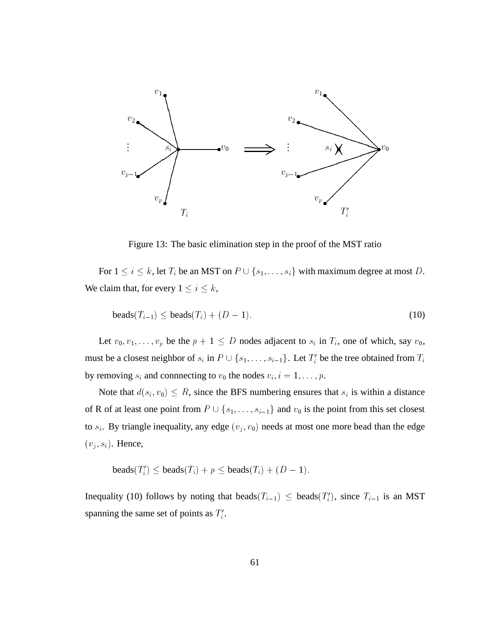

Figure 13: The basic elimination step in the proof of the MST ratio

For  $1 \le i \le k$ , let  $T_i$  be an MST on  $P \cup \{s_1,\ldots,s_i\}$  with maximum degree at most D.<br>claim that, for every  $1 \le i \le k$ , We claim that, for every  $1 \le i \le k$ ,

$$
\text{beads}(T_{i-1}) \le \text{beads}(T_i) + (D-1). \tag{10}
$$

Let  $v_0, v_1, \ldots, v_p$  be the  $p + 1 \leq D$  nodes adjacent to  $s_i$  in  $T_i$ , one of which, say  $v_0$ , must be a closest neighbor of  $s_i$  in  $P \cup \{s_1, \ldots, s_{i-1}\}$ . Let  $T'_i$  be<br>by removing  $s_i$  and connnecting to  $v_0$  the nodes  $v_i$ ,  $i = 1, \ldots, p$ .  $i'$  be the tree obtained from  $T_i$ by removing  $s_i$  and connnecting to  $v_0$  the nodes  $v_i$ ,  $i = 1, \ldots, p$ .

Note that  $d(s_i, v_0) \leq R$ , since the BFS numbering ensures that  $s_i$  is within a distance of R of at least one point from  $P \cup \{s_1, \ldots, s_{i-1}\}\$  and  $v_0$  is the point from this set closest to  $s_i$ . By triangle inequality, any edge  $(v_i, v_0)$  needs at most one more bead than the edge  $(v_j, s_i)$ . Hence,

beads $(T_i') \leq$  beads $(T_i) + p \leq$  beads $(T_i) + (D - 1)$ .

Inequality (10) follows by noting that beads $(T_{i-1}) \leq$  beads $(T'_{i})$ , since  $T_{i-1}$  is an MST spanning the same set of points as  $T_i'$ .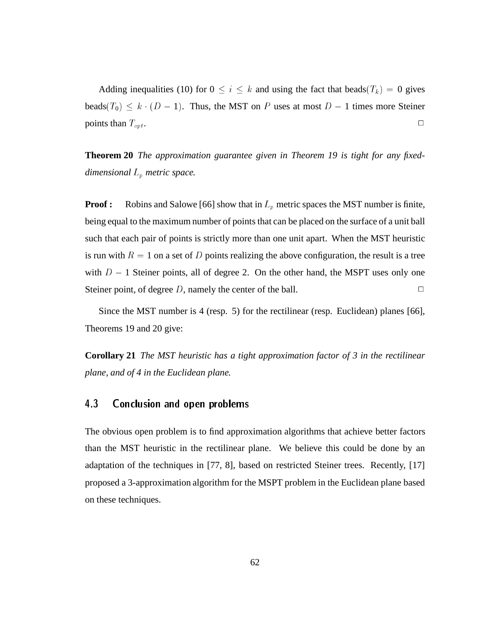Adding inequalities (10) for  $0 \le i \le k$  and using the fact that beads( $T_k$ ) = 0 gives beads( $T_0$ )  $\leq k \cdot (D - 1)$ . Thus, the MST on P uses at most  $D - 1$  times more Steiner points than  $T_{opt}$ .

**Theorem 20** *The approximation guarantee given in Theorem 19 is tight for any fixeddimensional* Lp *metric space.*

**Proof :** Robins and Salowe [66] show that in  $L_p$  metric spaces the MST number is finite, being equal to the maximum number of points that can be placed on the surface of a unit ball such that each pair of points is strictly more than one unit apart. When the MST heuristic is run with  $R = 1$  on a set of D points realizing the above configuration, the result is a tree with  $D - 1$  Steiner points, all of degree 2. On the other hand, the MSPT uses only one Steiner point, of degree D, namely the center of the ball.  $\Box$ 

Since the MST number is 4 (resp. 5) for the rectilinear (resp. Euclidean) planes [66], Theorems 19 and 20 give:

**Corollary 21** *The MST heuristic has a tight approximation factor of 3 in the rectilinear plane, and of 4 in the Euclidean plane.*

### 4.3 Conclusion and open problems

The obvious open problem is to find approximation algorithms that achieve better factors than the MST heuristic in the rectilinear plane. We believe this could be done by an adaptation of the techniques in [77, 8], based on restricted Steiner trees. Recently, [17] proposed a 3-approximation algorithm for the MSPT problem in the Euclidean plane based on these techniques.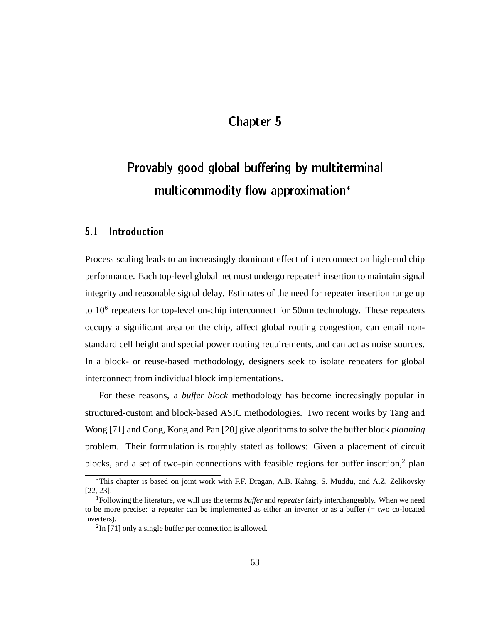# Chapter 5

# Provably good global buffering by multiterminal multicommodity flow approximation\*

#### Introduction 5.1

Process scaling leads to an increasingly dominant effect of interconnect on high-end chip performance. Each top-level global net must undergo repeater<sup>1</sup> insertion to maintain signal integrity and reasonable signal delay. Estimates of the need for repeater insertion range up to  $10<sup>6</sup>$  repeaters for top-level on-chip interconnect for 50nm technology. These repeaters occupy a significant area on the chip, affect global routing congestion, can entail nonstandard cell height and special power routing requirements, and can act as noise sources. In a block- or reuse-based methodology, designers seek to isolate repeaters for global interconnect from individual block implementations.

For these reasons, a *buffer block* methodology has become increasingly popular in structured-custom and block-based ASIC methodologies. Two recent works by Tang and Wong [71] and Cong, Kong and Pan [20] give algorithms to solve the buffer block *planning* problem. Their formulation is roughly stated as follows: Given a placement of circuit blocks, and a set of two-pin connections with feasible regions for buffer insertion, $2$  plan

This chapter is based on joint work with F.F. Dragan, A.B. Kahng, S. Muddu, and A.Z. Zelikovsky [22, 23].

<sup>1</sup>Following the literature, we will use the terms *buffer* and *repeater* fairly interchangeably. When we need to be more precise: a repeater can be implemented as either an inverter or as a buffer (= two co-located inverters).

 $2$ In [71] only a single buffer per connection is allowed.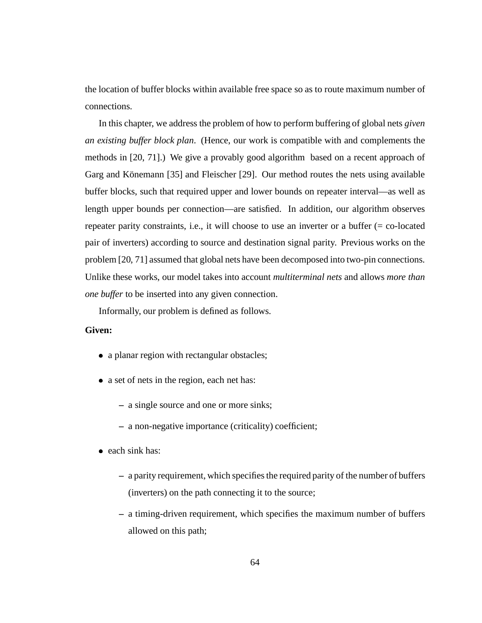the location of buffer blocks within available free space so as to route maximum number of connections.

In this chapter, we address the problem of how to perform buffering of global nets *given an existing buffer block plan*. (Hence, our work is compatible with and complements the methods in [20, 71].) We give a provably good algorithm based on a recent approach of Garg and Könemann  $[35]$  and Fleischer  $[29]$ . Our method routes the nets using available buffer blocks, such that required upper and lower bounds on repeater interval—as well as length upper bounds per connection—are satisfied. In addition, our algorithm observes repeater parity constraints, i.e., it will choose to use an inverter or a buffer (= co-located pair of inverters) according to source and destination signal parity. Previous works on the problem [20, 71] assumed that global nets have been decomposed into two-pin connections. Unlike these works, our model takes into account *multiterminal nets* and allows *more than one buffer* to be inserted into any given connection.

Informally, our problem is defined as follows.

### **Given:**

- a planar region with rectangular obstacles;
- a set of nets in the region, each net has:
	- **–** a single source and one or more sinks;
	- **–** a non-negative importance (criticality) coefficient;
- $\bullet$  each sink has:
	- **–** a parity requirement, which specifies the required parity of the number of buffers (inverters) on the path connecting it to the source;
	- **–** a timing-driven requirement, which specifies the maximum number of buffers allowed on this path;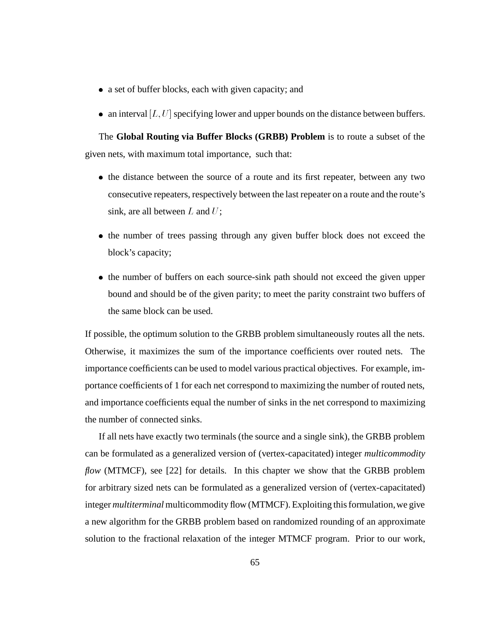- a set of buffer blocks, each with given capacity; and
- an interval  $[L, U]$  specifying lower and upper bounds on the distance between buffers.

The **Global Routing via Buffer Blocks (GRBB) Problem** is to route a subset of the given nets, with maximum total importance, such that:

- the distance between the source of a route and its first repeater, between any two consecutive repeaters, respectively between the last repeater on a route and the route's sink, are all between  $L$  and  $U$ ;
- the number of trees passing through any given buffer block does not exceed the block's capacity;
- the number of buffers on each source-sink path should not exceed the given upper bound and should be of the given parity; to meet the parity constraint two buffers of the same block can be used.

If possible, the optimum solution to the GRBB problem simultaneously routes all the nets. Otherwise, it maximizes the sum of the importance coefficients over routed nets. The importance coefficients can be used to model various practical objectives. For example, importance coefficients of 1 for each net correspond to maximizing the number of routed nets, and importance coefficients equal the number of sinks in the net correspond to maximizing the number of connected sinks.

If all nets have exactly two terminals (the source and a single sink), the GRBB problem can be formulated as a generalized version of (vertex-capacitated) integer *multicommodity flow* (MTMCF), see [22] for details. In this chapter we show that the GRBB problem for arbitrary sized nets can be formulated as a generalized version of (vertex-capacitated) integer *multiterminal* multicommodity flow (MTMCF). Exploiting this formulation, we give a new algorithm for the GRBB problem based on randomized rounding of an approximate solution to the fractional relaxation of the integer MTMCF program. Prior to our work,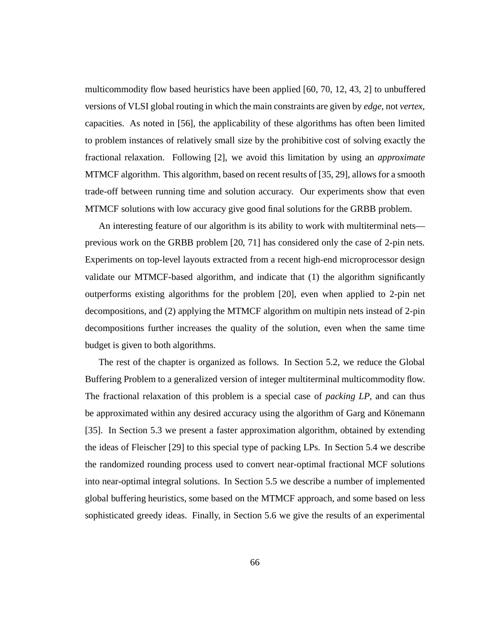multicommodity flow based heuristics have been applied [60, 70, 12, 43, 2] to unbuffered versions of VLSI global routing in which the main constraints are given by *edge*, not *vertex*, capacities. As noted in [56], the applicability of these algorithms has often been limited to problem instances of relatively small size by the prohibitive cost of solving exactly the fractional relaxation. Following [2], we avoid this limitation by using an *approximate* MTMCF algorithm. This algorithm, based on recent results of [35, 29], allows for a smooth trade-off between running time and solution accuracy. Our experiments show that even MTMCF solutions with low accuracy give good final solutions for the GRBB problem.

An interesting feature of our algorithm is its ability to work with multiterminal nets previous work on the GRBB problem [20, 71] has considered only the case of 2-pin nets. Experiments on top-level layouts extracted from a recent high-end microprocessor design validate our MTMCF-based algorithm, and indicate that (1) the algorithm significantly outperforms existing algorithms for the problem [20], even when applied to 2-pin net decompositions, and (2) applying the MTMCF algorithm on multipin nets instead of 2-pin decompositions further increases the quality of the solution, even when the same time budget is given to both algorithms.

The rest of the chapter is organized as follows. In Section 5.2, we reduce the Global Buffering Problem to a generalized version of integer multiterminal multicommodity flow. The fractional relaxation of this problem is a special case of *packing LP*, and can thus be approximated within any desired accuracy using the algorithm of Garg and Könemann [35]. In Section 5.3 we present a faster approximation algorithm, obtained by extending the ideas of Fleischer [29] to this special type of packing LPs. In Section 5.4 we describe the randomized rounding process used to convert near-optimal fractional MCF solutions into near-optimal integral solutions. In Section 5.5 we describe a number of implemented global buffering heuristics, some based on the MTMCF approach, and some based on less sophisticated greedy ideas. Finally, in Section 5.6 we give the results of an experimental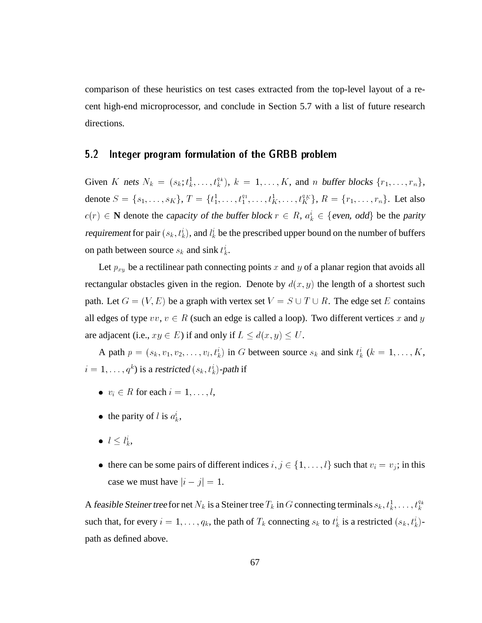comparison of these heuristics on test cases extracted from the top-level layout of a recent high-end microprocessor, and conclude in Section 5.7 with a list of future research directions.

### 5.2 Integer program formulation of the GRBB problem

Given K nets  $N_k = (s_k; t_k^1, \ldots, t_k^{q_k})$ ,  $k = 1, \ldots, K$ , and n buffer blocks  $\{r_1, \ldots, r_n\}$ , denote  $S = \{s_1, \ldots, s_K\}, T = \{t_1^1, \ldots, t_1^{q_1}, \ldots, t_K^{q_K}, \ldots, t_K^{q_K}\}, R = \{r_1, \ldots, r_n\}.$  Let also . . . . <u>.</u>  $\in \mathbb{N}$  denote the capacity of the buffer block  $r \in R$ ,  $a_k^i \in$  $\in$  {even, odd} be the parity<br>und on the number of buffers requirement for pair  $(s_k, t_k^i)$ , and  $l_k^i$  be the prescribed upper bound on the number of buffers on path between source  $s_k$  and sink  $t_k^i$ .

Let  $p_{xy}$  be a rectilinear path connecting points x and y of a planar region that avoids all rectangular obstacles given in the region. Denote by  $d(x, y)$  the length of a shortest such path. Let  $G = (V, E)$  be a graph with vertex set  $V = S \cup T \cup R$ . The edge set E contains all edges of type  $vv, v \in R$  (such an edge is called a loop). Two different vertices x and y are adjacent (i.e.,  $xy \in E$ ) if and only if  $L \le d(x, y) \le U$ .

A path  $p = (s_k, v_1, v_2, \ldots, v_l, t_k^i)$  in G between source  $s_k$  and sink  $t_k^i$  ( $k = 1, \ldots, K$ ,  $i = 1, \ldots, q^k$ ) is a restricted  $(s_k, t_k)$ -path if

- $v_i \in R$  for each  $i = 1, \ldots, l$ ,
- the parity of l is  $a_k^i$ ,
- $l \leq l_k^i$ ,
- there can be some pairs of different indices  $i, j \in \{1, \ldots, l\}$  such that  $v_i = v_j$ ; in this case we must have  $|i - j| = 1$ .

A feasible Steiner tree for net  $N_k$  is a Steiner tree  $T_k$  in  $G$  connecting terminals  $s_k, t_k^1, \ldots, t_k^{q_k}$ such that, for every  $i = 1, \ldots, q_k$ , the path of  $T_k$  connecting  $s_k$  to  $t_k^i$  is a restricted  $(s_k, t_k^i)$ path as defined above.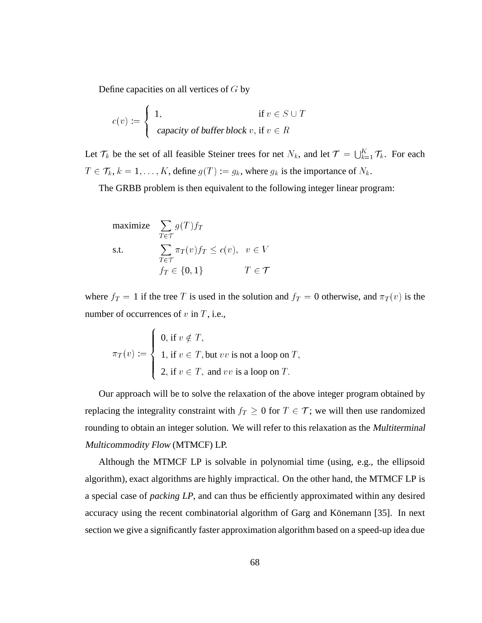Define capacities on all vertices of  $G$  by

$$
c(v) := \begin{cases} 1, & \text{if } v \in S \cup T \\ \text{capacity of buffer block } v, \text{if } v \in R \end{cases}
$$

Let  $\mathcal{T}_k$  be the set of all feasible Steiner trees for net  $N_k$ , and let  $\mathcal{T} = \bigcup_{k=1}^K \mathcal{T}_k$ . For each <u>the second second</u> and the second second second the second second second second second second second second second second second second second second second second second second second second second second second second s  $\in \mathcal{T}_k$ ,  $k = 1, \ldots, K$ , define  $g(T) := g_k$ , where  $g_k$  is the importance of  $N_k$ .<br>The GRBB problem is then equivalent to the following integer linear progr

The GRBB problem is then equivalent to the following integer linear program:

maximize 
$$
\sum_{T \in \mathcal{T}} g(T) f_T
$$
  
s.t. 
$$
\sum_{T \in \mathcal{T}} \pi_T(v) f_T \le c(v), \quad v \in V
$$

$$
f_T \in \{0, 1\} \qquad T \in \mathcal{T}
$$

 $f_T \in \{0, 1\}$   $T \in \mathcal{T}$ <br>where  $f_T = 1$  if the tree T is used in the solution and  $f_T = 0$  otherwise, and  $\pi_T(v)$  is the number of occurrences of  $v$  in  $T$ , i.e.,

$$
\pi_T(v) := \begin{cases} 0, \text{ if } v \notin T, \\ 1, \text{ if } v \in T, \text{ but } vv \text{ is not a loop on } T, \\ 2, \text{ if } v \in T, \text{ and } vv \text{ is a loop on } T. \end{cases}
$$

Our approach will be to solve the relaxation of the above integer program obtained by replacing the integrality constraint with  $f_T \ge 0$  for  $T \in \mathcal{T}$ ; we will then use randomized<br>rounding to obtain an integer solution. We will refer to this relaxation as the *Multiterminal* rounding to obtain an integer solution. We will refer to this relaxation as the Multiterminal Multicommodity Flow (MTMCF) LP.

Although the MTMCF LP is solvable in polynomial time (using, e.g., the ellipsoid algorithm), exact algorithms are highly impractical. On the other hand, the MTMCF LP is a special case of *packing LP*, and can thus be efficiently approximated within any desired accuracy using the recent combinatorial algorithm of Garg and Könemann [35]. In next section we give a significantly faster approximation algorithm based on a speed-up idea due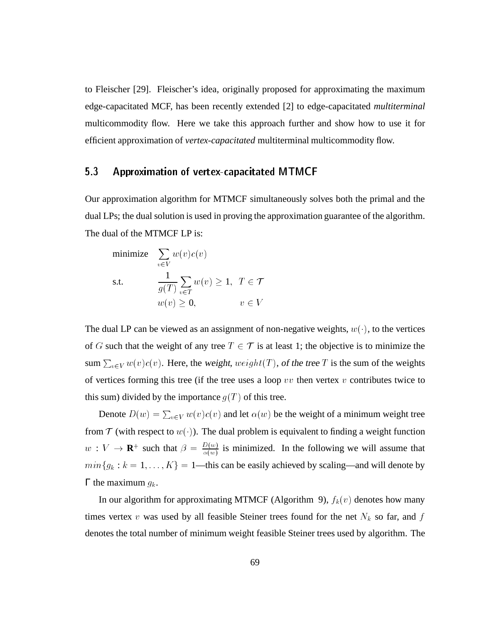to Fleischer [29]. Fleischer's idea, originally proposed for approximating the maximum edge-capacitated MCF, has been recently extended [2] to edge-capacitated *multiterminal* multicommodity flow. Here we take this approach further and show how to use it for efficient approximation of *vertex-capacitated* multiterminal multicommodity flow.

#### $5<sub>3</sub>$ 5.3 Approximation of vertex-capacitated MTMCF

Our approximation algorithm for MTMCF simultaneously solves both the primal and the dual LPs; the dual solution is used in proving the approximation guarantee of the algorithm. The dual of the MTMCF LP is:

minimize 
$$
\sum_{v \in V} w(v)c(v)
$$
  
s.t. 
$$
\frac{1}{g(T)} \sum_{v \in T} w(v) \ge 1, T \in \mathcal{T}
$$

$$
w(v) \ge 0, \qquad v \in V
$$

The dual LP can be viewed as an assignment of non-negative weights,  $w(\cdot)$ , to the vertices of G such that the weight of any tree  $T \in \mathcal{T}$  is at least 1; the objective is to minimize the  $\in \mathcal{T}$  is at least 1; the objective is to minimize the *veight*(*T*), of the tree *T* is the sum of the weights sum  $\sum_{v \in V} w(v)c(v)$ . Here, the weight,  $weight(T)$ , of the tree T is the sum of the weights of vertices forming this tree (if the tree uses a loop  $vv$  then vertex  $v$  contributes twice to this sum) divided by the importance  $q(T)$  of this tree.

Denote  $D(w) = \sum_{v \in V} w(v)c(v)$  and let  $\alpha(w)$  be the weight of a minimum weight tree from  $\mathcal T$  (with respect to  $w(\cdot)$ ). The dual problem is equivalent to finding a weight function  $w: V \to \mathbf{R}^+$  such that  $\beta = \frac{D(w)}{\alpha(w)}$  is minimized. In the following we will assume that  $min{g_k : k = 1,..., K} = 1$ —this can be easily achieved by scaling—and will denote by Γ the maximum  $g_k$ .

In our algorithm for approximating MTMCF (Algorithm 9),  $f_k(v)$  denotes how many times vertex v was used by all feasible Steiner trees found for the net  $N_k$  so far, and f denotes the total number of minimum weight feasible Steiner trees used by algorithm. The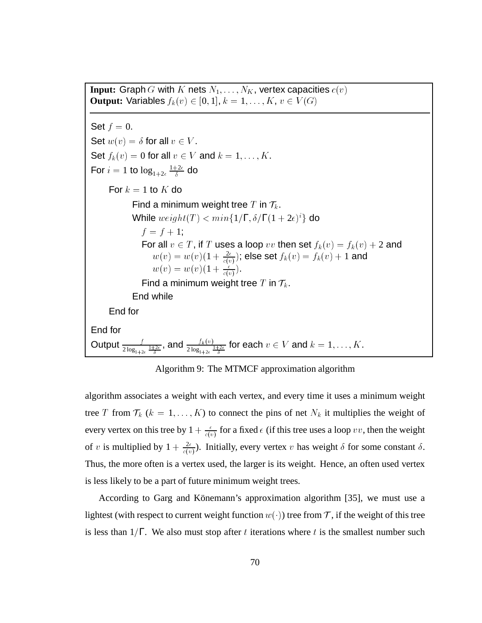**Input:** Graph G with K nets  $N_1, \ldots, N_K$ , vertex capacities  $c(v)$ **Output:** Variables  $f_k(v) \in [0, 1], k = 1, \ldots, K, v \in V(G)$ Set  $f = 0$ . Set  $w(v) = \delta$  for all  $v \in V$ . Set  $f_k(v)=0$  for all  $v \in V$  and  $k = 1, \ldots, K$ . For  $i=1$  to  $\log_{1+2\epsilon}{1+2\epsilon \over \delta}$  d  $\frac{+2\epsilon}{\delta}$  do For  $k = 1$  to K do Find a minimum weight tree T in  $\mathcal{T}_k$ . While  $weight(T) < min\{1/\Gamma, \delta/\Gamma(1 + 2\epsilon)^i\}$  do  $f = f + 1;$ For all  $v \in T$ , if T uses a loop vv then set  $f_k(v) = f_k(v) + 2$  and  $w(v) = w(v)(1 + \frac{2\epsilon}{c(v)})$ ; else set  $f_k(v) = f_k(v) + 1$  and  $w(v) = w(v)(1 + \frac{\epsilon}{c(v)})$ . Find a minimum weight tree T in  $\mathcal{T}_k$ . End while End for End for Output  $\frac{f}{2\log_{1+2\epsilon}\frac{1+2\epsilon}{\delta}}$ , and  $\frac{f_k(v)}{2\log_{1+2\epsilon}\frac{1+2\epsilon}{\delta}}$  for each  $v\in V$  and  $k=1,\ldots,K.$ 

Algorithm 9: The MTMCF approximation algorithm

algorithm associates a weight with each vertex, and every time it uses a minimum weight tree T from  $\mathcal{T}_k$  ( $k = 1, \ldots, K$ ) to connect the pins of net  $N_k$  it multiplies the weight of every vertex on this tree by  $1 + \frac{\epsilon}{c(v)}$  for a fixed  $\epsilon$  (if this tree uses a loop vv, then the weight of v is multiplied by  $1 + \frac{2\epsilon}{c(v)}$ ). Initially, every vertex v has weight  $\delta$  for some constant  $\delta$ . Thus, the more often is a vertex used, the larger is its weight. Hence, an often used vertex is less likely to be a part of future minimum weight trees.

According to Garg and Könemann's approximation algorithm [35], we must use a lightest (with respect to current weight function  $w(\cdot)$ ) tree from T, if the weight of this tree is less than  $1/\Gamma$ . We also must stop after t iterations where t is the smallest number such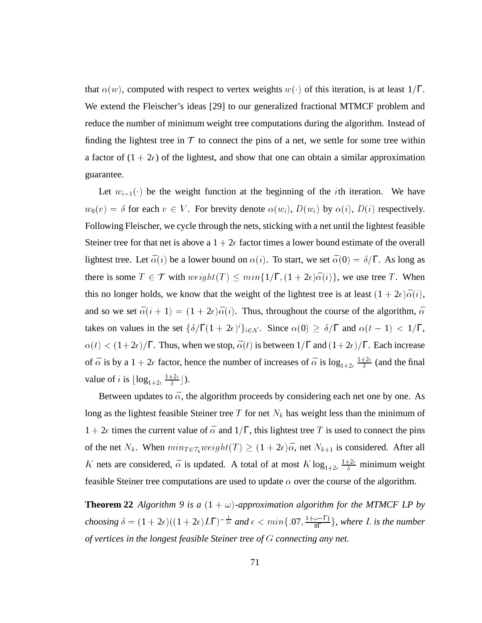that  $\alpha(w)$ , computed with respect to vertex weights  $w(\cdot)$  of this iteration, is at least 1/Γ. We extend the Fleischer's ideas [29] to our generalized fractional MTMCF problem and reduce the number of minimum weight tree computations during the algorithm. Instead of finding the lightest tree in  $T$  to connect the pins of a net, we settle for some tree within a factor of  $(1 + 2\epsilon)$  of the lightest, and show that one can obtain a similar approximation guarantee.

Let  $w_{i-1}(\cdot)$  be the weight function at the beginning of the *i*th iteration. We have  $w_0(v) = \delta$  for each  $v \in V$ . For brevity denote  $\alpha(w_i)$ ,  $D(w_i)$  by  $\alpha(i)$ ,  $D(i)$  respectively. Following Fleischer, we cycle through the nets, sticking with a net until the lightest feasible Steiner tree for that net is above a  $1 + 2\epsilon$  factor times a lower bound estimate of the overall lightest tree. Let  $\bar{\alpha}(i)$  be a lower bound on  $\alpha(i)$ . To start, we set  $\bar{\alpha}(0) = \delta/\Gamma$ . As long as there is some  $T \in \mathcal{T}$  with  $weight(T) \leq min\{1/\Gamma, (1+2\epsilon)\bar{\alpha}(i)\}\)$ , we use tree T. When  $\in \mathcal{T}$  with  $weight(T) \leq min\{1/\Gamma, (1 + 2\epsilon)\bar{\alpha}(i)\}$ , we use tree T. When<br>olds, we know that the weight of the lightest tree is at least  $(1 + 2\epsilon)\bar{\alpha}(i)$ , this no longer holds, we know that the weight of the lightest tree is at least  $(1 + 2\epsilon)\bar{\alpha}(i)$ , and so we set  $\bar{\alpha}(i + 1) = (1 + 2\epsilon)\bar{\alpha}(i)$ . Thus, throughout the course of the algorithm,  $\bar{\alpha}$ takes on values in the set  $\{\delta/\Gamma(1 + 2\epsilon)^i\}_{i \in \mathcal{N}}$ . Since  $\alpha(0) \ge \delta/\Gamma$  and  $\alpha(t - 1) < 1/\Gamma$ ,  $\alpha(t) < (1+2\epsilon)/\Gamma$ . Thus, when we stop,  $\bar{\alpha}(t)$  is between  $1/\Gamma$  and  $(1+2\epsilon)/\Gamma$ . Each increase of  $\bar{\alpha}$  is by a  $1 + 2\epsilon$  factor, hence the number of increases of  $\bar{\alpha}$  is  $\log_{1+2\epsilon} \frac{1+2\epsilon}{\delta}$  (and the final value of *i* is  $\lfloor \log_{1+2\epsilon} \frac{1+2\epsilon}{\delta} \rfloor$ )  $\frac{+2\epsilon}{\delta}$ ]).

Between updates to  $\bar{\alpha}$ , the algorithm proceeds by considering each net one by one. As long as the lightest feasible Steiner tree T for net  $N_k$  has weight less than the minimum of  $1 + 2\epsilon$  times the current value of  $\bar{\alpha}$  and  $1/\Gamma$ , this lightest tree T is used to connect the pins of the net  $N_k$ . When  $min_{T \in \mathcal{T}_k} weight(T) \ge (1 + 2\epsilon)\bar{\alpha}$ , net  $N_{k+1}$  is considered. After all K nets are considered,  $\bar{\alpha}$  is updated. A total of at most  $K \log_{1+2\epsilon} \frac{1+2\epsilon}{\delta}$  n  $rac{1}{\delta}$  minimum weight feasible Steiner tree computations are used to update  $\alpha$  over the course of the algorithm.

**Theorem 22** *Algorithm* 9 is a  $(1 + \omega)$ -approximation algorithm for the MTMCF LP by *choosing*  $\delta = (1 + 2\epsilon)((1 + 2\epsilon)L\Gamma)^{-\frac{1}{2\epsilon}}$  *and*  $\epsilon < min\{.07, \frac{1+\omega-\Gamma}{8\Gamma}\},$  $\frac{1}{8\Gamma}$ }, where *L* is the number *of vertices in the longest feasible Steiner tree of* G *connecting any net.*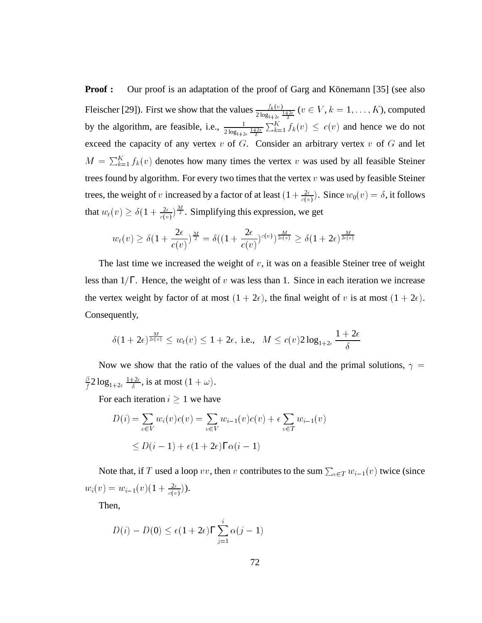**Proof :** Our proof is an adaptation of the proof of Garg and Könemann [35] (see also Fleischer [29]). First we show that the values  $\frac{f_k(v)}{2 \log_{1+2\varepsilon} \frac{1+2\varepsilon}{\delta}}$  ( $v \in V, k = 1, \ldots, K$ ), computed by the algorithm, are feasible, i.e.,  $\frac{1}{2 \log_{1+2\epsilon} \frac{1+2\epsilon}{\delta}} \sum_{k=1}^{K} f_k(v) \leq c(v)$  and hence we do not exceed the capacity of any vertex  $v$  of  $G$ . Consider an arbitrary vertex  $v$  of  $G$  and let  $M = \sum_{k=1}^{K} f_k(v)$  denotes how many times the vertex v was used by all feasible Steiner trees found by algorithm. For every two times that the vertex  $v$  was used by feasible Steiner trees, the weight of v increased by a factor of at least  $(1 + \frac{2\epsilon}{c(v)}).$  Since  $w_0(v) = \delta$ , it follows that  $w_t(v) \ge \delta(1 + \frac{2\epsilon}{c(v)})^{\frac{M}{2}}$ . Simplifying this expression, we get

$$
w_t(v) \geq \delta(1+\frac{2\epsilon}{c(v)})^{\frac{M}{2}} = \delta((1+\frac{2\epsilon}{c(v)})^{c(v)})^{\frac{M}{2c(v)}} \geq \delta(1+2\epsilon)^{\frac{M}{2c(v)}}
$$

The last time we increased the weight of  $v$ , it was on a feasible Steiner tree of weight less than  $1/\Gamma$ . Hence, the weight of v was less than 1. Since in each iteration we increase the vertex weight by factor of at most  $(1 + 2\epsilon)$ , the final weight of v is at most  $(1 + 2\epsilon)$ . Consequently,

$$
\delta(1+2\epsilon)^{\frac{M}{2c(v)}}\leq w_t(v)\leq 1+2\epsilon, \text{ i.e., }~M\leq c(v)2\log_{1+2\epsilon}\frac{1+2\epsilon}{\delta}
$$

Now we show that the ratio of the values of the dual and the primal solutions,  $\gamma =$ . . . .  $\frac{\beta}{f} 2 \log_{1+2\epsilon}{\frac{1+2\epsilon}{\delta}},$  i  $\frac{12\epsilon}{\delta}$ , is at most  $(1 + \omega)$ .

For each iteration  $i \geq 1$  we have

$$
D(i) = \sum_{v \in V} w_i(v)c(v) = \sum_{v \in V} w_{i-1}(v)c(v) + \epsilon \sum_{v \in T} w_{i-1}(v)
$$
  

$$
\leq D(i-1) + \epsilon(1+2\epsilon)\Gamma\alpha(i-1)
$$

Note that, if T used a loop  $vv$ , then v contributes to the sum  $\sum_{v \in T} w_{i-1}(v)$  twice (since  $w_i(v) = w_{i-1}(v)(1 + \frac{2\epsilon}{c(v)}).$ 

Then,

$$
D(i) - D(0) \le \epsilon (1 + 2\epsilon) \Gamma \sum_{j=1}^{i} \alpha(j-1)
$$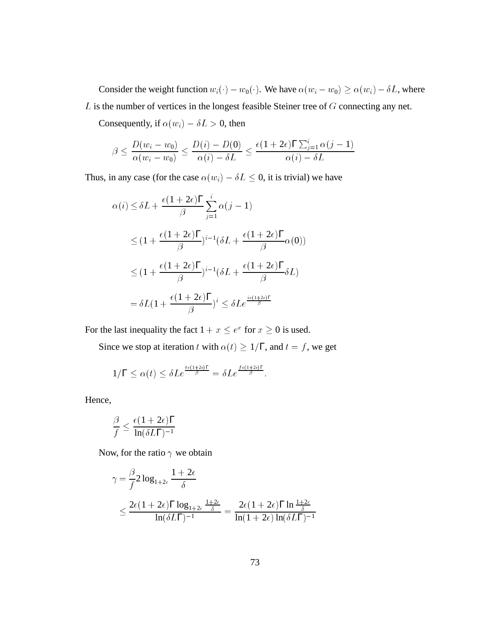Consider the weight function  $w_i(\cdot) - w_0(\cdot)$ . We have  $\alpha(w_i - w_0) \ge \alpha(w_i) - \delta L$ , where  $L$  is the number of vertices in the longest feasible Steiner tree of  $G$  connecting any net.

Consequently, if  $\alpha(w_i) - \delta L > 0$ , then

$$
\beta \le \frac{D(w_i - w_0)}{\alpha(w_i - w_0)} \le \frac{D(i) - D(0)}{\alpha(i) - \delta L} \le \frac{\epsilon (1 + 2\epsilon) \Gamma \sum_{j=1}^{\infty} \alpha(j-1)}{\alpha(i) - \delta L}
$$

Thus, in any case (for the case  $\alpha(w_i) - \delta L \leq 0$ , it is trivial) we have

$$
\alpha(i) \leq \delta L + \frac{\epsilon (1 + 2\epsilon)\Gamma}{\beta} \sum_{j=1}^{i} \alpha(j-1)
$$
  

$$
\leq (1 + \frac{\epsilon (1 + 2\epsilon)\Gamma}{\beta})^{i-1} (\delta L + \frac{\epsilon (1 + 2\epsilon)\Gamma}{\beta} \alpha(0))
$$
  

$$
\leq (1 + \frac{\epsilon (1 + 2\epsilon)\Gamma}{\beta})^{i-1} (\delta L + \frac{\epsilon (1 + 2\epsilon)\Gamma}{\beta} \delta L)
$$
  

$$
= \delta L (1 + \frac{\epsilon (1 + 2\epsilon)\Gamma}{\beta})^i \leq \delta L e^{\frac{i\epsilon (1 + 2\epsilon)\Gamma}{\beta}}
$$

For the last inequality the fact  $1 + x \le e^x$  for  $x \ge 0$  is used.

Since we stop at iteration t with  $\alpha(t) \geq 1/\Gamma$ , and  $t = f$ , we get

$$
1/\Gamma \leq \alpha(t) \leq \delta L e^{\frac{t\epsilon(1+2\epsilon)\Gamma}{\beta}} = \delta L e^{\frac{f\epsilon(1+2\epsilon)\Gamma}{\beta}}.
$$

Hence,

$$
\frac{\beta}{f} \leq \frac{\epsilon (1+2\epsilon)\Gamma}{\ln(\delta L\Gamma)^{-1}}
$$

Now, for the ratio  $\gamma$  we obtain

$$
\gamma = \frac{\beta}{f} 2 \log_{1+2\epsilon} \frac{1+2\epsilon}{\delta}
$$
  
\$\leq \frac{2\epsilon (1+2\epsilon)\Gamma \log\_{1+2\epsilon} \frac{1+2\epsilon}{\delta}}{\ln(\delta L\Gamma)^{-1}} = \frac{2\epsilon (1+2\epsilon)\Gamma \ln \frac{1+2\epsilon}{\delta}}{\ln(1+2\epsilon) \ln(\delta L\Gamma)^{-1}}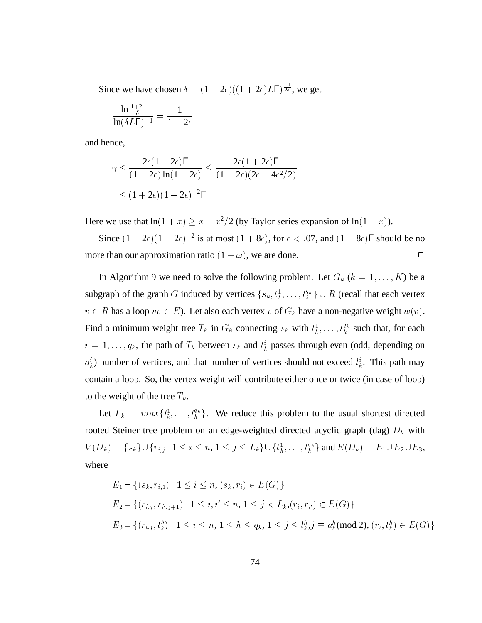Since we have chosen  $\delta = (1 + 2\epsilon)((1 + 2\epsilon)L\Gamma)^{\frac{-1}{2\epsilon}}$ , we get

$$
\frac{\ln \frac{1+2\varepsilon}{\delta}}{\ln(\delta L\Gamma)^{-1}} = \frac{1}{1-2\varepsilon}
$$

and hence,

$$
\gamma \leq \frac{2\epsilon (1 + 2\epsilon)\Gamma}{(1 - 2\epsilon)\ln(1 + 2\epsilon)} \leq \frac{2\epsilon (1 + 2\epsilon)\Gamma}{(1 - 2\epsilon)(2\epsilon - 4\epsilon^2/2)}
$$
  

$$
\leq (1 + 2\epsilon)(1 - 2\epsilon)^{-2}\Gamma
$$

Here we use that  $ln(1 + x) \ge x - x^2/2$  (by Taylor series expansion of  $ln(1 + x)$ ).

Since  $(1 + 2\epsilon)(1 - 2\epsilon)^{-2}$  is at most  $(1 + 8\epsilon)$ , for  $\epsilon < .07$ , and  $(1 + 8\epsilon)\Gamma$  should be no more than our approximation ratio  $(1 + \omega)$ , we are done.

In Algorithm 9 we need to solve the following problem. Let  $G_k$  ( $k = 1, \ldots, K$ ) be a subgraph of the graph G induced by vertices  $\{s_k, t_k^1, \ldots, t_k^{q_k}\} \cup R$  (recall that each vertex  $v \in R$  has a loop  $vv \in E$ ). Let also each vertex  $v$  of  $G_k$  have a non-negative weight  $w(v)$ .  $v \in R$  has a loop  $vv \in E$ ). Let also each vertex v of  $G_k$  have a non-negative weight  $w(v)$ . Find a minimum weight tree  $T_k$  in  $G_k$  connecting  $s_k$  with  $t_k^1, \ldots, t_k^{q_k}$  such that, for each  $i = 1, \ldots, q_k$ , the path of  $T_k$  between  $s_k$  and  $t_k$  passes through even (odd, depending on  $a_k^i$ ) number of vertices, and that number of vertices should not exceed  $l_k^i$ . This path may contain a loop. So, the vertex weight will contribute either once or twice (in case of loop) to the weight of the tree  $T_k$ .

Let  $L_k = max\{l_k^1, \ldots, l_k^{q_k}\}\.$  We reduce this problem to the usual shortest directed rooted Steiner tree problem on an edge-weighted directed acyclic graph (dag)  $D_k$  with  $V(D_k) = \{s_k\} \cup \{r_{i,j} | 1 \le i \le n, 1 \le j \le L_k\} \cup \{t_k^1, \ldots, t_k^{q_k}\}$  and  $E(D_k) = E_1 \cup E_2 \cup E_3$ , where

$$
E_1 = \{(s_k, r_{i,1}) \mid 1 \le i \le n, (s_k, r_i) \in E(G)\}
$$
  
\n
$$
E_2 = \{(r_{i,j}, r_{i',j+1}) \mid 1 \le i, i' \le n, 1 \le j < L_k, (r_i, r_{i'}) \in E(G)\}
$$
  
\n
$$
E_3 = \{(r_{i,j}, t_k^h) \mid 1 \le i \le n, 1 \le h \le q_k, 1 \le j \le l_k^h, j \equiv a_k^h \pmod{2}, (r_i, t_k^h) \in E(G)\}
$$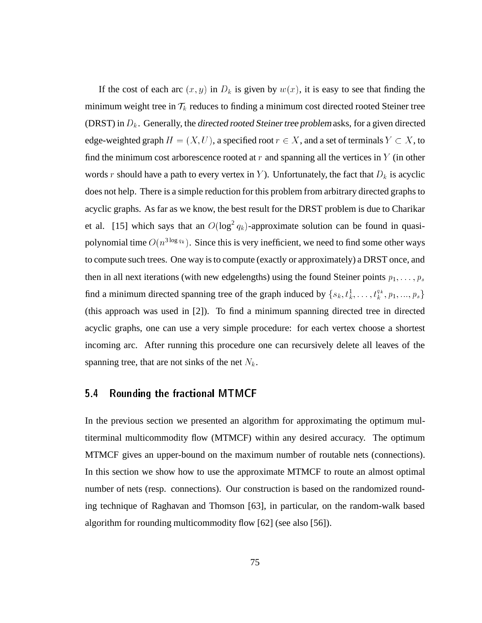If the cost of each arc  $(x, y)$  in  $D_k$  is given by  $w(x)$ , it is easy to see that finding the minimum weight tree in  $\mathcal{T}_k$  reduces to finding a minimum cost directed rooted Steiner tree (DRST) in  $D_k$ . Generally, the directed rooted Steiner tree problem asks, for a given directed edge-weighted graph  $H = (X, U)$ , a specified root  $r \in X$ , and a set of terminals  $Y \subset X$ , to find the minimum cost arborescence rooted at  $r$  and spanning all the vertices in  $Y$  (in other words r should have a path to every vertex in Y). Unfortunately, the fact that  $D_k$  is acyclic does not help. There is a simple reduction for this problem from arbitrary directed graphs to acyclic graphs. As far as we know, the best result for the DRST problem is due to Charikar et al. [15] which says that an  $O(\log^2 q_k)$ -approximate solution can be found in quasipolynomial time  $O(n^{3 \log q_k})$ . Since this is very inefficient, we need to find some other ways to compute such trees. One way is to compute (exactly or approximately) a DRST once, and then in all next iterations (with new edgelengths) using the found Steiner points  $p_1, \ldots, p_s$ find a minimum directed spanning tree of the graph induced by  $\{s_k, t_k^1, \ldots, t_k^{q_k}, p_1, \ldots, p_s\}$ (this approach was used in [2]). To find a minimum spanning directed tree in directed acyclic graphs, one can use a very simple procedure: for each vertex choose a shortest incoming arc. After running this procedure one can recursively delete all leaves of the spanning tree, that are not sinks of the net  $N_k$ .

#### 5.4 5.4 Rounding the fractional MTMCF

In the previous section we presented an algorithm for approximating the optimum multiterminal multicommodity flow (MTMCF) within any desired accuracy. The optimum MTMCF gives an upper-bound on the maximum number of routable nets (connections). In this section we show how to use the approximate MTMCF to route an almost optimal number of nets (resp. connections). Our construction is based on the randomized rounding technique of Raghavan and Thomson [63], in particular, on the random-walk based algorithm for rounding multicommodity flow [62] (see also [56]).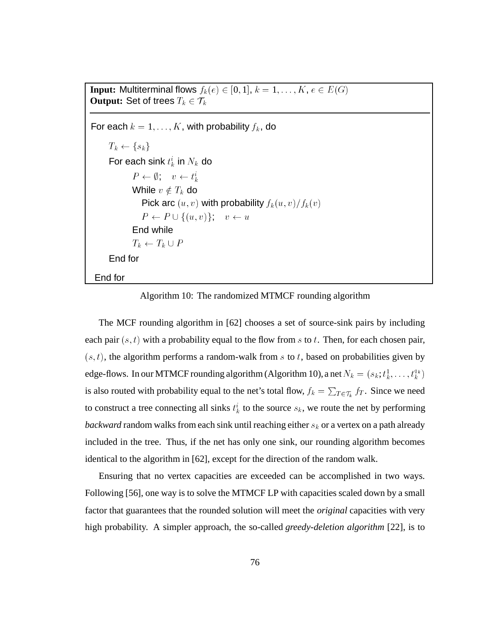**Input:** Multiterminal flows  $f_k(e) \in [0, 1], k = 1, \ldots, K, e \in E(G)$ **Output:** Set of trees  $T_k \in \mathcal{T}_k$ <br>For each  $k = 1, \ldots, K$ , with probability  $f_k$ , do  $T_k \leftarrow \{s_k\}$ For each sink  $t_k^i$  in  $N_k$  do  $P \leftarrow \emptyset; \quad v \leftarrow t_k^i$ While  $v \notin T_k$  do Pick arc  $(u, v)$  with probability  $f_k(u, v)/f_k(v)$  $P \leftarrow P \cup \{(u, v)\}; \quad v \leftarrow u$ End while  $T_k \leftarrow T_k \cup P$ End for End for

Algorithm 10: The randomized MTMCF rounding algorithm

The MCF rounding algorithm in [62] chooses a set of source-sink pairs by including each pair  $(s, t)$  with a probability equal to the flow from s to t. Then, for each chosen pair,  $(s, t)$ , the algorithm performs a random-walk from s to t, based on probabilities given by edge-flows. In our MTMCF rounding algorithm (Algorithm 10), a net  $N_k = (s_k; t_k^1, \ldots, t_k^{q_k})$ is also routed with probability equal to the net's total flow,  $f_k = \sum_{T \in \mathcal{T}_k} f_T$ . Since we need to construct a tree connecting all sinks  $t_k^i$  to the source  $s_k$ , we route the net by performing *backward* random walks from each sink until reaching either  $s_k$  or a vertex on a path already included in the tree. Thus, if the net has only one sink, our rounding algorithm becomes identical to the algorithm in [62], except for the direction of the random walk.

Ensuring that no vertex capacities are exceeded can be accomplished in two ways. Following [56], one way is to solve the MTMCF LP with capacities scaled down by a small factor that guarantees that the rounded solution will meet the *original* capacities with very high probability. A simpler approach, the so-called *greedy-deletion algorithm* [22], is to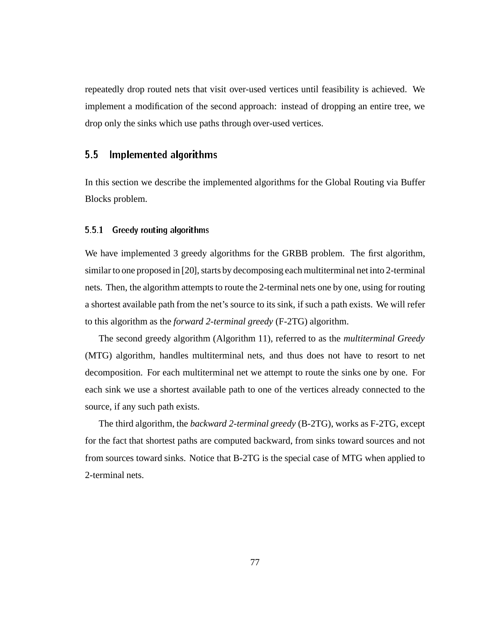repeatedly drop routed nets that visit over-used vertices until feasibility is achieved. We implement a modification of the second approach: instead of dropping an entire tree, we drop only the sinks which use paths through over-used vertices.

### 5.5 Implemented algorithms

In this section we describe the implemented algorithms for the Global Routing via Buffer Blocks problem.

#### 5.5.1Greedy routing algorithms

We have implemented 3 greedy algorithms for the GRBB problem. The first algorithm, similar to one proposed in [20], starts by decomposing each multiterminal net into 2-terminal nets. Then, the algorithm attempts to route the 2-terminal nets one by one, using for routing a shortest available path from the net's source to its sink, if such a path exists. We will refer to this algorithm as the *forward 2-terminal greedy* (F-2TG) algorithm.

The second greedy algorithm (Algorithm 11), referred to as the *multiterminal Greedy* (MTG) algorithm, handles multiterminal nets, and thus does not have to resort to net decomposition. For each multiterminal net we attempt to route the sinks one by one. For each sink we use a shortest available path to one of the vertices already connected to the source, if any such path exists.

The third algorithm, the *backward 2-terminal greedy* (B-2TG), works as F-2TG, except for the fact that shortest paths are computed backward, from sinks toward sources and not from sources toward sinks. Notice that B-2TG is the special case of MTG when applied to 2-terminal nets.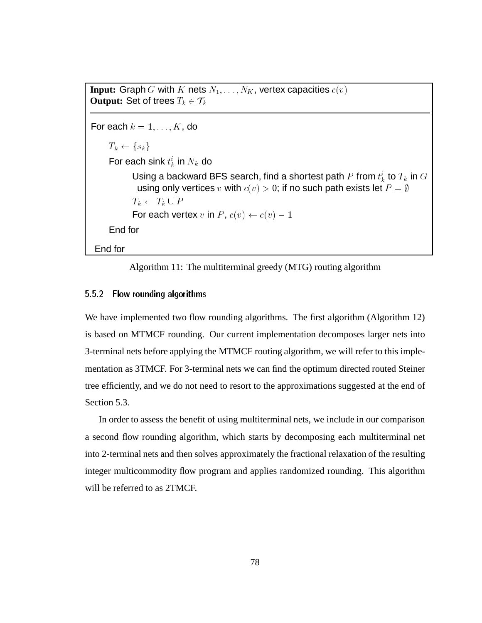```
Input: Graph G with K nets N_1, \ldots, N_K, vertex capacities c(v)Output: Set of trees T_k \in \mathcal{T}_kFor each k = 1, \ldots, K, do
    T_k \leftarrow \{s_k\}For each sink t_k^i in N_k do
           Using a backward BFS search, find a shortest path P from t_k^i to T_k in G \parallelusing only vertices v with c(v) > 0; if no such path exists let P = \emptyset;
           For each vertex v in P, c(v) \leftarrow c(v) - 1End for
End for
```


#### 5.5.2 Flow rounding algorithms

We have implemented two flow rounding algorithms. The first algorithm (Algorithm 12) is based on MTMCF rounding. Our current implementation decomposes larger nets into 3-terminal nets before applying the MTMCF routing algorithm, we will refer to this implementation as 3TMCF. For 3-terminal nets we can find the optimum directed routed Steiner tree efficiently, and we do not need to resort to the approximations suggested at the end of Section 5.3.

In order to assess the benefit of using multiterminal nets, we include in our comparison a second flow rounding algorithm, which starts by decomposing each multiterminal net into 2-terminal nets and then solves approximately the fractional relaxation of the resulting integer multicommodity flow program and applies randomized rounding. This algorithm will be referred to as 2TMCF.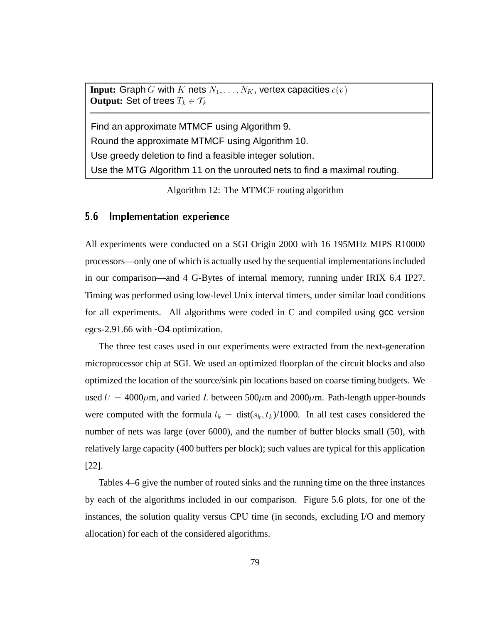**Input:** Graph G with K nets  $N_1, \ldots, N_K$ , vertex capacities  $c(v)$ **Output:** Set of trees  $T_k \in \mathcal{T}_k$ 

Find an approximate MTMCF using Algorithm 9.

Round the approximate MTMCF using Algorithm 10.

Use greedy deletion to find a feasible integer solution.

Use the MTG Algorithm 11 on the unrouted nets to find a maximal routing.

Algorithm 12: The MTMCF routing algorithm

### 5.6 Implementation experience

All experiments were conducted on a SGI Origin 2000 with 16 195MHz MIPS R10000 processors—only one of which is actually used by the sequential implementations included in our comparison—and 4 G-Bytes of internal memory, running under IRIX 6.4 IP27. Timing was performed using low-level Unix interval timers, under similar load conditions for all experiments. All algorithms were coded in C and compiled using gcc version egcs-2.91.66 with -O4 optimization.

The three test cases used in our experiments were extracted from the next-generation microprocessor chip at SGI. We used an optimized floorplan of the circuit blocks and also optimized the location of the source/sink pin locations based on coarse timing budgets. We used  $U = 4000 \mu m$ , and varied L between 500 $\mu$ m and 2000 $\mu$ m. Path-length upper-bounds were computed with the formula  $l_k = dist(s_k, t_k) / 1000$ . In all test cases considered the number of nets was large (over 6000), and the number of buffer blocks small (50), with relatively large capacity (400 buffers per block); such values are typical for this application [22].

Tables 4–6 give the number of routed sinks and the running time on the three instances by each of the algorithms included in our comparison. Figure 5.6 plots, for one of the instances, the solution quality versus CPU time (in seconds, excluding I/O and memory allocation) for each of the considered algorithms.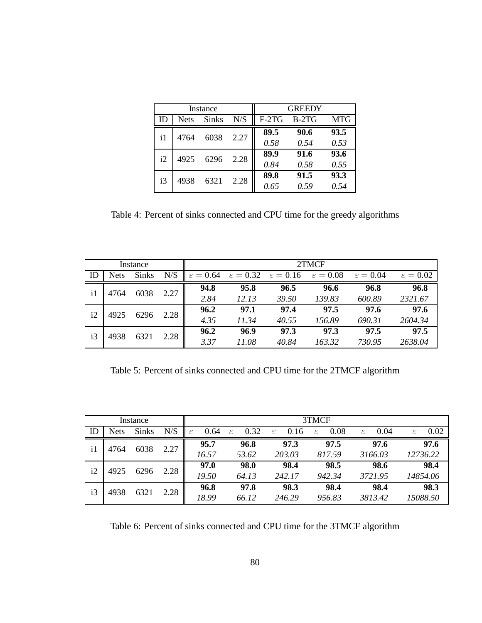|    |      | Instance     |      | <b>GREEDY</b> |         |            |  |
|----|------|--------------|------|---------------|---------|------------|--|
| ID | Nets | <b>Sinks</b> | N/S  | $F-2TG$       | $B-2TG$ | <b>MTG</b> |  |
| i1 | 4764 | 6038         | 2.27 | 89.5          | 90.6    | 93.5       |  |
|    |      |              |      | 0.58          | 0.54    | 0.53       |  |
| i2 | 4925 | 6296         | 2.28 | 89.9          | 91.6    | 93.6       |  |
|    |      |              |      | 0.84          | 0.58    | 0.55       |  |
| i3 | 4938 | 6321         | 2.28 | 89.8          | 91.5    | 93.3       |  |
|    |      |              |      | 0.65          | 0.59    | 0.54       |  |

Table 4: Percent of sinks connected and CPU time for the greedy algorithms

| Instance     |             |              |      | 2TMCF                |                                           |        |                      |                      |                      |
|--------------|-------------|--------------|------|----------------------|-------------------------------------------|--------|----------------------|----------------------|----------------------|
| ID           | <b>Nets</b> | <b>Sinks</b> | N/S  | $\varepsilon = 0.64$ | $\varepsilon = 0.32$ $\varepsilon = 0.16$ |        | $\varepsilon = 0.08$ | $\varepsilon = 0.04$ | $\varepsilon = 0.02$ |
| $\mathbf{i}$ | 4764        |              |      | 94.8                 | 95.8                                      | 96.5   | 96.6                 | 96.8                 | 96.8                 |
|              | 6038        | 2.27         | 2.84 | 12.13                | 39.50                                     | 139.83 | 600.89               | 2321.67              |                      |
|              | i2<br>4925  | 6296         | 2.28 | 96.2                 | 97.1                                      | 97.4   | 97.5                 | 97.6                 | 97.6                 |
|              |             |              |      | 4.35                 | 11.34                                     | 40.55  | 156.89               | 690.31               | 2604.34              |
| i3<br>4938   |             | 6321         | 2.28 | 96.2                 | 96.9                                      | 97.3   | 97.3                 | 97.5                 | 97.5                 |
|              |             |              |      | 3.37                 | 11.08                                     | 40.84  | 163.32               | 730.95               | 2638.04              |

Table 5: Percent of sinks connected and CPU time for the 2TMCF algorithm

| Instance |                      |              | 3TMCF |       |                                                                |        |                      |                      |                      |
|----------|----------------------|--------------|-------|-------|----------------------------------------------------------------|--------|----------------------|----------------------|----------------------|
| ID       | <b>Nets</b>          | <b>Sinks</b> | N/S   |       | $\varepsilon = 0.64$ $\varepsilon = 0.32$ $\varepsilon = 0.16$ |        | $\varepsilon = 0.08$ | $\varepsilon = 0.04$ | $\varepsilon = 0.02$ |
|          | $\mathbf{i}$<br>4764 | 6038         | 2.27  | 95.7  | 96.8                                                           | 97.3   | 97.5                 | 97.6                 | 97.6                 |
|          |                      |              |       | 16.57 | 53.62                                                          | 203.03 | 817.59               | 3166.03              | 12736.22             |
| i2       | 4925                 |              |       | 97.0  | 98.0                                                           | 98.4   | 98.5                 | 98.6                 | 98.4                 |
|          | 6296                 | 2.28         | 19.50 | 64.13 | 242.17                                                         | 942.34 | 3721.95              | 14854.06             |                      |
| i3       | 4938                 | 6321         | 2.28  | 96.8  | 97.8                                                           | 98.3   | 98.4                 | 98.4                 | 98.3                 |
|          |                      |              | 18.99 | 66.12 | 246.29                                                         | 956.83 | 3813.42              | 15088.50             |                      |

Table 6: Percent of sinks connected and CPU time for the 3TMCF algorithm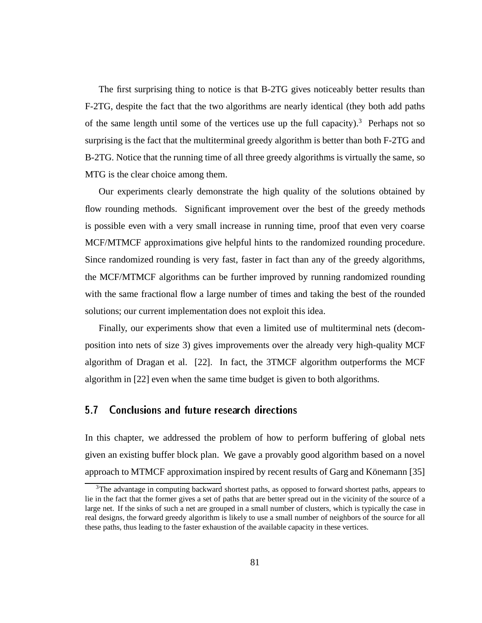The first surprising thing to notice is that B-2TG gives noticeably better results than F-2TG, despite the fact that the two algorithms are nearly identical (they both add paths of the same length until some of the vertices use up the full capacity).<sup>3</sup> Perhaps not so surprising is the fact that the multiterminal greedy algorithm is better than both F-2TG and B-2TG. Notice that the running time of all three greedy algorithms is virtually the same, so MTG is the clear choice among them.

Our experiments clearly demonstrate the high quality of the solutions obtained by flow rounding methods. Significant improvement over the best of the greedy methods is possible even with a very small increase in running time, proof that even very coarse MCF/MTMCF approximations give helpful hints to the randomized rounding procedure. Since randomized rounding is very fast, faster in fact than any of the greedy algorithms, the MCF/MTMCF algorithms can be further improved by running randomized rounding with the same fractional flow a large number of times and taking the best of the rounded solutions; our current implementation does not exploit this idea.

Finally, our experiments show that even a limited use of multiterminal nets (decomposition into nets of size 3) gives improvements over the already very high-quality MCF algorithm of Dragan et al. [22]. In fact, the 3TMCF algorithm outperforms the MCF algorithm in [22] even when the same time budget is given to both algorithms.

#### 5.7 Conclusions and future research directions 5.7

In this chapter, we addressed the problem of how to perform buffering of global nets given an existing buffer block plan. We gave a provably good algorithm based on a novel approach to MTMCF approximation inspired by recent results of Garg and Könemann [35]

<sup>&</sup>lt;sup>3</sup>The advantage in computing backward shortest paths, as opposed to forward shortest paths, appears to lie in the fact that the former gives a set of paths that are better spread out in the vicinity of the source of a large net. If the sinks of such a net are grouped in a small number of clusters, which is typically the case in real designs, the forward greedy algorithm is likely to use a small number of neighbors of the source for all these paths, thus leading to the faster exhaustion of the available capacity in these vertices.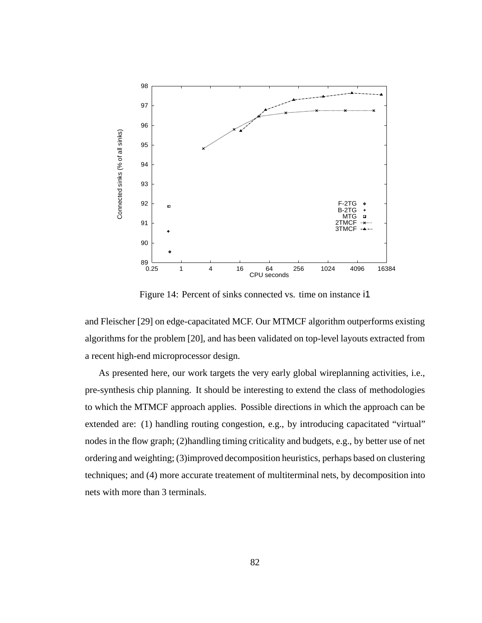

Figure 14: Percent of sinks connected vs. time on instance i1

and Fleischer [29] on edge-capacitated MCF. Our MTMCF algorithm outperforms existing algorithms for the problem [20], and has been validated on top-level layouts extracted from a recent high-end microprocessor design.

As presented here, our work targets the very early global wireplanning activities, i.e., pre-synthesis chip planning. It should be interesting to extend the class of methodologies to which the MTMCF approach applies. Possible directions in which the approach can be extended are: (1) handling routing congestion, e.g., by introducing capacitated "virtual" nodes in the flow graph; (2)handling timing criticality and budgets, e.g., by better use of net ordering and weighting; (3)improved decomposition heuristics, perhaps based on clustering techniques; and (4) more accurate treatement of multiterminal nets, by decomposition into nets with more than 3 terminals.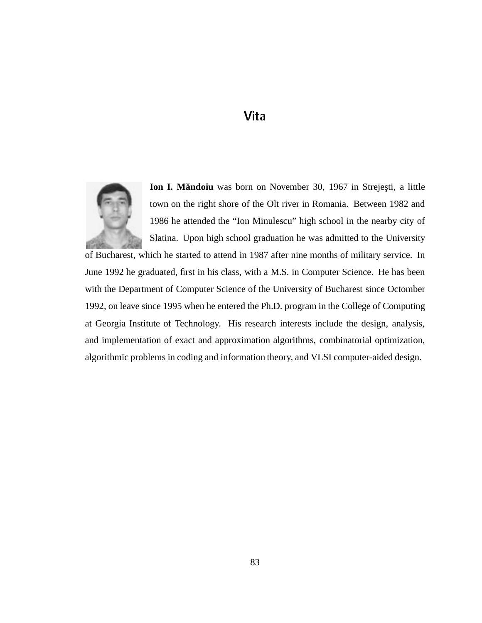# Vita



**Ion I. Măndoiu** was born on November 30, 1967 in Strejești, a little town on the right shore of the Olt river in Romania. Between 1982 and 1986 he attended the "Ion Minulescu" high school in the nearby city of Slatina. Upon high school graduation he was admitted to the University

of Bucharest, which he started to attend in 1987 after nine months of military service. In June 1992 he graduated, first in his class, with a M.S. in Computer Science. He has been with the Department of Computer Science of the University of Bucharest since Octomber 1992, on leave since 1995 when he entered the Ph.D. program in the College of Computing at Georgia Institute of Technology. His research interests include the design, analysis, and implementation of exact and approximation algorithms, combinatorial optimization, algorithmic problems in coding and information theory, and VLSI computer-aided design.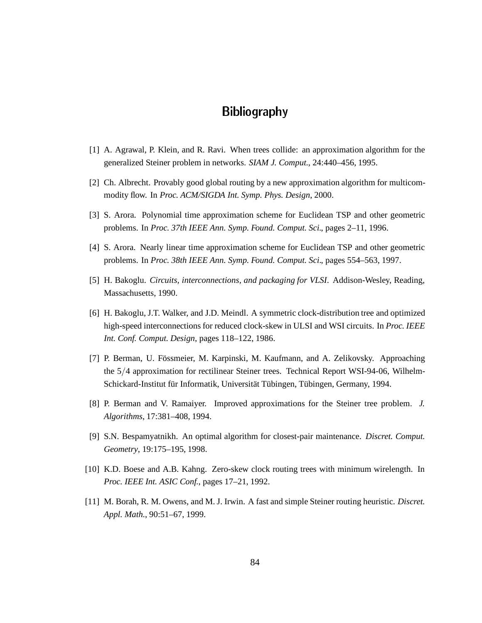## **Bibliography**

- [1] A. Agrawal, P. Klein, and R. Ravi. When trees collide: an approximation algorithm for the generalized Steiner problem in networks. *SIAM J. Comput.*, 24:440–456, 1995.
- [2] Ch. Albrecht. Provably good global routing by a new approximation algorithm for multicommodity flow. In *Proc. ACM/SIGDA Int. Symp. Phys. Design*, 2000.
- [3] S. Arora. Polynomial time approximation scheme for Euclidean TSP and other geometric problems. In *Proc. 37th IEEE Ann. Symp. Found. Comput. Sci.*, pages 2–11, 1996.
- [4] S. Arora. Nearly linear time approximation scheme for Euclidean TSP and other geometric problems. In *Proc. 38th IEEE Ann. Symp. Found. Comput. Sci.*, pages 554–563, 1997.
- [5] H. Bakoglu. *Circuits, interconnections, and packaging for VLSI*. Addison-Wesley, Reading, Massachusetts, 1990.
- [6] H. Bakoglu, J.T. Walker, and J.D. Meindl. A symmetric clock-distribution tree and optimized high-speed interconnections for reduced clock-skew in ULSI and WSI circuits. In *Proc. IEEE Int. Conf. Comput. Design*, pages 118–122, 1986.
- [7] P. Berman, U. Fössmeier, M. Karpinski, M. Kaufmann, and A. Zelikovsky. Approaching the  $5/4$  approximation for rectilinear Steiner trees. Technical Report WSI-94-06, Wilhelm-Schickard-Institut für Informatik, Universität Tübingen, Tübingen, Germany, 1994.
- [8] P. Berman and V. Ramaiyer. Improved approximations for the Steiner tree problem. *J. Algorithms*, 17:381–408, 1994.
- [9] S.N. Bespamyatnikh. An optimal algorithm for closest-pair maintenance. *Discret. Comput. Geometry*, 19:175–195, 1998.
- [10] K.D. Boese and A.B. Kahng. Zero-skew clock routing trees with minimum wirelength. In *Proc. IEEE Int. ASIC Conf.*, pages 17–21, 1992.
- [11] M. Borah, R. M. Owens, and M. J. Irwin. A fast and simple Steiner routing heuristic. *Discret. Appl. Math.*, 90:51–67, 1999.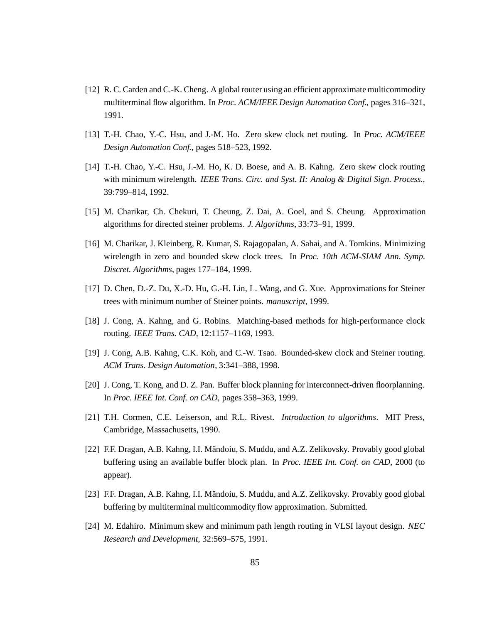- [12] R. C. Carden and C.-K. Cheng. A global router using an efficient approximate multicommodity multiterminal flow algorithm. In *Proc. ACM/IEEE Design Automation Conf.*, pages 316–321, 1991.
- [13] T.-H. Chao, Y.-C. Hsu, and J.-M. Ho. Zero skew clock net routing. In *Proc. ACM/IEEE Design Automation Conf.*, pages 518–523, 1992.
- [14] T.-H. Chao, Y.-C. Hsu, J.-M. Ho, K. D. Boese, and A. B. Kahng. Zero skew clock routing with minimum wirelength. *IEEE Trans. Circ. and Syst. II: Analog & Digital Sign. Process.*, 39:799–814, 1992.
- [15] M. Charikar, Ch. Chekuri, T. Cheung, Z. Dai, A. Goel, and S. Cheung. Approximation algorithms for directed steiner problems. *J. Algorithms*, 33:73–91, 1999.
- [16] M. Charikar, J. Kleinberg, R. Kumar, S. Rajagopalan, A. Sahai, and A. Tomkins. Minimizing wirelength in zero and bounded skew clock trees. In *Proc. 10th ACM-SIAM Ann. Symp. Discret. Algorithms*, pages 177–184, 1999.
- [17] D. Chen, D.-Z. Du, X.-D. Hu, G.-H. Lin, L. Wang, and G. Xue. Approximations for Steiner trees with minimum number of Steiner points. *manuscript*, 1999.
- [18] J. Cong, A. Kahng, and G. Robins. Matching-based methods for high-performance clock routing. *IEEE Trans. CAD*, 12:1157–1169, 1993.
- [19] J. Cong, A.B. Kahng, C.K. Koh, and C.-W. Tsao. Bounded-skew clock and Steiner routing. *ACM Trans. Design Automation*, 3:341–388, 1998.
- [20] J. Cong, T. Kong, and D. Z. Pan. Buffer block planning for interconnect-driven floorplanning. In *Proc. IEEE Int. Conf. on CAD*, pages 358–363, 1999.
- [21] T.H. Cormen, C.E. Leiserson, and R.L. Rivest. *Introduction to algorithms*. MIT Press, Cambridge, Massachusetts, 1990.
- [22] F.F. Dragan, A.B. Kahng, I.I. Măndoiu, S. Muddu, and A.Z. Zelikovsky. Provably good global buffering using an available buffer block plan. In *Proc. IEEE Int. Conf. on CAD*, 2000 (to appear).
- [23] F.F. Dragan, A.B. Kahng, I.I. Măndoiu, S. Muddu, and A.Z. Zelikovsky. Provably good global buffering by multiterminal multicommodity flow approximation. Submitted.
- [24] M. Edahiro. Minimum skew and minimum path length routing in VLSI layout design. *NEC Research and Development*, 32:569–575, 1991.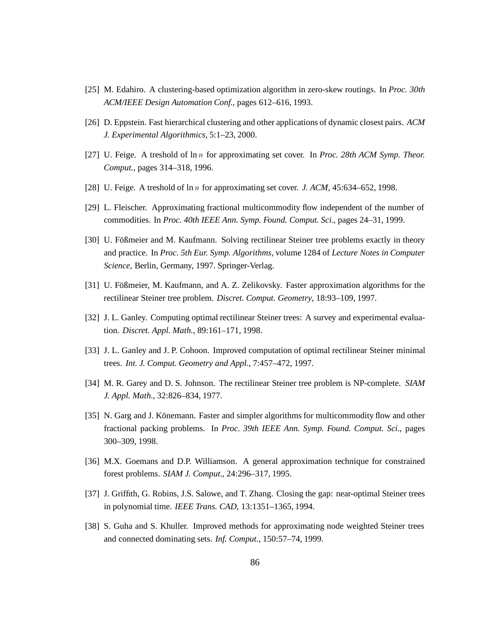- [25] M. Edahiro. A clustering-based optimization algorithm in zero-skew routings. In *Proc. 30th ACM/IEEE Design Automation Conf.*, pages 612–616, 1993.
- [26] D. Eppstein. Fast hierarchical clustering and other applications of dynamic closest pairs. *ACM J. Experimental Algorithmics*, 5:1–23, 2000.
- [27] U. Feige. A treshold of ln <sup>n</sup> for approximating set cover. In *Proc. 28th ACM Symp. Theor. Comput.*, pages 314–318, 1996.
- [28] U. Feige. A treshold of ln <sup>n</sup> for approximating set cover. *J. ACM*, 45:634–652, 1998.
- [29] L. Fleischer. Approximating fractional multicommodity flow independent of the number of commodities. In *Proc. 40th IEEE Ann. Symp. Found. Comput. Sci.*, pages 24–31, 1999.
- [30] U. Fößmeier and M. Kaufmann. Solving rectilinear Steiner tree problems exactly in theory and practice. In *Proc. 5th Eur. Symp. Algorithms*, volume 1284 of *Lecture Notes in Computer Science*, Berlin, Germany, 1997. Springer-Verlag.
- [31] U. Fößmeier, M. Kaufmann, and A. Z. Zelikovsky. Faster approximation algorithms for the rectilinear Steiner tree problem. *Discret. Comput. Geometry*, 18:93–109, 1997.
- [32] J. L. Ganley. Computing optimal rectilinear Steiner trees: A survey and experimental evaluation. *Discret. Appl. Math.*, 89:161–171, 1998.
- [33] J. L. Ganley and J. P. Cohoon. Improved computation of optimal rectilinear Steiner minimal trees. *Int. J. Comput. Geometry and Appl.*, 7:457–472, 1997.
- [34] M. R. Garey and D. S. Johnson. The rectilinear Steiner tree problem is NP-complete. *SIAM J. Appl. Math.*, 32:826–834, 1977.
- [35] N. Garg and J. Könemann. Faster and simpler algorithms for multicommodity flow and other fractional packing problems. In *Proc. 39th IEEE Ann. Symp. Found. Comput. Sci.*, pages 300–309, 1998.
- [36] M.X. Goemans and D.P. Williamson. A general approximation technique for constrained forest problems. *SIAM J. Comput.*, 24:296–317, 1995.
- [37] J. Griffith, G. Robins, J.S. Salowe, and T. Zhang. Closing the gap: near-optimal Steiner trees in polynomial time. *IEEE Trans. CAD*, 13:1351–1365, 1994.
- [38] S. Guha and S. Khuller. Improved methods for approximating node weighted Steiner trees and connected dominating sets. *Inf. Comput.*, 150:57–74, 1999.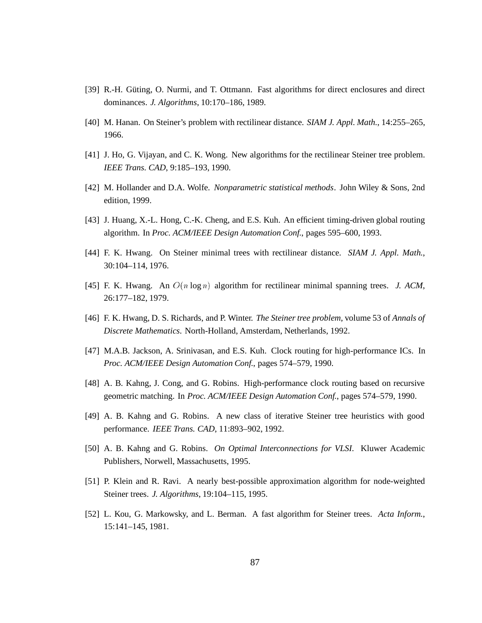- [39] R.-H. Güting, O. Nurmi, and T. Ottmann. Fast algorithms for direct enclosures and direct dominances. *J. Algorithms*, 10:170–186, 1989.
- [40] M. Hanan. On Steiner's problem with rectilinear distance. *SIAM J. Appl. Math.*, 14:255–265, 1966.
- [41] J. Ho, G. Vijayan, and C. K. Wong. New algorithms for the rectilinear Steiner tree problem. *IEEE Trans. CAD*, 9:185–193, 1990.
- [42] M. Hollander and D.A. Wolfe. *Nonparametric statistical methods*. John Wiley & Sons, 2nd edition, 1999.
- [43] J. Huang, X.-L. Hong, C.-K. Cheng, and E.S. Kuh. An efficient timing-driven global routing algorithm. In *Proc. ACM/IEEE Design Automation Conf.*, pages 595–600, 1993.
- [44] F. K. Hwang. On Steiner minimal trees with rectilinear distance. *SIAM J. Appl. Math.*, 30:104–114, 1976.
- [45] F. K. Hwang. An O(n log n) algorithm for rectilinear minimal spanning trees. *J. ACM*, 26:177–182, 1979.
- [46] F. K. Hwang, D. S. Richards, and P. Winter. *The Steiner tree problem*, volume 53 of *Annals of Discrete Mathematics*. North-Holland, Amsterdam, Netherlands, 1992.
- [47] M.A.B. Jackson, A. Srinivasan, and E.S. Kuh. Clock routing for high-performance ICs. In *Proc. ACM/IEEE Design Automation Conf.*, pages 574–579, 1990.
- [48] A. B. Kahng, J. Cong, and G. Robins. High-performance clock routing based on recursive geometric matching. In *Proc. ACM/IEEE Design Automation Conf.*, pages 574–579, 1990.
- [49] A. B. Kahng and G. Robins. A new class of iterative Steiner tree heuristics with good performance. *IEEE Trans. CAD*, 11:893–902, 1992.
- [50] A. B. Kahng and G. Robins. *On Optimal Interconnections for VLSI*. Kluwer Academic Publishers, Norwell, Massachusetts, 1995.
- [51] P. Klein and R. Ravi. A nearly best-possible approximation algorithm for node-weighted Steiner trees. *J. Algorithms*, 19:104–115, 1995.
- [52] L. Kou, G. Markowsky, and L. Berman. A fast algorithm for Steiner trees. *Acta Inform.*, 15:141–145, 1981.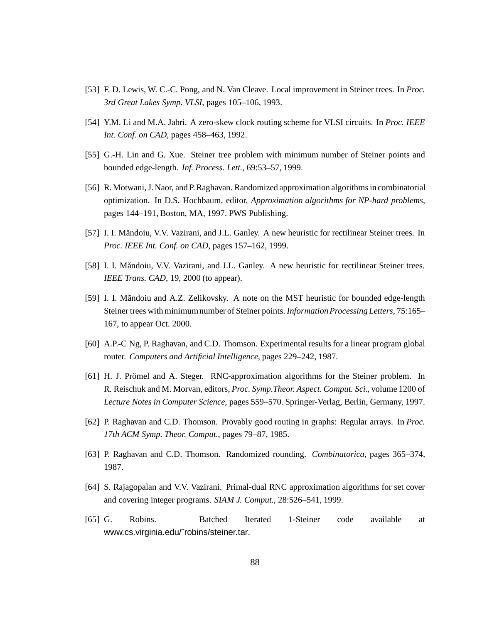- [53] F. D. Lewis, W. C.-C. Pong, and N. Van Cleave. Local improvement in Steiner trees. In *Proc. 3rd Great Lakes Symp. VLSI*, pages 105–106, 1993.
- [54] Y.M. Li and M.A. Jabri. A zero-skew clock routing scheme for VLSI circuits. In *Proc. IEEE Int. Conf. on CAD*, pages 458–463, 1992.
- [55] G.-H. Lin and G. Xue. Steiner tree problem with minimum number of Steiner points and bounded edge-length. *Inf. Process. Lett.*, 69:53–57, 1999.
- [56] R. Motwani, J. Naor, and P. Raghavan. Randomized approximation algorithms in combinatorial optimization. In D.S. Hochbaum, editor, *Approximation algorithms for NP-hard problems*, pages 144–191, Boston, MA, 1997. PWS Publishing.
- [57] I. I. Măndoiu, V.V. Vazirani, and J.L. Ganley. A new heuristic for rectilinear Steiner trees. In *Proc. IEEE Int. Conf. on CAD*, pages 157–162, 1999.
- [58] I. I. Măndoiu, V.V. Vazirani, and J.L. Ganley. A new heuristic for rectilinear Steiner trees. *IEEE Trans. CAD*, 19, 2000 (to appear).
- [59] I. I. Măndoiu and A.Z. Zelikovsky. A note on the MST heuristic for bounded edge-length Steiner trees with minimumnumber of Steiner points. *Information Processing Letters*, 75:165– 167, to appear Oct. 2000.
- [60] A.P.-C Ng, P. Raghavan, and C.D. Thomson. Experimental results for a linear program global router. *Computers and Artificial Intelligence*, pages 229–242, 1987.
- [61] H. J. Prömel and A. Steger. RNC-approximation algorithms for the Steiner problem. In R. Reischuk and M. Morvan, editors, *Proc. Symp.Theor. Aspect. Comput. Sci.*, volume 1200 of *Lecture Notes in Computer Science*, pages 559–570. Springer-Verlag, Berlin, Germany, 1997.
- [62] P. Raghavan and C.D. Thomson. Provably good routing in graphs: Regular arrays. In *Proc. 17th ACM Symp. Theor. Comput.*, pages 79–87, 1985.
- [63] P. Raghavan and C.D. Thomson. Randomized rounding. *Combinatorica*, pages 365–374, 1987.
- [64] S. Rajagopalan and V.V. Vazirani. Primal-dual RNC approximation algorithms for set cover and covering integer programs. *SIAM J. Comput.*, 28:526–541, 1999.
- [65] G. Robins. Batched Iterated 1-Steiner code available at www.cs.virginia.edu/˜robins/steiner.tar.